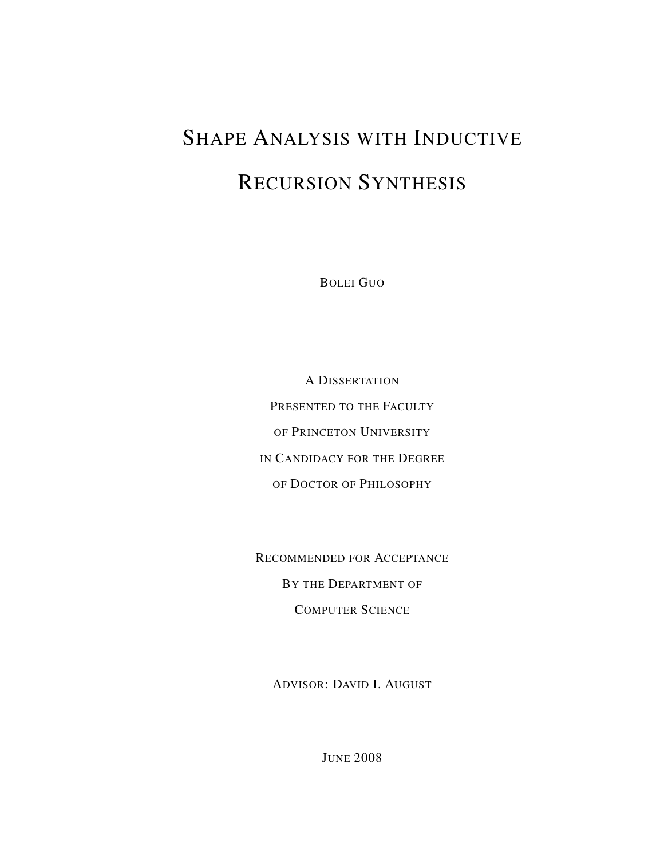# SHAPE ANALYSIS WITH INDUCTIVE RECURSION SYNTHESIS

BOLEI GUO

A DISSERTATION PRESENTED TO THE FACULTY OF PRINCETON UNIVERSITY IN CANDIDACY FOR THE DEGREE OF DOCTOR OF PHILOSOPHY

RECOMMENDED FOR ACCEPTANCE BY THE DEPARTMENT OF COMPUTER SCIENCE

ADVISOR: DAVID I. AUGUST

JUNE 2008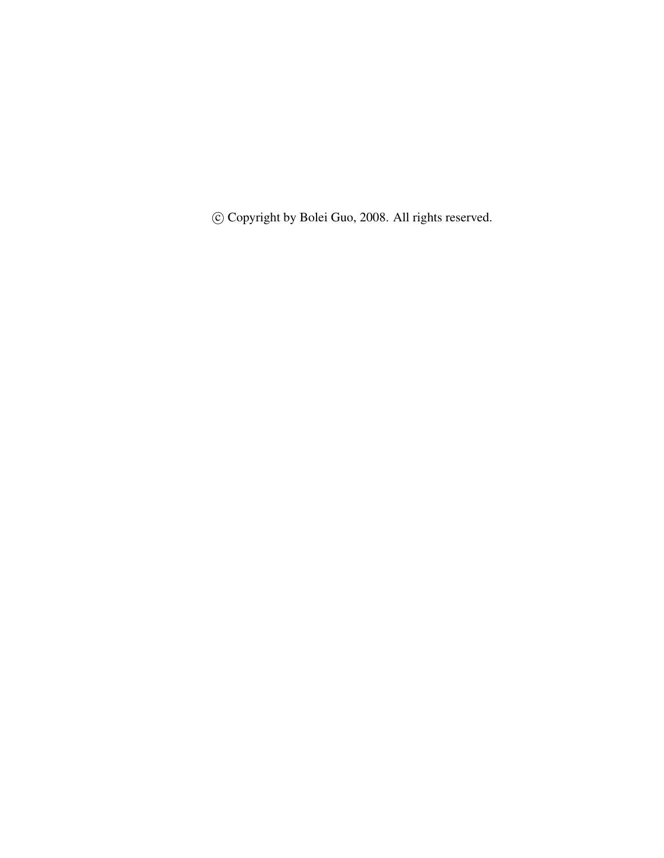c Copyright by Bolei Guo, 2008. All rights reserved.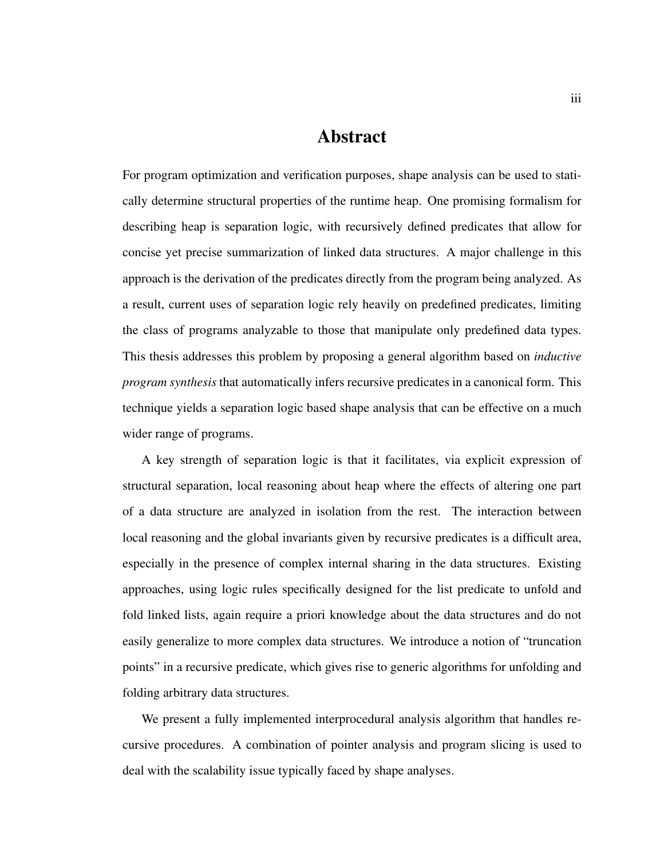### Abstract

For program optimization and verification purposes, shape analysis can be used to statically determine structural properties of the runtime heap. One promising formalism for describing heap is separation logic, with recursively defined predicates that allow for concise yet precise summarization of linked data structures. A major challenge in this approach is the derivation of the predicates directly from the program being analyzed. As a result, current uses of separation logic rely heavily on predefined predicates, limiting the class of programs analyzable to those that manipulate only predefined data types. This thesis addresses this problem by proposing a general algorithm based on *inductive program synthesis* that automatically infers recursive predicates in a canonical form. This technique yields a separation logic based shape analysis that can be effective on a much wider range of programs.

A key strength of separation logic is that it facilitates, via explicit expression of structural separation, local reasoning about heap where the effects of altering one part of a data structure are analyzed in isolation from the rest. The interaction between local reasoning and the global invariants given by recursive predicates is a difficult area, especially in the presence of complex internal sharing in the data structures. Existing approaches, using logic rules specifically designed for the list predicate to unfold and fold linked lists, again require a priori knowledge about the data structures and do not easily generalize to more complex data structures. We introduce a notion of "truncation points" in a recursive predicate, which gives rise to generic algorithms for unfolding and folding arbitrary data structures.

We present a fully implemented interprocedural analysis algorithm that handles recursive procedures. A combination of pointer analysis and program slicing is used to deal with the scalability issue typically faced by shape analyses.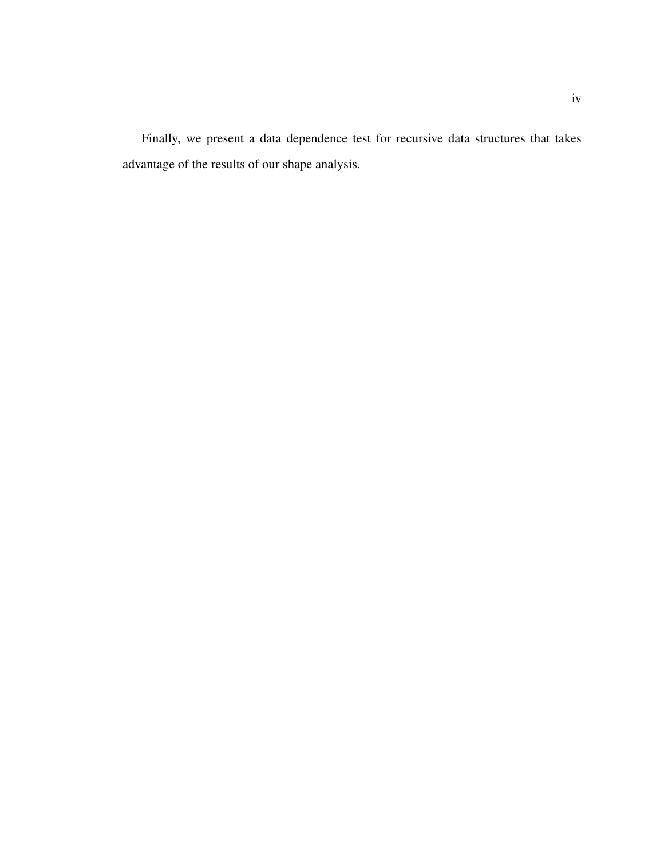Finally, we present a data dependence test for recursive data structures that takes advantage of the results of our shape analysis.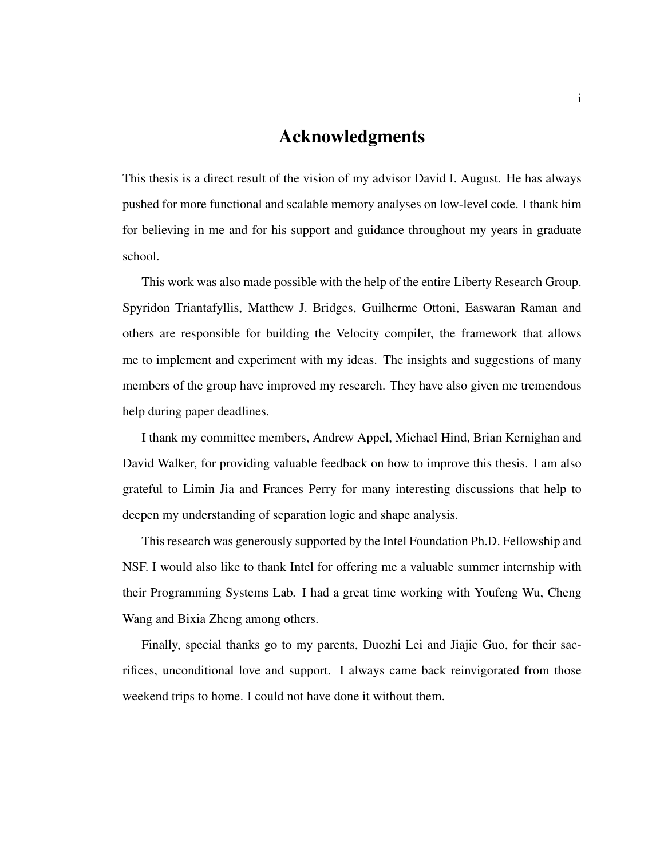### Acknowledgments

This thesis is a direct result of the vision of my advisor David I. August. He has always pushed for more functional and scalable memory analyses on low-level code. I thank him for believing in me and for his support and guidance throughout my years in graduate school.

This work was also made possible with the help of the entire Liberty Research Group. Spyridon Triantafyllis, Matthew J. Bridges, Guilherme Ottoni, Easwaran Raman and others are responsible for building the Velocity compiler, the framework that allows me to implement and experiment with my ideas. The insights and suggestions of many members of the group have improved my research. They have also given me tremendous help during paper deadlines.

I thank my committee members, Andrew Appel, Michael Hind, Brian Kernighan and David Walker, for providing valuable feedback on how to improve this thesis. I am also grateful to Limin Jia and Frances Perry for many interesting discussions that help to deepen my understanding of separation logic and shape analysis.

This research was generously supported by the Intel Foundation Ph.D. Fellowship and NSF. I would also like to thank Intel for offering me a valuable summer internship with their Programming Systems Lab. I had a great time working with Youfeng Wu, Cheng Wang and Bixia Zheng among others.

Finally, special thanks go to my parents, Duozhi Lei and Jiajie Guo, for their sacrifices, unconditional love and support. I always came back reinvigorated from those weekend trips to home. I could not have done it without them.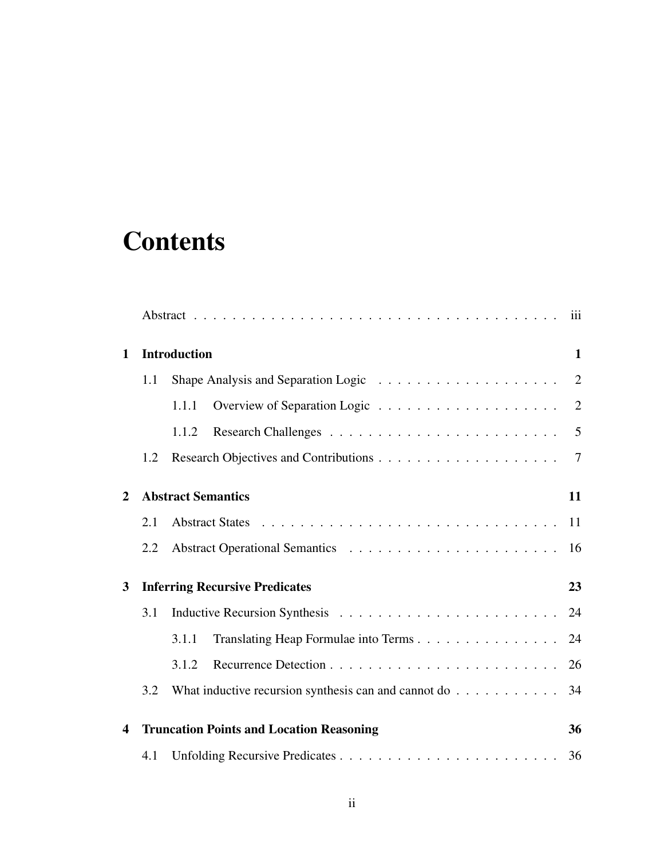## **Contents**

| $\mathbf 1$    |     | <b>Introduction</b>                                                      | $\mathbf{1}$ |
|----------------|-----|--------------------------------------------------------------------------|--------------|
|                | 1.1 |                                                                          |              |
|                |     | 1.1.1                                                                    |              |
|                |     | 1.1.2                                                                    |              |
|                | 1.2 |                                                                          |              |
| $\overline{2}$ |     | <b>Abstract Semantics</b>                                                | 11           |
|                | 2.1 |                                                                          | 11           |
|                | 2.2 |                                                                          | 16           |
| $\mathbf{3}$   |     | <b>Inferring Recursive Predicates</b>                                    | 23           |
|                | 3.1 |                                                                          |              |
|                |     | Translating Heap Formulae into Terms<br>3.1.1                            | 24           |
|                |     | 3.1.2                                                                    | 26           |
|                | 3.2 | What inductive recursion synthesis can and cannot do $\dots \dots \dots$ | 34           |
| 4              |     | <b>Truncation Points and Location Reasoning</b>                          | 36           |
|                | 4.1 |                                                                          | 36           |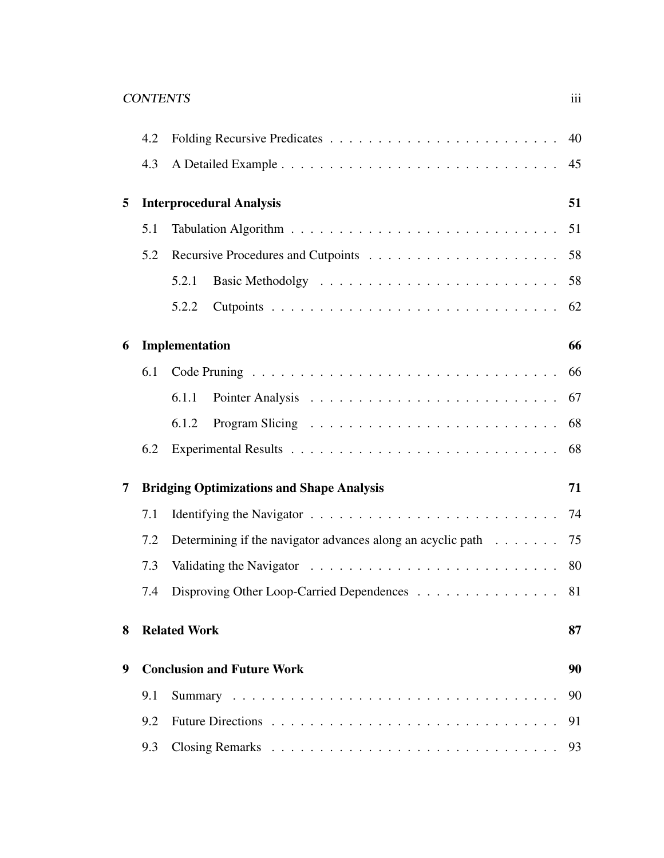### CONTENTS iii

|   | 4.2 |                                                                |    |  |  |
|---|-----|----------------------------------------------------------------|----|--|--|
|   | 4.3 |                                                                | 45 |  |  |
| 5 |     | <b>Interprocedural Analysis</b>                                | 51 |  |  |
|   | 5.1 |                                                                | 51 |  |  |
|   | 5.2 |                                                                |    |  |  |
|   |     | 5.2.1                                                          |    |  |  |
|   |     | 5.2.2                                                          | 62 |  |  |
| 6 |     | Implementation                                                 | 66 |  |  |
|   | 6.1 |                                                                | 66 |  |  |
|   |     | 6.1.1                                                          | 67 |  |  |
|   |     | 6.1.2                                                          |    |  |  |
|   | 6.2 |                                                                | 68 |  |  |
| 7 |     | <b>Bridging Optimizations and Shape Analysis</b>               | 71 |  |  |
|   | 7.1 |                                                                |    |  |  |
|   | 7.2 | Determining if the navigator advances along an acyclic path 75 |    |  |  |
|   | 7.3 |                                                                |    |  |  |
|   | 7.4 | Disproving Other Loop-Carried Dependences                      | 81 |  |  |
| 8 |     | <b>Related Work</b>                                            | 87 |  |  |
| 9 |     | <b>Conclusion and Future Work</b>                              | 90 |  |  |
|   | 9.1 |                                                                | 90 |  |  |
|   | 9.2 |                                                                | 91 |  |  |
|   | 9.3 |                                                                | 93 |  |  |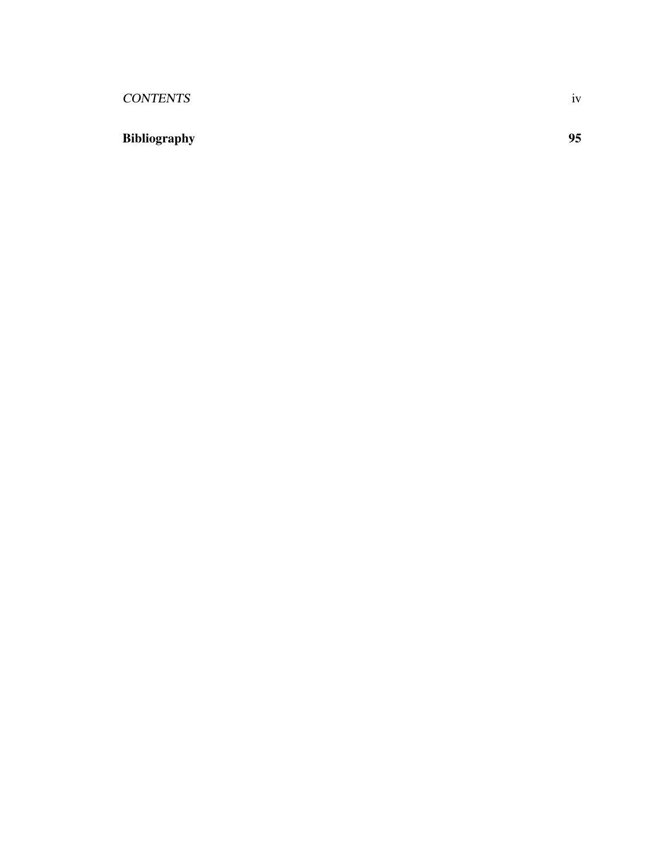### CONTENTS iv

## Bibliography 95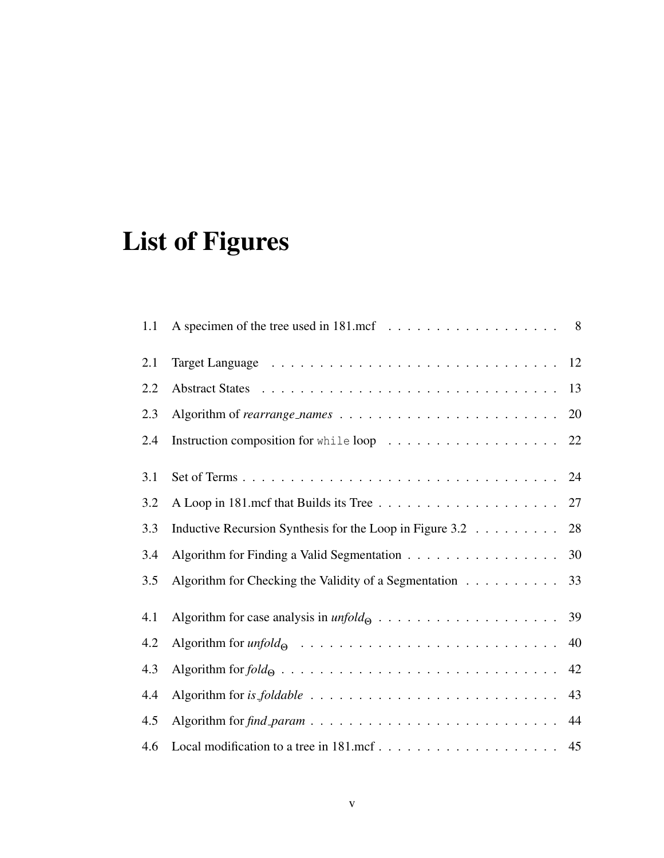# List of Figures

| 1.1 |                                                             |    |
|-----|-------------------------------------------------------------|----|
| 2.1 |                                                             |    |
| 2.2 |                                                             | 13 |
| 2.3 |                                                             | 20 |
| 2.4 |                                                             |    |
| 3.1 |                                                             |    |
| 3.2 |                                                             |    |
| 3.3 | Inductive Recursion Synthesis for the Loop in Figure 3.2 28 |    |
| 3.4 | Algorithm for Finding a Valid Segmentation                  | 30 |
| 3.5 | Algorithm for Checking the Validity of a Segmentation       | 33 |
| 4.1 |                                                             |    |
| 4.2 |                                                             | 40 |
| 4.3 |                                                             | 42 |
| 4.4 |                                                             | 43 |
| 4.5 |                                                             |    |
| 4.6 |                                                             |    |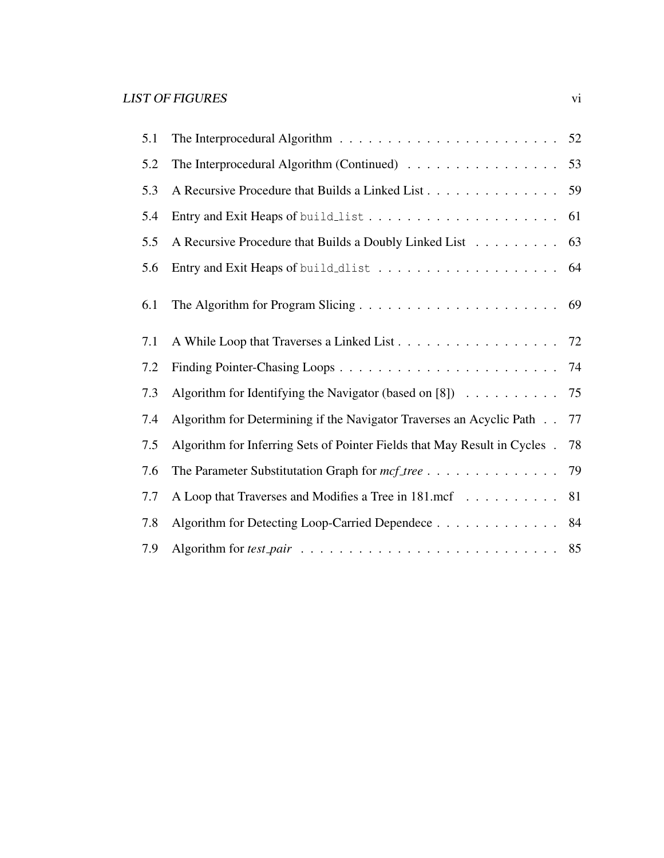| 5.1 |                                                                                                        |    |
|-----|--------------------------------------------------------------------------------------------------------|----|
| 5.2 | The Interprocedural Algorithm (Continued) $\ldots \ldots \ldots \ldots \ldots$                         | 53 |
| 5.3 | A Recursive Procedure that Builds a Linked List 59                                                     |    |
| 5.4 |                                                                                                        | 61 |
| 5.5 | A Recursive Procedure that Builds a Doubly Linked List 63                                              |    |
| 5.6 |                                                                                                        |    |
| 6.1 |                                                                                                        |    |
| 7.1 | A While Loop that Traverses a Linked List 72                                                           |    |
| 7.2 |                                                                                                        |    |
| 7.3 | Algorithm for Identifying the Navigator (based on [8]) $\ldots \ldots \ldots \ldots$ 75                |    |
| 7.4 | Algorithm for Determining if the Navigator Traverses an Acyclic Path 77                                |    |
| 7.5 | Algorithm for Inferring Sets of Pointer Fields that May Result in Cycles.                              | 78 |
| 7.6 | The Parameter Substitutation Graph for mcf_tree 79                                                     |    |
| 7.7 | A Loop that Traverses and Modifies a Tree in 181.mcf 81                                                |    |
| 7.8 | Algorithm for Detecting Loop-Carried Dependece 84                                                      |    |
| 7.9 | Algorithm for test pair $\dots \dots \dots \dots \dots \dots \dots \dots \dots \dots \dots \dots \ 85$ |    |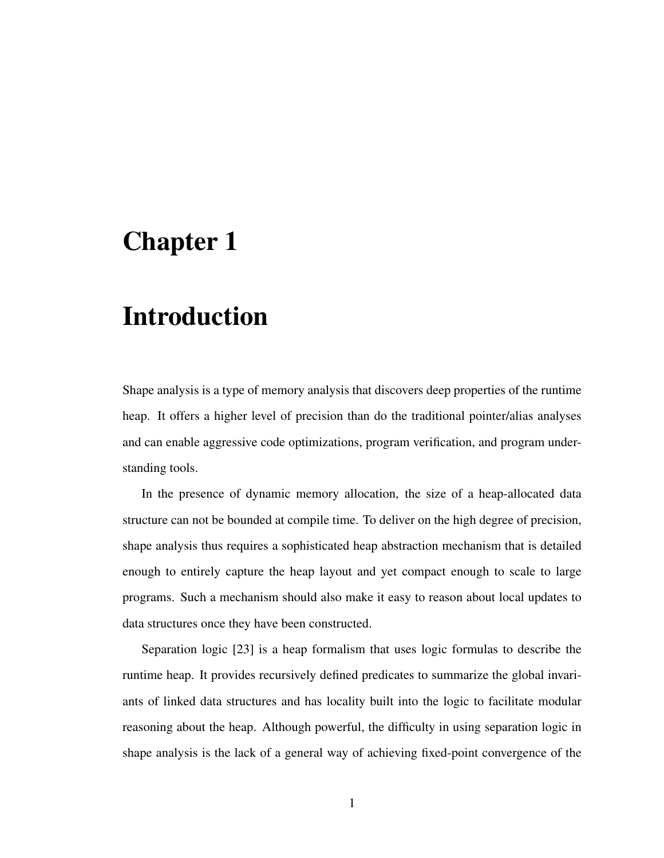## Chapter 1

## Introduction

Shape analysis is a type of memory analysis that discovers deep properties of the runtime heap. It offers a higher level of precision than do the traditional pointer/alias analyses and can enable aggressive code optimizations, program verification, and program understanding tools.

In the presence of dynamic memory allocation, the size of a heap-allocated data structure can not be bounded at compile time. To deliver on the high degree of precision, shape analysis thus requires a sophisticated heap abstraction mechanism that is detailed enough to entirely capture the heap layout and yet compact enough to scale to large programs. Such a mechanism should also make it easy to reason about local updates to data structures once they have been constructed.

Separation logic [23] is a heap formalism that uses logic formulas to describe the runtime heap. It provides recursively defined predicates to summarize the global invariants of linked data structures and has locality built into the logic to facilitate modular reasoning about the heap. Although powerful, the difficulty in using separation logic in shape analysis is the lack of a general way of achieving fixed-point convergence of the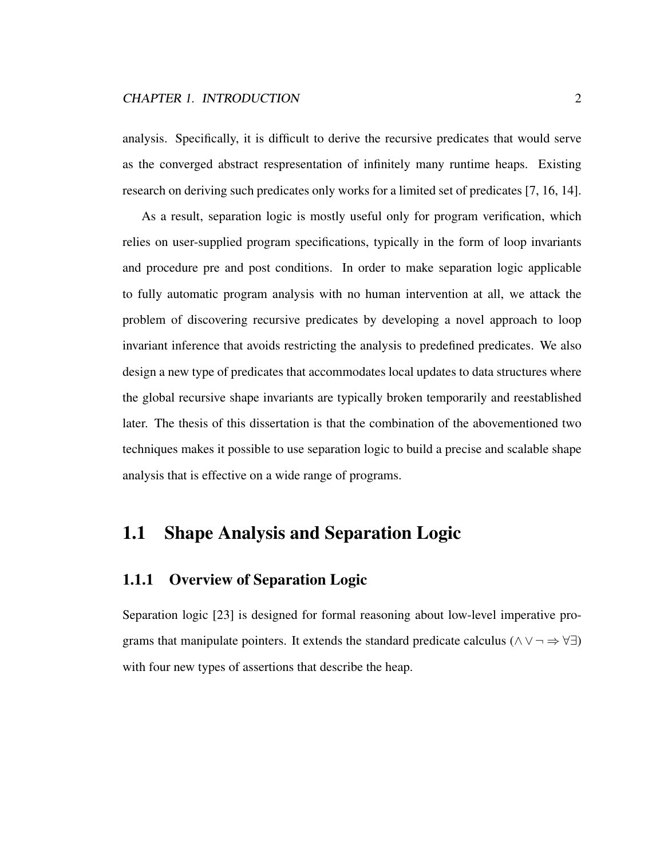#### CHAPTER 1. INTRODUCTION 2

analysis. Specifically, it is difficult to derive the recursive predicates that would serve as the converged abstract respresentation of infinitely many runtime heaps. Existing research on deriving such predicates only works for a limited set of predicates [7, 16, 14].

As a result, separation logic is mostly useful only for program verification, which relies on user-supplied program specifications, typically in the form of loop invariants and procedure pre and post conditions. In order to make separation logic applicable to fully automatic program analysis with no human intervention at all, we attack the problem of discovering recursive predicates by developing a novel approach to loop invariant inference that avoids restricting the analysis to predefined predicates. We also design a new type of predicates that accommodates local updates to data structures where the global recursive shape invariants are typically broken temporarily and reestablished later. The thesis of this dissertation is that the combination of the abovementioned two techniques makes it possible to use separation logic to build a precise and scalable shape analysis that is effective on a wide range of programs.

## 1.1 Shape Analysis and Separation Logic

### 1.1.1 Overview of Separation Logic

Separation logic [23] is designed for formal reasoning about low-level imperative programs that manipulate pointers. It extends the standard predicate calculus ( $\land \lor \neg \Rightarrow \forall \exists$ ) with four new types of assertions that describe the heap.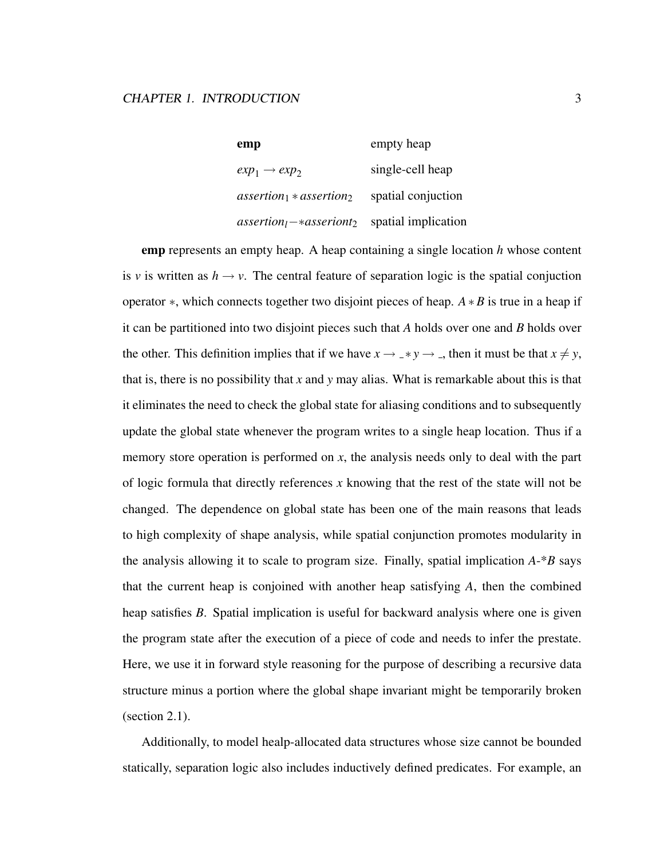empty heap empty heap  $exp_1 \rightarrow exp_2$ single-cell heap *assertion*<sup>1</sup> ∗ *assertion*<sup>2</sup> spatial conjuction *assertionl*−∗*asseriont*<sup>2</sup> spatial implication

emp represents an empty heap. A heap containing a single location *h* whose content is *v* is written as  $h \rightarrow v$ . The central feature of separation logic is the spatial conjuction operator ∗, which connects together two disjoint pieces of heap. *A*∗*B* is true in a heap if it can be partitioned into two disjoint pieces such that *A* holds over one and *B* holds over the other. This definition implies that if we have  $x \rightarrow -\ast y \rightarrow -$ , then it must be that  $x \neq y$ , that is, there is no possibility that *x* and *y* may alias. What is remarkable about this is that it eliminates the need to check the global state for aliasing conditions and to subsequently update the global state whenever the program writes to a single heap location. Thus if a memory store operation is performed on *x*, the analysis needs only to deal with the part of logic formula that directly references *x* knowing that the rest of the state will not be changed. The dependence on global state has been one of the main reasons that leads to high complexity of shape analysis, while spatial conjunction promotes modularity in the analysis allowing it to scale to program size. Finally, spatial implication *A*-\**B* says that the current heap is conjoined with another heap satisfying *A*, then the combined heap satisfies *B*. Spatial implication is useful for backward analysis where one is given the program state after the execution of a piece of code and needs to infer the prestate. Here, we use it in forward style reasoning for the purpose of describing a recursive data structure minus a portion where the global shape invariant might be temporarily broken (section 2.1).

Additionally, to model healp-allocated data structures whose size cannot be bounded statically, separation logic also includes inductively defined predicates. For example, an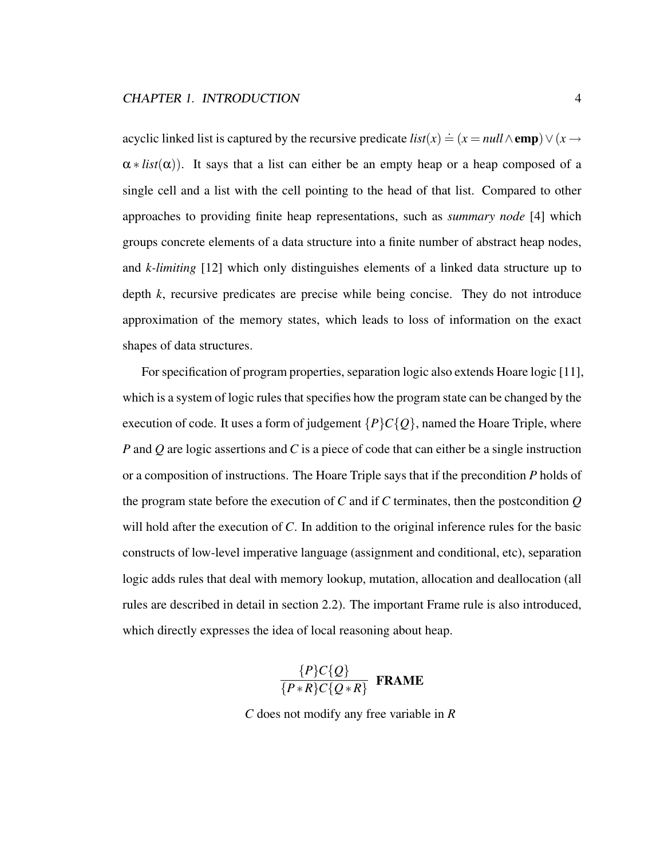acyclic linked list is captured by the recursive predicate  $list(x) \doteq (x = null \wedge \text{emp}) \vee (x \rightarrow$  $\alpha * list(\alpha)$ . It says that a list can either be an empty heap or a heap composed of a single cell and a list with the cell pointing to the head of that list. Compared to other approaches to providing finite heap representations, such as *summary node* [4] which groups concrete elements of a data structure into a finite number of abstract heap nodes, and *k-limiting* [12] which only distinguishes elements of a linked data structure up to depth *k*, recursive predicates are precise while being concise. They do not introduce approximation of the memory states, which leads to loss of information on the exact shapes of data structures.

For specification of program properties, separation logic also extends Hoare logic [11], which is a system of logic rules that specifies how the program state can be changed by the execution of code. It uses a form of judgement  $\{P\}C\{Q\}$ , named the Hoare Triple, where *P* and *Q* are logic assertions and *C* is a piece of code that can either be a single instruction or a composition of instructions. The Hoare Triple says that if the precondition *P* holds of the program state before the execution of *C* and if *C* terminates, then the postcondition *Q* will hold after the execution of *C*. In addition to the original inference rules for the basic constructs of low-level imperative language (assignment and conditional, etc), separation logic adds rules that deal with memory lookup, mutation, allocation and deallocation (all rules are described in detail in section 2.2). The important Frame rule is also introduced, which directly expresses the idea of local reasoning about heap.

$$
\frac{\{P\}C\{Q\}}{\{P * R\}C\{Q * R\}}
$$
 FRAME

*C* does not modify any free variable in *R*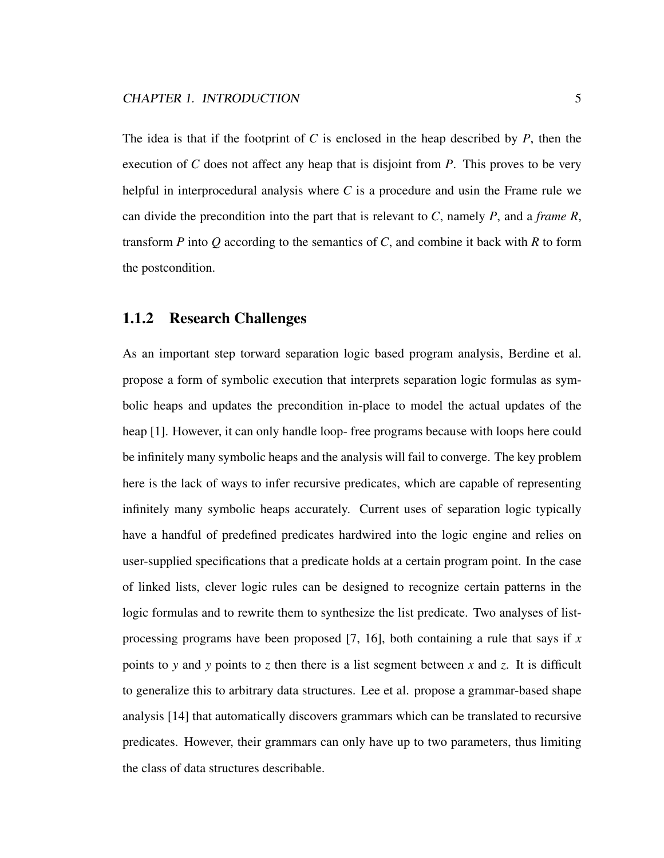The idea is that if the footprint of *C* is enclosed in the heap described by *P*, then the execution of *C* does not affect any heap that is disjoint from *P*. This proves to be very helpful in interprocedural analysis where *C* is a procedure and usin the Frame rule we can divide the precondition into the part that is relevant to *C*, namely *P*, and a *frame R*, transform *P* into *Q* according to the semantics of *C*, and combine it back with *R* to form the postcondition.

#### 1.1.2 Research Challenges

As an important step torward separation logic based program analysis, Berdine et al. propose a form of symbolic execution that interprets separation logic formulas as symbolic heaps and updates the precondition in-place to model the actual updates of the heap [1]. However, it can only handle loop- free programs because with loops here could be infinitely many symbolic heaps and the analysis will fail to converge. The key problem here is the lack of ways to infer recursive predicates, which are capable of representing infinitely many symbolic heaps accurately. Current uses of separation logic typically have a handful of predefined predicates hardwired into the logic engine and relies on user-supplied specifications that a predicate holds at a certain program point. In the case of linked lists, clever logic rules can be designed to recognize certain patterns in the logic formulas and to rewrite them to synthesize the list predicate. Two analyses of listprocessing programs have been proposed [7, 16], both containing a rule that says if *x* points to *y* and *y* points to *z* then there is a list segment between *x* and *z*. It is difficult to generalize this to arbitrary data structures. Lee et al. propose a grammar-based shape analysis [14] that automatically discovers grammars which can be translated to recursive predicates. However, their grammars can only have up to two parameters, thus limiting the class of data structures describable.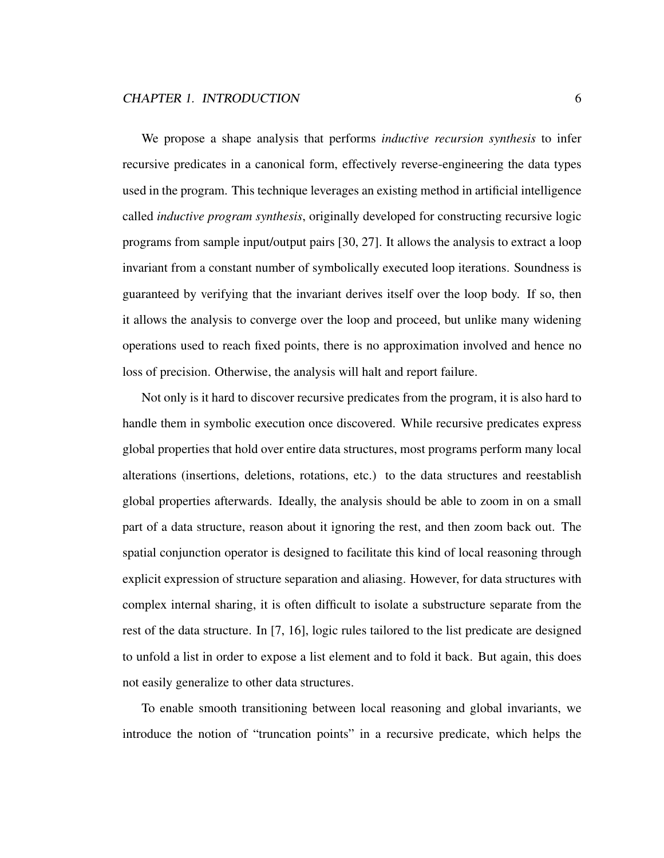We propose a shape analysis that performs *inductive recursion synthesis* to infer recursive predicates in a canonical form, effectively reverse-engineering the data types used in the program. This technique leverages an existing method in artificial intelligence called *inductive program synthesis*, originally developed for constructing recursive logic programs from sample input/output pairs [30, 27]. It allows the analysis to extract a loop invariant from a constant number of symbolically executed loop iterations. Soundness is guaranteed by verifying that the invariant derives itself over the loop body. If so, then it allows the analysis to converge over the loop and proceed, but unlike many widening operations used to reach fixed points, there is no approximation involved and hence no loss of precision. Otherwise, the analysis will halt and report failure.

Not only is it hard to discover recursive predicates from the program, it is also hard to handle them in symbolic execution once discovered. While recursive predicates express global properties that hold over entire data structures, most programs perform many local alterations (insertions, deletions, rotations, etc.) to the data structures and reestablish global properties afterwards. Ideally, the analysis should be able to zoom in on a small part of a data structure, reason about it ignoring the rest, and then zoom back out. The spatial conjunction operator is designed to facilitate this kind of local reasoning through explicit expression of structure separation and aliasing. However, for data structures with complex internal sharing, it is often difficult to isolate a substructure separate from the rest of the data structure. In [7, 16], logic rules tailored to the list predicate are designed to unfold a list in order to expose a list element and to fold it back. But again, this does not easily generalize to other data structures.

To enable smooth transitioning between local reasoning and global invariants, we introduce the notion of "truncation points" in a recursive predicate, which helps the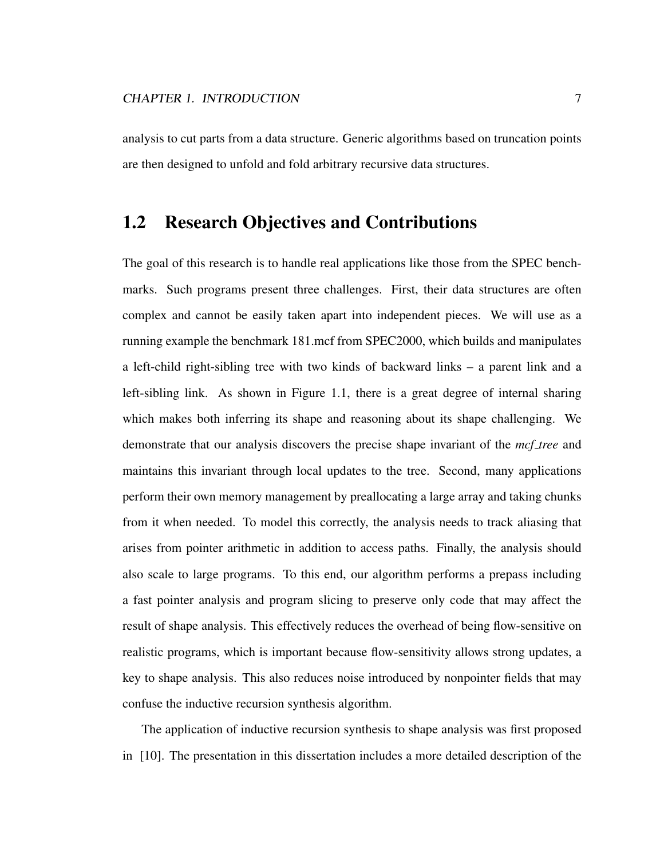analysis to cut parts from a data structure. Generic algorithms based on truncation points are then designed to unfold and fold arbitrary recursive data structures.

## 1.2 Research Objectives and Contributions

The goal of this research is to handle real applications like those from the SPEC benchmarks. Such programs present three challenges. First, their data structures are often complex and cannot be easily taken apart into independent pieces. We will use as a running example the benchmark 181.mcf from SPEC2000, which builds and manipulates a left-child right-sibling tree with two kinds of backward links – a parent link and a left-sibling link. As shown in Figure 1.1, there is a great degree of internal sharing which makes both inferring its shape and reasoning about its shape challenging. We demonstrate that our analysis discovers the precise shape invariant of the *mcf tree* and maintains this invariant through local updates to the tree. Second, many applications perform their own memory management by preallocating a large array and taking chunks from it when needed. To model this correctly, the analysis needs to track aliasing that arises from pointer arithmetic in addition to access paths. Finally, the analysis should also scale to large programs. To this end, our algorithm performs a prepass including a fast pointer analysis and program slicing to preserve only code that may affect the result of shape analysis. This effectively reduces the overhead of being flow-sensitive on realistic programs, which is important because flow-sensitivity allows strong updates, a key to shape analysis. This also reduces noise introduced by nonpointer fields that may confuse the inductive recursion synthesis algorithm.

The application of inductive recursion synthesis to shape analysis was first proposed in [10]. The presentation in this dissertation includes a more detailed description of the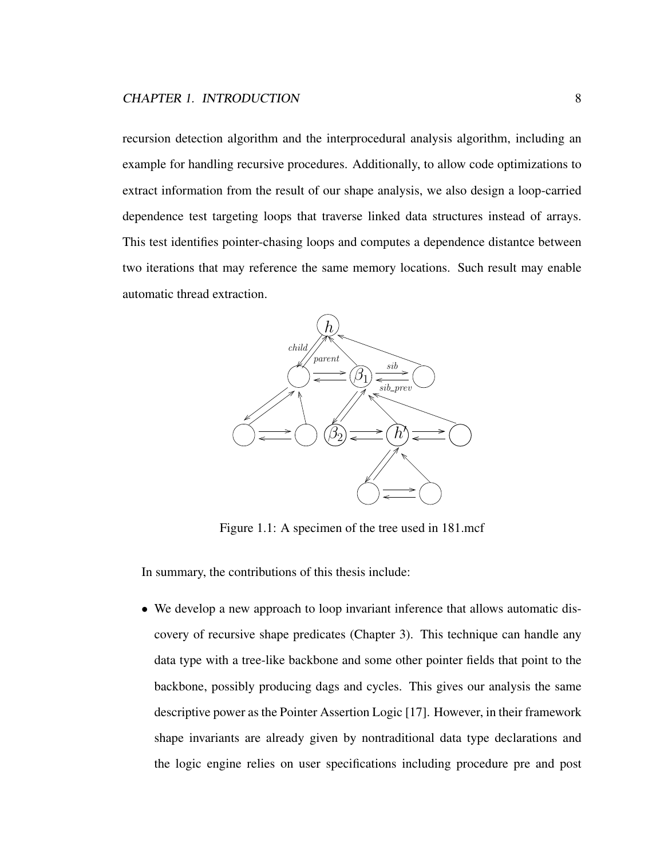recursion detection algorithm and the interprocedural analysis algorithm, including an example for handling recursive procedures. Additionally, to allow code optimizations to extract information from the result of our shape analysis, we also design a loop-carried dependence test targeting loops that traverse linked data structures instead of arrays. This test identifies pointer-chasing loops and computes a dependence distantce between two iterations that may reference the same memory locations. Such result may enable automatic thread extraction.



Figure 1.1: A specimen of the tree used in 181.mcf

In summary, the contributions of this thesis include:

• We develop a new approach to loop invariant inference that allows automatic discovery of recursive shape predicates (Chapter 3). This technique can handle any data type with a tree-like backbone and some other pointer fields that point to the backbone, possibly producing dags and cycles. This gives our analysis the same descriptive power as the Pointer Assertion Logic [17]. However, in their framework shape invariants are already given by nontraditional data type declarations and the logic engine relies on user specifications including procedure pre and post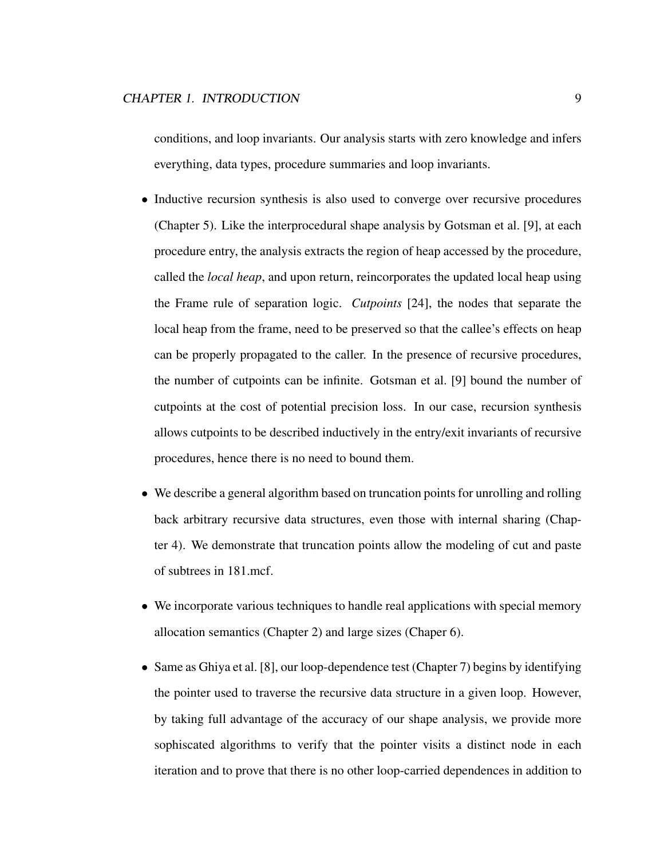conditions, and loop invariants. Our analysis starts with zero knowledge and infers everything, data types, procedure summaries and loop invariants.

- Inductive recursion synthesis is also used to converge over recursive procedures (Chapter 5). Like the interprocedural shape analysis by Gotsman et al. [9], at each procedure entry, the analysis extracts the region of heap accessed by the procedure, called the *local heap*, and upon return, reincorporates the updated local heap using the Frame rule of separation logic. *Cutpoints* [24], the nodes that separate the local heap from the frame, need to be preserved so that the callee's effects on heap can be properly propagated to the caller. In the presence of recursive procedures, the number of cutpoints can be infinite. Gotsman et al. [9] bound the number of cutpoints at the cost of potential precision loss. In our case, recursion synthesis allows cutpoints to be described inductively in the entry/exit invariants of recursive procedures, hence there is no need to bound them.
- We describe a general algorithm based on truncation points for unrolling and rolling back arbitrary recursive data structures, even those with internal sharing (Chapter 4). We demonstrate that truncation points allow the modeling of cut and paste of subtrees in 181.mcf.
- We incorporate various techniques to handle real applications with special memory allocation semantics (Chapter 2) and large sizes (Chaper 6).
- Same as Ghiya et al. [8], our loop-dependence test (Chapter 7) begins by identifying the pointer used to traverse the recursive data structure in a given loop. However, by taking full advantage of the accuracy of our shape analysis, we provide more sophiscated algorithms to verify that the pointer visits a distinct node in each iteration and to prove that there is no other loop-carried dependences in addition to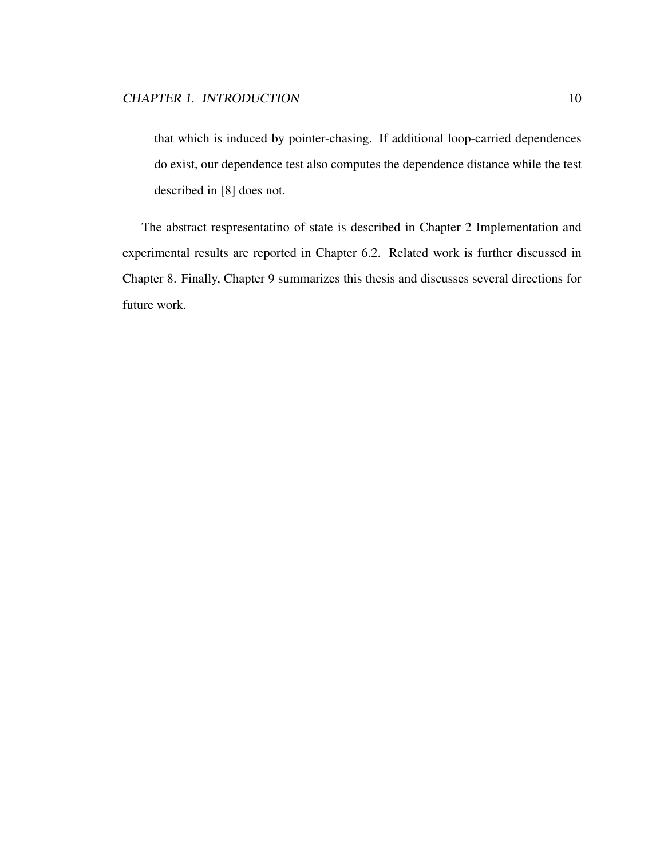that which is induced by pointer-chasing. If additional loop-carried dependences do exist, our dependence test also computes the dependence distance while the test described in [8] does not.

The abstract respresentatino of state is described in Chapter 2 Implementation and experimental results are reported in Chapter 6.2. Related work is further discussed in Chapter 8. Finally, Chapter 9 summarizes this thesis and discusses several directions for future work.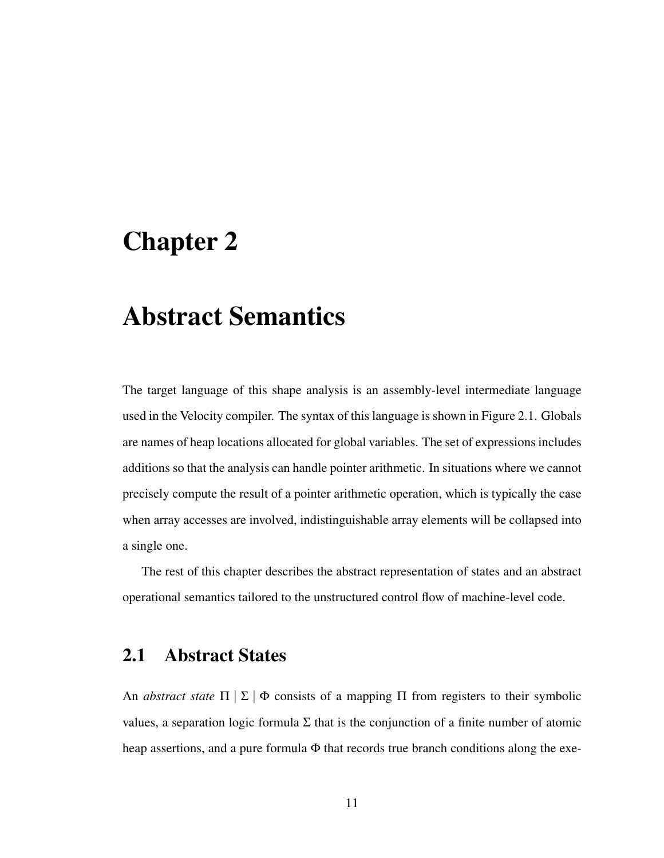## Chapter 2

## Abstract Semantics

The target language of this shape analysis is an assembly-level intermediate language used in the Velocity compiler. The syntax of this language is shown in Figure 2.1. Globals are names of heap locations allocated for global variables. The set of expressions includes additions so that the analysis can handle pointer arithmetic. In situations where we cannot precisely compute the result of a pointer arithmetic operation, which is typically the case when array accesses are involved, indistinguishable array elements will be collapsed into a single one.

The rest of this chapter describes the abstract representation of states and an abstract operational semantics tailored to the unstructured control flow of machine-level code.

### 2.1 Abstract States

An *abstract state*  $\Pi | \Sigma | \Phi$  consists of a mapping  $\Pi$  from registers to their symbolic values, a separation logic formula Σ that is the conjunction of a finite number of atomic heap assertions, and a pure formula  $\Phi$  that records true branch conditions along the exe-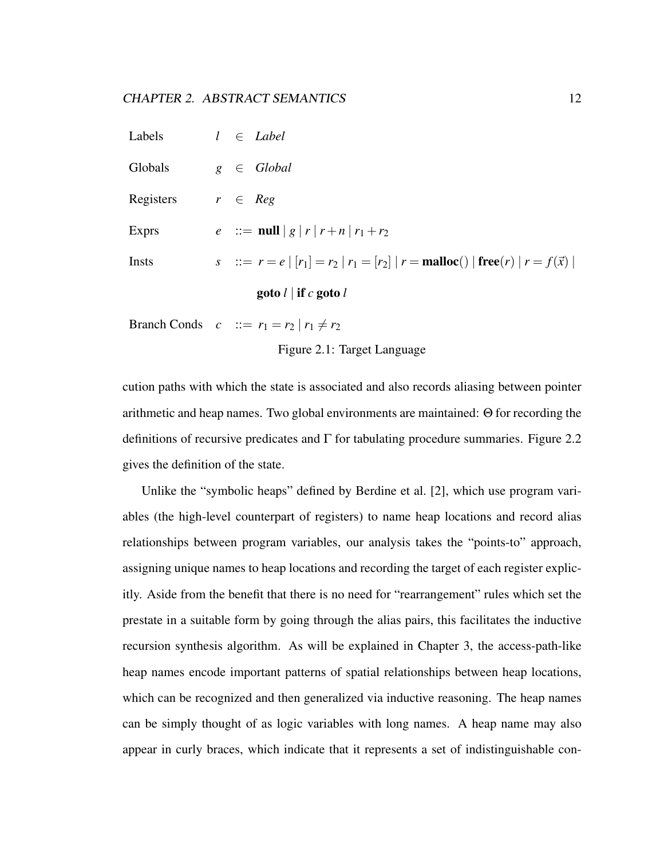#### CHAPTER 2. ABSTRACT SEMANTICS 12

| Labels    | $l \in Label$                                                                                          |
|-----------|--------------------------------------------------------------------------------------------------------|
| Globals   | $g \in Global$                                                                                         |
| Registers | $r \in Reg$                                                                                            |
| Exprs     | $e$ ::= null   g   r   r + n   r <sub>1</sub> + r <sub>2</sub>                                         |
| Insts     | s ::= $r = e   [r_1] = r_2   r_1 = [r_2]   r =$ <b>malloc</b> () $  \text{free}(r)   r = f(\vec{x})  $ |
|           | goto $l \mid$ if c goto $l$                                                                            |
|           |                                                                                                        |

Branch Conds  $c$  ::=  $r_1 = r_2 | r_1 \neq r_2$ 

Figure 2.1: Target Language

cution paths with which the state is associated and also records aliasing between pointer arithmetic and heap names. Two global environments are maintained: Θ for recording the definitions of recursive predicates and  $\Gamma$  for tabulating procedure summaries. Figure 2.2 gives the definition of the state.

Unlike the "symbolic heaps" defined by Berdine et al. [2], which use program variables (the high-level counterpart of registers) to name heap locations and record alias relationships between program variables, our analysis takes the "points-to" approach, assigning unique names to heap locations and recording the target of each register explicitly. Aside from the benefit that there is no need for "rearrangement" rules which set the prestate in a suitable form by going through the alias pairs, this facilitates the inductive recursion synthesis algorithm. As will be explained in Chapter 3, the access-path-like heap names encode important patterns of spatial relationships between heap locations, which can be recognized and then generalized via inductive reasoning. The heap names can be simply thought of as logic variables with long names. A heap name may also appear in curly braces, which indicate that it represents a set of indistinguishable con-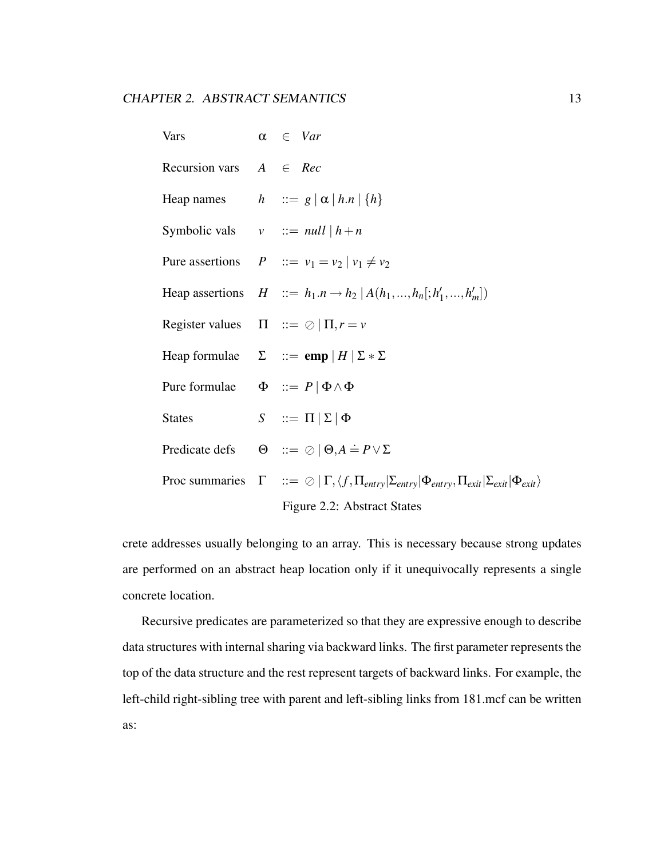| <b>Vars</b>                                   | $\alpha \in Var$                                                                                                                                          |
|-----------------------------------------------|-----------------------------------------------------------------------------------------------------------------------------------------------------------|
| Recursion vars $A \in Rec$                    |                                                                                                                                                           |
|                                               | Heap names $h ::= g   \alpha   h.n   \{h\}$                                                                                                               |
| Symbolic vals $v ::= null \mid h+n$           |                                                                                                                                                           |
|                                               | Pure assertions $P ::= v_1 = v_2   v_1 \neq v_2$                                                                                                          |
|                                               | Heap assertions $H ::= h_1.n \rightarrow h_2   A(h_1,,h_n[:,h'_1,,h'_m])$                                                                                 |
|                                               | Register values $\Pi ::= \oslash  \Pi, r = v$                                                                                                             |
|                                               | Heap formulae $\Sigma$ ::= emp   H   $\Sigma * \Sigma$                                                                                                    |
| Pure formulae $\Phi ::= P   \Phi \wedge \Phi$ |                                                                                                                                                           |
| <b>States</b>                                 | $S$ : $\equiv \Pi   \Sigma   \Phi$                                                                                                                        |
|                                               | Predicate defs $\Theta$ ::= $\oslash \Theta$ , $A = P \vee \Sigma$                                                                                        |
|                                               | Proc summaries $\Gamma$ ::= $\oslash$ $ \Gamma, \langle f, \Pi_{entry}   \Sigma_{entry}   \Phi_{entry}, \Pi_{exit}   \Sigma_{exit}   \Phi_{exit} \rangle$ |
|                                               | Figure 2.2: Abstract States                                                                                                                               |

crete addresses usually belonging to an array. This is necessary because strong updates are performed on an abstract heap location only if it unequivocally represents a single concrete location.

Recursive predicates are parameterized so that they are expressive enough to describe data structures with internal sharing via backward links. The first parameter represents the top of the data structure and the rest represent targets of backward links. For example, the left-child right-sibling tree with parent and left-sibling links from 181.mcf can be written as: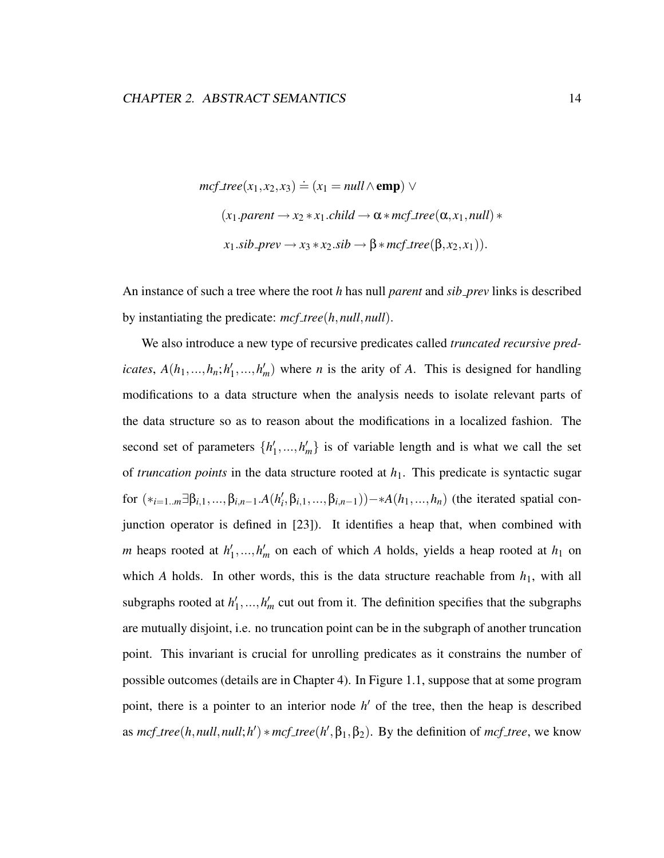$$
mcf\_tree(x_1, x_2, x_3) \doteq (x_1 = null \land \text{emp}) \lor
$$
  
(x\_1.parent  $\rightarrow x_2 * x_1$ .child  $\rightarrow \alpha * mcf\_tree(\alpha, x_1, null) *$   
x\_1.sib\\_prev  $\rightarrow x_3 * x_2$ .sib  $\rightarrow \beta * mcf\_tree(\beta, x_2, x_1)).$ 

An instance of such a tree where the root *h* has null *parent* and *sib prev* links is described by instantiating the predicate: *mcf tree*(*h*,*null*,*null*).

We also introduce a new type of recursive predicates called *truncated recursive predicates*,  $A(h_1, ..., h_n; h_1)$  $h'_1, ..., h'_m$  where *n* is the arity of *A*. This is designed for handling modifications to a data structure when the analysis needs to isolate relevant parts of the data structure so as to reason about the modifications in a localized fashion. The second set of parameters  $\{h_1\}$  $\{1, ..., h'_m\}$  is of variable length and is what we call the set of *truncation points* in the data structure rooted at *h*1. This predicate is syntactic sugar  $for$  (\*<sub>*i*=1.*m*</sub>∃β<sub>*i*,1</sub>,...,β<sub>*i,n*−1</sub>.*A*(*h*<sup>*i*</sup>,β<sub>*i*,1</sub>,...,β<sub>*i,n*−1</sub>))–∗*A*(*h*<sub>1</sub>,...,*h<sub>n</sub>*) (the iterated spatial conjunction operator is defined in [23]). It identifies a heap that, when combined with *m* heaps rooted at  $h_1$ <sup>*l*</sup>  $h'_1, ..., h'_m$  on each of which *A* holds, yields a heap rooted at  $h_1$  on which *A* holds. In other words, this is the data structure reachable from  $h_1$ , with all subgraphs rooted at  $h_1$ <sup> $h_2$ </sup>  $h'_1, \ldots, h'_m$  cut out from it. The definition specifies that the subgraphs are mutually disjoint, i.e. no truncation point can be in the subgraph of another truncation point. This invariant is crucial for unrolling predicates as it constrains the number of possible outcomes (details are in Chapter 4). In Figure 1.1, suppose that at some program point, there is a pointer to an interior node h' of the tree, then the heap is described as  $mcf\_tree(h, null, null; h') * mcf\_tree(h', \beta_1, \beta_2)$ . By the definition of  $mcf\_tree$ , we know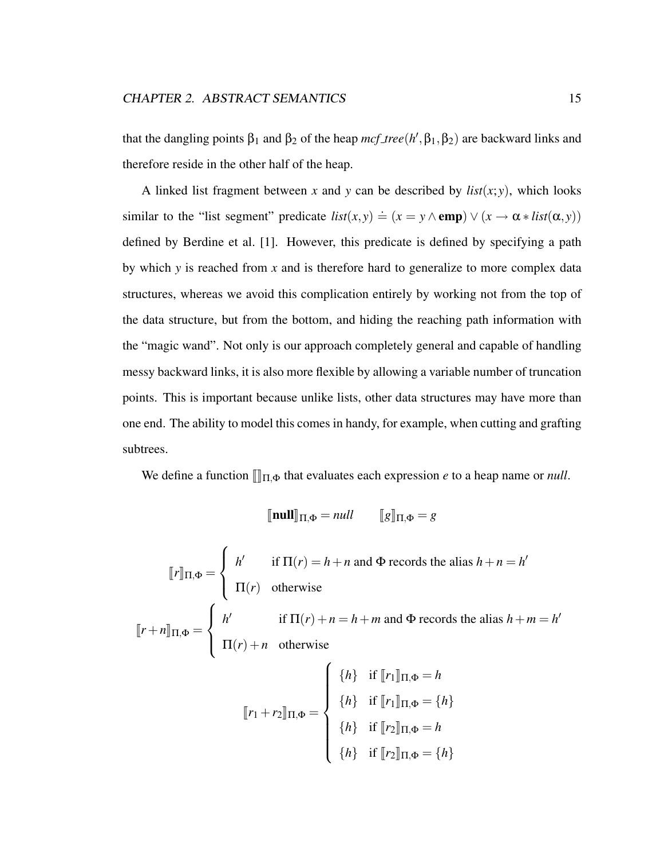that the dangling points  $\beta_1$  and  $\beta_2$  of the heap  $mcf_{\text{p}}(h', \beta_1, \beta_2)$  are backward links and therefore reside in the other half of the heap.

A linked list fragment between *x* and *y* can be described by  $list(x, y)$ , which looks similar to the "list segment" predicate  $list(x, y) \doteq (x = y \land \text{emp}) \lor (x \rightarrow \alpha * list(\alpha, y))$ defined by Berdine et al. [1]. However, this predicate is defined by specifying a path by which *y* is reached from *x* and is therefore hard to generalize to more complex data structures, whereas we avoid this complication entirely by working not from the top of the data structure, but from the bottom, and hiding the reaching path information with the "magic wand". Not only is our approach completely general and capable of handling messy backward links, it is also more flexible by allowing a variable number of truncation points. This is important because unlike lists, other data structures may have more than one end. The ability to model this comes in handy, for example, when cutting and grafting subtrees.

We define a function  $\llbracket \ln \right]$ <sub>Π,Φ</sub> that evaluates each expression *e* to a heap name or *null*.

$$
[\![\mathbf{null}]\!]_{\Pi,\Phi} = \mathit{null} \qquad [\![g]\!]_{\Pi,\Phi} = g
$$

$$
\llbracket r \rrbracket_{\Pi, \Phi} = \begin{cases} h' & \text{if } \Pi(r) = h + n \text{ and } \Phi \text{ records the alias } h + n = h' \\ \Pi(r) & \text{otherwise} \end{cases}
$$
\n
$$
\llbracket r + n \rrbracket_{\Pi, \Phi} = \begin{cases} h' & \text{if } \Pi(r) + n = h + m \text{ and } \Phi \text{ records the alias } h + m = h' \\ \Pi(r) + n & \text{otherwise} \end{cases}
$$
\n
$$
\llbracket r_1 + r_2 \rrbracket_{\Pi, \Phi} = \begin{cases} \{h\} & \text{if } \llbracket r_1 \rrbracket_{\Pi, \Phi} = h \\ \{h\} & \text{if } \llbracket r_2 \rrbracket_{\Pi, \Phi} = h \\ \{h\} & \text{if } \llbracket r_2 \rrbracket_{\Pi, \Phi} = \{h\} \end{cases}
$$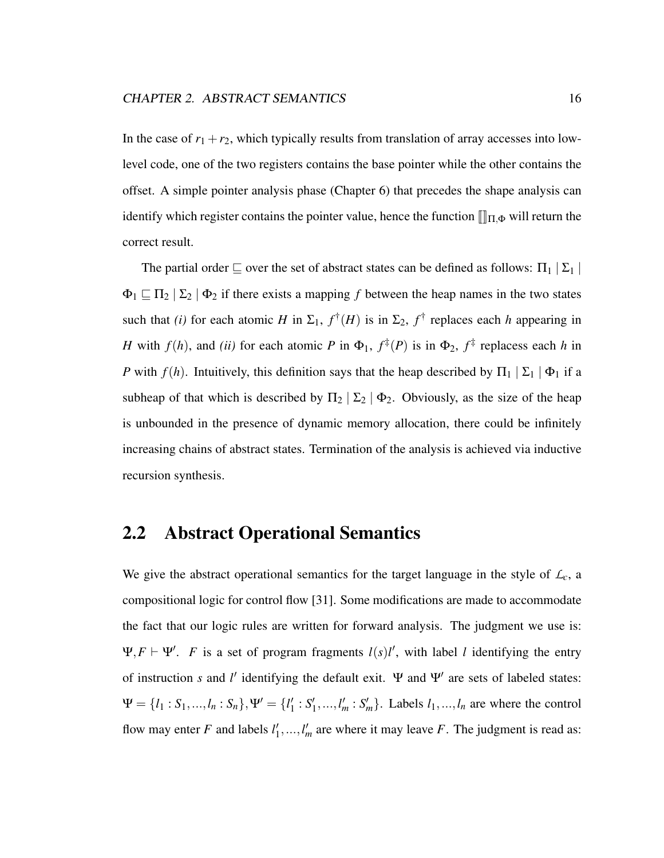In the case of  $r_1 + r_2$ , which typically results from translation of array accesses into lowlevel code, one of the two registers contains the base pointer while the other contains the offset. A simple pointer analysis phase (Chapter 6) that precedes the shape analysis can identify which register contains the pointer value, hence the function  $\llbracket \ln \varphi$  will return the correct result.

The partial order  $\sqsubseteq$  over the set of abstract states can be defined as follows:  $\Pi_1 | \Sigma_1 |$  $\Phi_1 \sqsubseteq \Pi_2 | \Sigma_2 | \Phi_2$  if there exists a mapping *f* between the heap names in the two states such that *(i)* for each atomic *H* in  $\Sigma_1$ ,  $f^{\dagger}(H)$  is in  $\Sigma_2$ ,  $f^{\dagger}$  replaces each *h* appearing in *H* with  $f(h)$ , and *(ii)* for each atomic *P* in  $\Phi_1$ ,  $f^{\ddagger}(P)$  is in  $\Phi_2$ ,  $f^{\ddagger}$  replacess each *h* in *P* with  $f(h)$ . Intuitively, this definition says that the heap described by  $\Pi_1 | \Sigma_1 | \Phi_1$  if a subheap of that which is described by  $\Pi_2 | \Sigma_2 | \Phi_2$ . Obviously, as the size of the heap is unbounded in the presence of dynamic memory allocation, there could be infinitely increasing chains of abstract states. Termination of the analysis is achieved via inductive recursion synthesis.

## 2.2 Abstract Operational Semantics

We give the abstract operational semantics for the target language in the style of  $\mathcal{L}_c$ , a compositional logic for control flow [31]. Some modifications are made to accommodate the fact that our logic rules are written for forward analysis. The judgment we use is:  $\Psi$ ,  $F \vdash \Psi'$ . *F* is a set of program fragments  $l(s)l'$ , with label *l* identifying the entry of instruction *s* and *l'* identifying the default exit. Ψ and Ψ' are sets of labeled states:  $\Psi = \{l_1 : S_1, ..., l_n : S_n\}, \Psi' = \{l'_1\}$  $'_{1}$ :  $S'_{1}$  $I'_1, \ldots, I'_m : S'_m$ . Labels  $l_1, \ldots, l_n$  are where the control flow may enter  $F$  and labels  $l_1$ <sup>'</sup>  $l'_1, ..., l'_m$  are where it may leave *F*. The judgment is read as: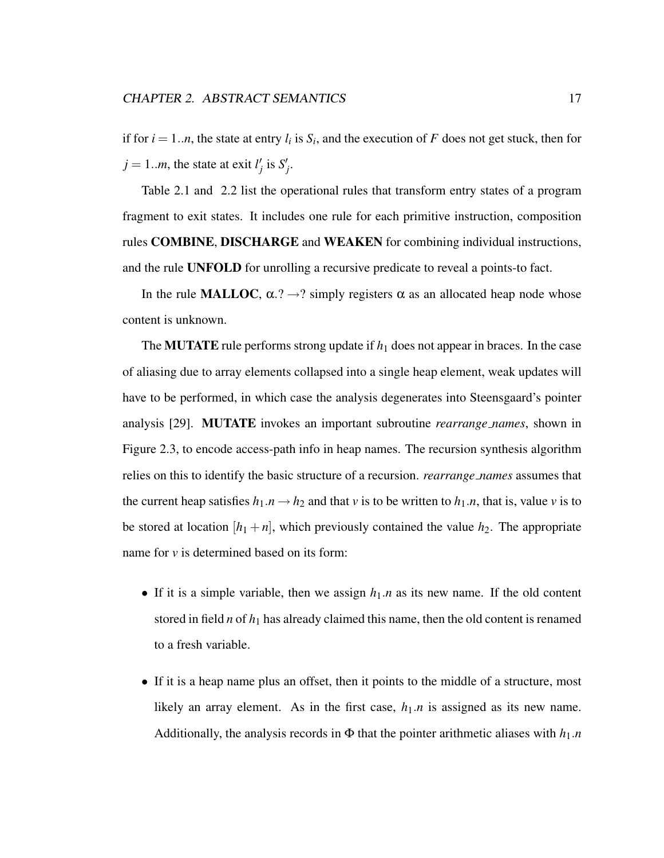if for  $i = 1...n$ , the state at entry  $l_i$  is  $S_i$ , and the execution of  $F$  does not get stuck, then for  $j = 1..m$ , the state at exit  $l'_j$  is  $S'_j$ .

Table 2.1 and 2.2 list the operational rules that transform entry states of a program fragment to exit states. It includes one rule for each primitive instruction, composition rules COMBINE, DISCHARGE and WEAKEN for combining individual instructions, and the rule UNFOLD for unrolling a recursive predicate to reveal a points-to fact.

In the rule MALLOC,  $\alpha$ .?  $\rightarrow$ ? simply registers  $\alpha$  as an allocated heap node whose content is unknown.

The **MUTATE** rule performs strong update if  $h_1$  does not appear in braces. In the case of aliasing due to array elements collapsed into a single heap element, weak updates will have to be performed, in which case the analysis degenerates into Steensgaard's pointer analysis [29]. MUTATE invokes an important subroutine *rearrange names*, shown in Figure 2.3, to encode access-path info in heap names. The recursion synthesis algorithm relies on this to identify the basic structure of a recursion. *rearrange names* assumes that the current heap satisfies  $h_1 \cdot n \rightarrow h_2$  and that *v* is to be written to  $h_1 \cdot n$ , that is, value *v* is to be stored at location  $[h_1 + n]$ , which previously contained the value  $h_2$ . The appropriate name for *v* is determined based on its form:

- If it is a simple variable, then we assign  $h_1 \cdot n$  as its new name. If the old content stored in field  $n$  of  $h_1$  has already claimed this name, then the old content is renamed to a fresh variable.
- If it is a heap name plus an offset, then it points to the middle of a structure, most likely an array element. As in the first case,  $h_1.n$  is assigned as its new name. Additionally, the analysis records in  $\Phi$  that the pointer arithmetic aliases with  $h_1.n$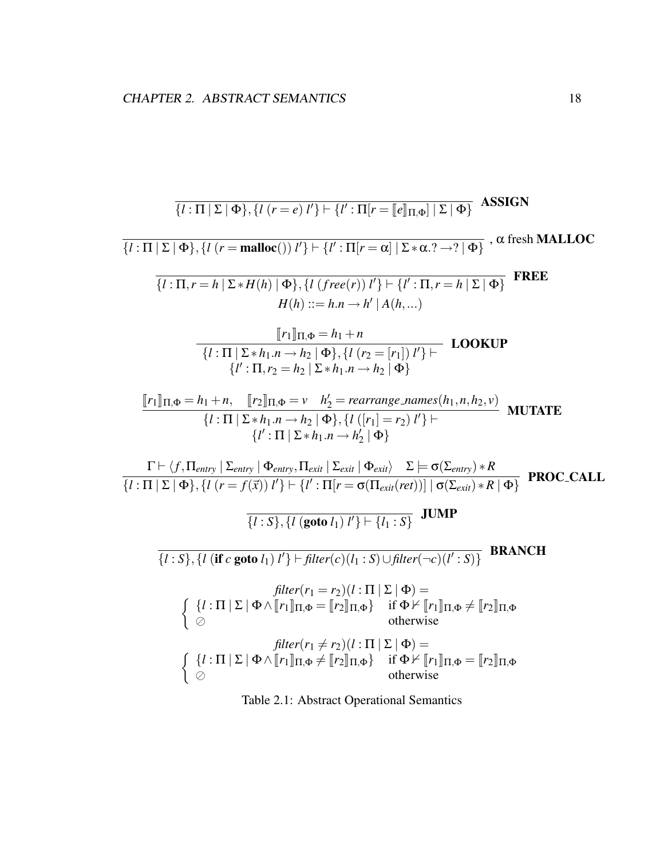$$
\frac{1}{\{l: \Pi | \Sigma | \Phi\}, \{l (r = e) l'\} \mid \{l': \Pi | r = ||e||_{\Pi, \Phi}\} \subseteq \text{ASSIGN}
$$
\n
$$
\frac{1}{\{l: \Pi | \Sigma | \Phi\}, \{l (r = \text{malloc}()) l'\} \mid \{l': \Pi | r = \alpha | |\Sigma * \alpha . ? \rightarrow ? | \Phi\}} \text{, } \alpha \text{ fresh MALLOC}
$$
\n
$$
\frac{1}{\{l: \Pi, r = h | \Sigma * H(h) | \Phi\}, \{l (free(r)) l'\} \mid \{l': \Pi, r = h | \Sigma | \Phi\}} \text{FREE}
$$
\n
$$
H(h) ::= h.n \rightarrow h' | A(h, ...)
$$
\n
$$
\frac{[r_1]_{\Pi, \Phi}}{[l': \Pi, r_2 = h_2 | \Sigma * h_1.n \rightarrow h_2 | \Phi\}, \{l (r_2 = [r_1]) l'\} \mid \text{LOOKUP}
$$
\n
$$
\{l': \Pi, r_2 = h_2 | \Sigma * h_1.n \rightarrow h_2 | \Phi\}
$$
\n
$$
\frac{[r_1]_{\Pi, \Phi} = h_1 + n}{\{l': \Pi | \Sigma * h_1.n \rightarrow h_2 | \Phi\}, \{l (r_2 = [r_1]) l'\} \mid \text{LOOKUP}
$$
\n
$$
\frac{1}{\{l': \Pi | \Sigma * h_1.n \rightarrow h_2 | \Phi\}} \Phi\}
$$
\n
$$
\frac{1}{\{l': \Pi | \Sigma * h_1.n \rightarrow h_2 | \Phi\}, \{l ([r_1] = r_2) l'\} \mid \text{LUATE}
$$
\n
$$
\frac{1}{\{l': \Pi | \Sigma * h_1.n \rightarrow h_2 | \Phi\}} \Phi\}
$$
\n
$$
\Gamma \vdash \langle f, \Pi_{entry} | \Sigma_{entry} | \Phi_{entry}, \Pi_{exit} | \Sigma_{exit} | \Phi_{exit} \rangle \Sigma \models \sigma(\Sigma_{entry}) * R}{\{l': \Pi | \Sigma | \Phi\}, \{l (r = f(\overline{x})) l'\} \mid \text{H} \cdot \text{I}} \text{JUMP}
$$
\n
$$
\frac{1}{\{l:S\}, \{l (\text{goto } l_1) l'\} \mid \text{filter}(r(c)(l:S)) \cup \text{filter}(-c)(l': S
$$

Table 2.1: Abstract Operational Semantics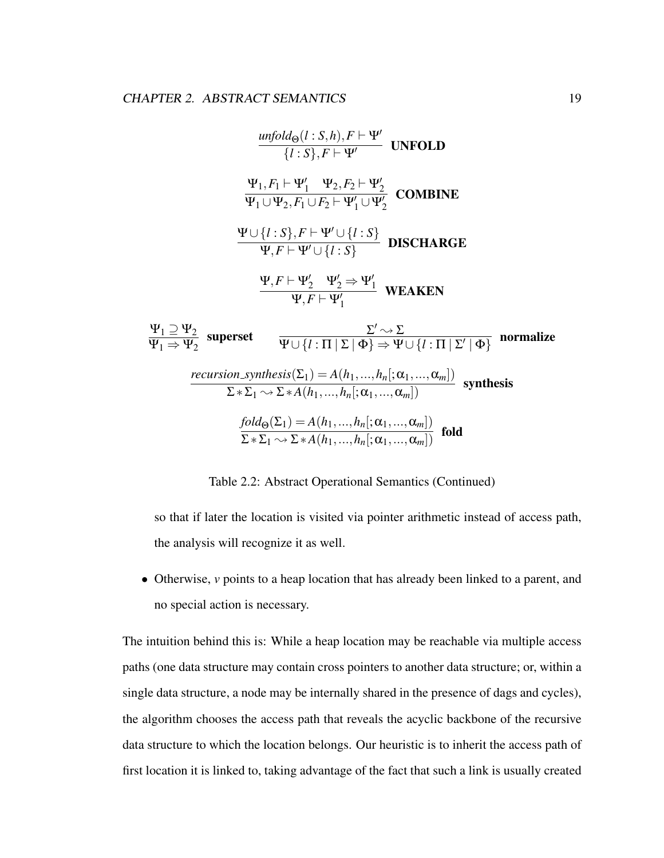$$
\frac{\text{unfold}_{\Theta}(l: S, h), F \vdash \Psi'}{\{l: S\}, F \vdash \Psi'}
$$
 UNFOLD  
\n
$$
\frac{\Psi_1, F_1 \vdash \Psi'_1 \quad \Psi_2, F_2 \vdash \Psi'_2}{\Psi_1 \cup \Psi_2, F_1 \cup F_2 \vdash \Psi'_1 \cup \Psi'_2}
$$
 COMBINE  
\n
$$
\frac{\Psi \cup \{l: S\}, F \vdash \Psi' \cup \{l: S\}}{\Psi, F \vdash \Psi' \cup \{l: S\}}
$$
 DISCHARGE  
\n
$$
\frac{\Psi, F \vdash \Psi'_2 \quad \Psi'_2 \Rightarrow \Psi'_1}{\Psi, F \vdash \Psi'_1}
$$
 WEAKEN  
\n
$$
\frac{\Psi_1 \supseteq \Psi_2}{\Psi_1 \Rightarrow \Psi_2}
$$
 superset  
\n
$$
\frac{\Sigma' \rightsquigarrow \Sigma}{\Psi \cup \{l: \Pi \mid \Sigma \mid \Phi\} \Rightarrow \Psi \cup \{l: \Pi \mid \Sigma' \mid \Phi\}}
$$
 normalize  
\nrecursion-synthesis ( $\Sigma_1$ ) =  $A(h_1, ..., h_n[; \alpha_1, ..., \alpha_m])$  synthesis  
\n
$$
\frac{fold_{\Theta}(\Sigma_1) = A(h_1, ..., h_n[; \alpha_1, ..., \alpha_m])}{\Sigma * \Sigma_1 \rightsquigarrow \Sigma * A(h_1, ..., h_n[; \alpha_1, ..., \alpha_m])}
$$
 fold  
\n
$$
\frac{fold_{\Theta}(\Sigma_1) = A(h_1, ..., h_n[; \alpha_1, ..., \alpha_m])}{\Sigma * \Sigma_1 \rightsquigarrow \Sigma * A(h_1, ..., h_n[; \alpha_1, ..., \alpha_m])}
$$
 fold

Table 2.2: Abstract Operational Semantics (Continued)

so that if later the location is visited via pointer arithmetic instead of access path, the analysis will recognize it as well.

• Otherwise, *v* points to a heap location that has already been linked to a parent, and no special action is necessary.

The intuition behind this is: While a heap location may be reachable via multiple access paths (one data structure may contain cross pointers to another data structure; or, within a single data structure, a node may be internally shared in the presence of dags and cycles), the algorithm chooses the access path that reveals the acyclic backbone of the recursive data structure to which the location belongs. Our heuristic is to inherit the access path of first location it is linked to, taking advantage of the fact that such a link is usually created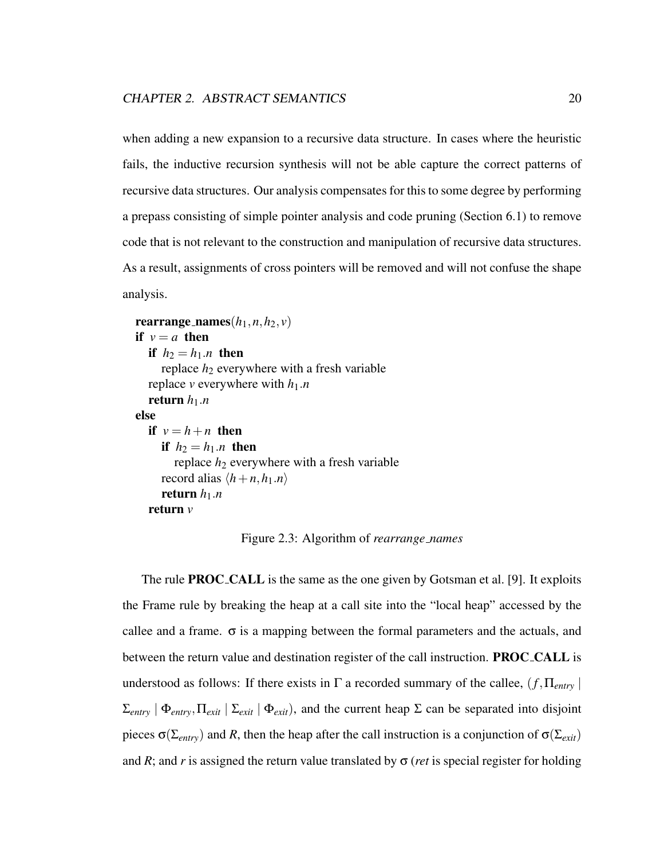when adding a new expansion to a recursive data structure. In cases where the heuristic fails, the inductive recursion synthesis will not be able capture the correct patterns of recursive data structures. Our analysis compensates for this to some degree by performing a prepass consisting of simple pointer analysis and code pruning (Section 6.1) to remove code that is not relevant to the construction and manipulation of recursive data structures. As a result, assignments of cross pointers will be removed and will not confuse the shape analysis.

```
rearrange_names(h_1, n, h_2, v)if v = a then
  if h_2 = h_1.n then
     replace h_2 everywhere with a fresh variable
  replace v everywhere with h_1.nreturn h_1.nelse
  if v = h + n then
     if h_2 = h_1.n then
       replace h_2 everywhere with a fresh variable
     record alias \langle h+n, h_1 \ranglereturn h_1.nreturn v
```
Figure 2.3: Algorithm of *rearrange names*

The rule **PROC\_CALL** is the same as the one given by Gotsman et al. [9]. It exploits the Frame rule by breaking the heap at a call site into the "local heap" accessed by the callee and a frame.  $\sigma$  is a mapping between the formal parameters and the actuals, and between the return value and destination register of the call instruction. **PROC\_CALL** is understood as follows: If there exists in  $\Gamma$  a recorded summary of the callee,  $(f, \Pi_{entry} |$  $\Sigma_{entry}$  |  $\Phi_{entry}$ ,  $\Pi_{exit}$  |  $\Sigma_{exit}$  |  $\Phi_{exit}$ ), and the current heap  $\Sigma$  can be separated into disjoint pieces  $\sigma(\Sigma_{entry})$  and *R*, then the heap after the call instruction is a conjunction of  $\sigma(\Sigma_{exit})$ and *R*; and *r* is assigned the return value translated by  $\sigma$  (*ret* is special register for holding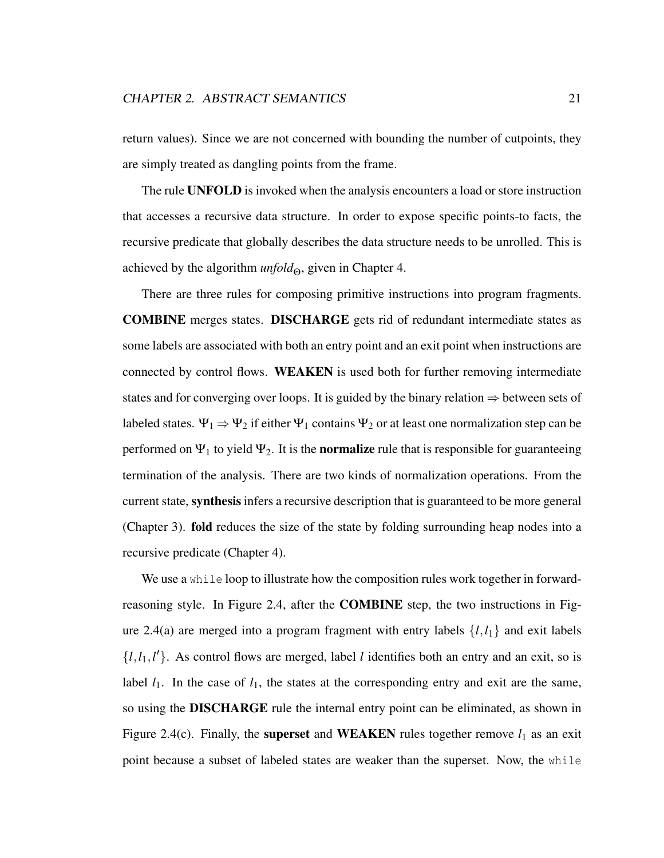return values). Since we are not concerned with bounding the number of cutpoints, they are simply treated as dangling points from the frame.

The rule UNFOLD is invoked when the analysis encounters a load or store instruction that accesses a recursive data structure. In order to expose specific points-to facts, the recursive predicate that globally describes the data structure needs to be unrolled. This is achieved by the algorithm *unfold*<sub>Θ</sub>, given in Chapter 4.

There are three rules for composing primitive instructions into program fragments. COMBINE merges states. DISCHARGE gets rid of redundant intermediate states as some labels are associated with both an entry point and an exit point when instructions are connected by control flows. WEAKEN is used both for further removing intermediate states and for converging over loops. It is guided by the binary relation  $\Rightarrow$  between sets of labeled states.  $\Psi_1 \Rightarrow \Psi_2$  if either  $\Psi_1$  contains  $\Psi_2$  or at least one normalization step can be performed on  $\Psi_1$  to yield  $\Psi_2$ . It is the **normalize** rule that is responsible for guaranteeing termination of the analysis. There are two kinds of normalization operations. From the current state, synthesis infers a recursive description that is guaranteed to be more general (Chapter 3). fold reduces the size of the state by folding surrounding heap nodes into a recursive predicate (Chapter 4).

We use a while loop to illustrate how the composition rules work together in forwardreasoning style. In Figure 2.4, after the COMBINE step, the two instructions in Figure 2.4(a) are merged into a program fragment with entry labels  $\{l, l_1\}$  and exit labels  $\{l, l_1, l'\}$ . As control flows are merged, label *l* identifies both an entry and an exit, so is label  $l_1$ . In the case of  $l_1$ , the states at the corresponding entry and exit are the same, so using the DISCHARGE rule the internal entry point can be eliminated, as shown in Figure 2.4(c). Finally, the **superset** and **WEAKEN** rules together remove  $l_1$  as an exit point because a subset of labeled states are weaker than the superset. Now, the while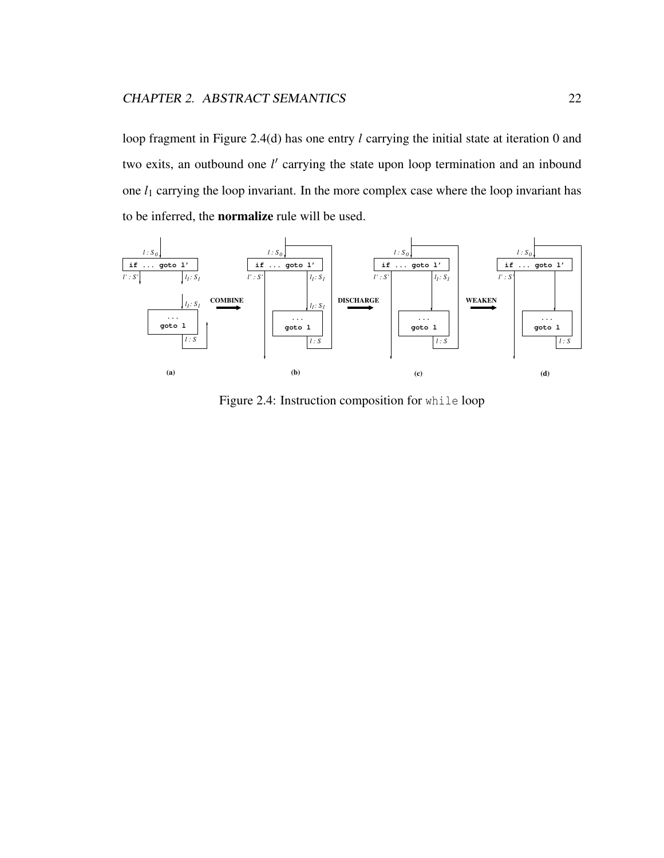loop fragment in Figure 2.4(d) has one entry *l* carrying the initial state at iteration 0 and two exits, an outbound one *l'* carrying the state upon loop termination and an inbound one  $l_1$  carrying the loop invariant. In the more complex case where the loop invariant has to be inferred, the normalize rule will be used.



Figure 2.4: Instruction composition for while loop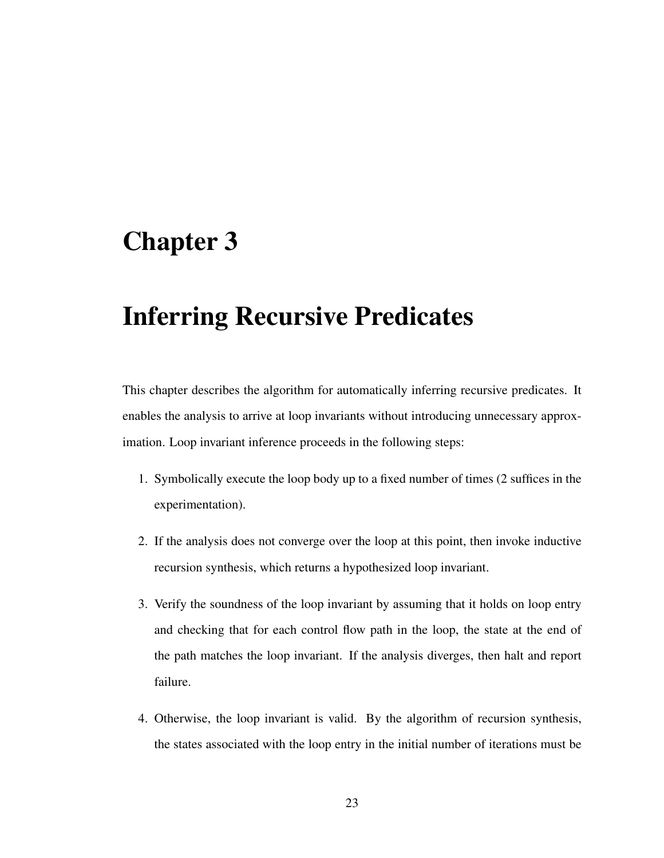## Chapter 3

## Inferring Recursive Predicates

This chapter describes the algorithm for automatically inferring recursive predicates. It enables the analysis to arrive at loop invariants without introducing unnecessary approximation. Loop invariant inference proceeds in the following steps:

- 1. Symbolically execute the loop body up to a fixed number of times (2 suffices in the experimentation).
- 2. If the analysis does not converge over the loop at this point, then invoke inductive recursion synthesis, which returns a hypothesized loop invariant.
- 3. Verify the soundness of the loop invariant by assuming that it holds on loop entry and checking that for each control flow path in the loop, the state at the end of the path matches the loop invariant. If the analysis diverges, then halt and report failure.
- 4. Otherwise, the loop invariant is valid. By the algorithm of recursion synthesis, the states associated with the loop entry in the initial number of iterations must be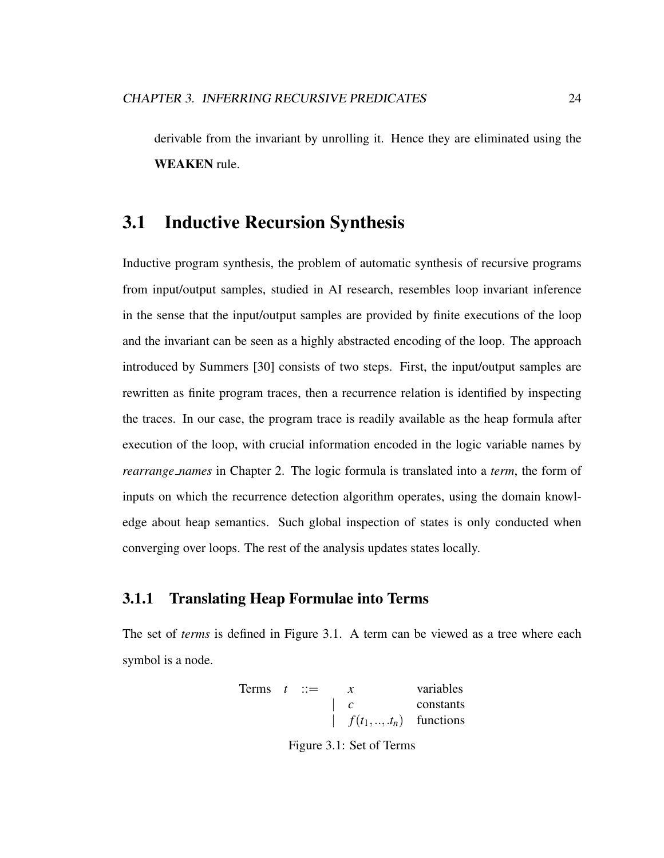derivable from the invariant by unrolling it. Hence they are eliminated using the WEAKEN rule.

## 3.1 Inductive Recursion Synthesis

Inductive program synthesis, the problem of automatic synthesis of recursive programs from input/output samples, studied in AI research, resembles loop invariant inference in the sense that the input/output samples are provided by finite executions of the loop and the invariant can be seen as a highly abstracted encoding of the loop. The approach introduced by Summers [30] consists of two steps. First, the input/output samples are rewritten as finite program traces, then a recurrence relation is identified by inspecting the traces. In our case, the program trace is readily available as the heap formula after execution of the loop, with crucial information encoded in the logic variable names by *rearrange names* in Chapter 2. The logic formula is translated into a *term*, the form of inputs on which the recurrence detection algorithm operates, using the domain knowledge about heap semantics. Such global inspection of states is only conducted when converging over loops. The rest of the analysis updates states locally.

#### 3.1.1 Translating Heap Formulae into Terms

The set of *terms* is defined in Figure 3.1. A term can be viewed as a tree where each symbol is a node.

Terms 
$$
t ::= x
$$
 variables  
\n
$$
\begin{array}{ccc}\n & x & \text{variables} \\
c & \text{constants} \\
f(t_1,...,t_n) & \text{functions}\n\end{array}
$$

Figure 3.1: Set of Terms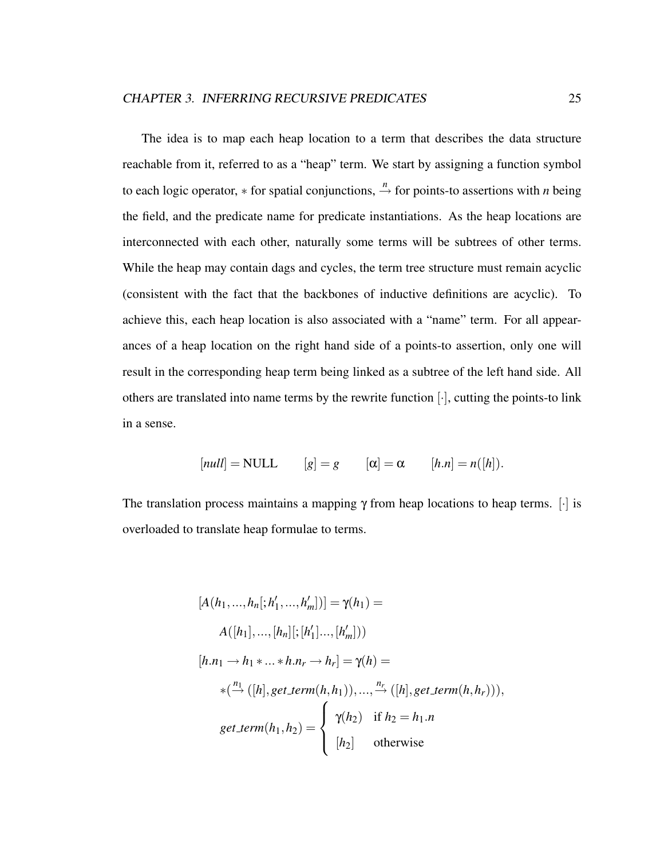The idea is to map each heap location to a term that describes the data structure reachable from it, referred to as a "heap" term. We start by assigning a function symbol to each logic operator,  $*$  for spatial conjunctions,  $\stackrel{n}{\rightarrow}$  for points-to assertions with *n* being the field, and the predicate name for predicate instantiations. As the heap locations are interconnected with each other, naturally some terms will be subtrees of other terms. While the heap may contain dags and cycles, the term tree structure must remain acyclic (consistent with the fact that the backbones of inductive definitions are acyclic). To achieve this, each heap location is also associated with a "name" term. For all appearances of a heap location on the right hand side of a points-to assertion, only one will result in the corresponding heap term being linked as a subtree of the left hand side. All others are translated into name terms by the rewrite function [·], cutting the points-to link in a sense.

$$
[null] = NULL \qquad [g] = g \qquad [\alpha] = \alpha \qquad [h.n] = n([h]).
$$

The translation process maintains a mapping  $\gamma$  from heap locations to heap terms. [i] is overloaded to translate heap formulae to terms.

$$
[A(h_1, ..., h_n[:, h'_1, ..., h'_m])] = \gamma(h_1) =
$$
  
\n
$$
A([h_1], ..., [h_n]; [h'_1]..., [h'_m]))
$$
  
\n
$$
[h.n_1 \to h_1 * ... * h.n_r \to h_r] = \gamma(h) =
$$
  
\n
$$
*(\stackrel{n_1}{\to} ([h], get\_term(h, h_1)), ..., \stackrel{n_r}{\to} ([h], get\_term(h, h_r))),
$$
  
\n
$$
get\_term(h_1, h_2) = \begin{cases} \gamma(h_2) & \text{if } h_2 = h_1.n \\ [h_2] & \text{otherwise} \end{cases}
$$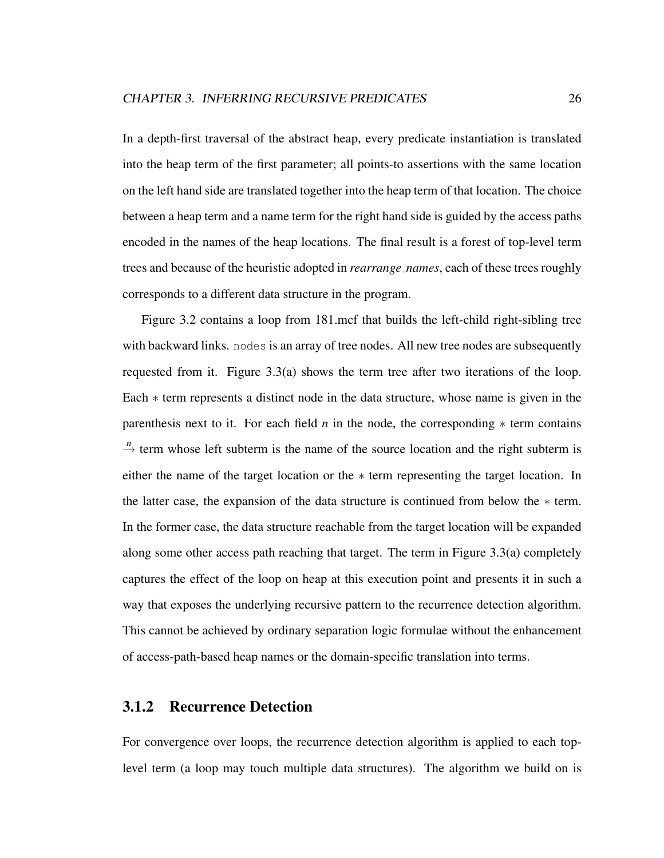In a depth-first traversal of the abstract heap, every predicate instantiation is translated into the heap term of the first parameter; all points-to assertions with the same location on the left hand side are translated together into the heap term of that location. The choice between a heap term and a name term for the right hand side is guided by the access paths encoded in the names of the heap locations. The final result is a forest of top-level term trees and because of the heuristic adopted in *rearrange names*, each of these trees roughly corresponds to a different data structure in the program.

Figure 3.2 contains a loop from 181.mcf that builds the left-child right-sibling tree with backward links. nodes is an array of tree nodes. All new tree nodes are subsequently requested from it. Figure  $3.3(a)$  shows the term tree after two iterations of the loop. Each ∗ term represents a distinct node in the data structure, whose name is given in the parenthesis next to it. For each field *n* in the node, the corresponding  $*$  term contains  $\stackrel{n}{\rightarrow}$  term whose left subterm is the name of the source location and the right subterm is either the name of the target location or the ∗ term representing the target location. In the latter case, the expansion of the data structure is continued from below the ∗ term. In the former case, the data structure reachable from the target location will be expanded along some other access path reaching that target. The term in Figure 3.3(a) completely captures the effect of the loop on heap at this execution point and presents it in such a way that exposes the underlying recursive pattern to the recurrence detection algorithm. This cannot be achieved by ordinary separation logic formulae without the enhancement of access-path-based heap names or the domain-specific translation into terms.

#### 3.1.2 Recurrence Detection

For convergence over loops, the recurrence detection algorithm is applied to each toplevel term (a loop may touch multiple data structures). The algorithm we build on is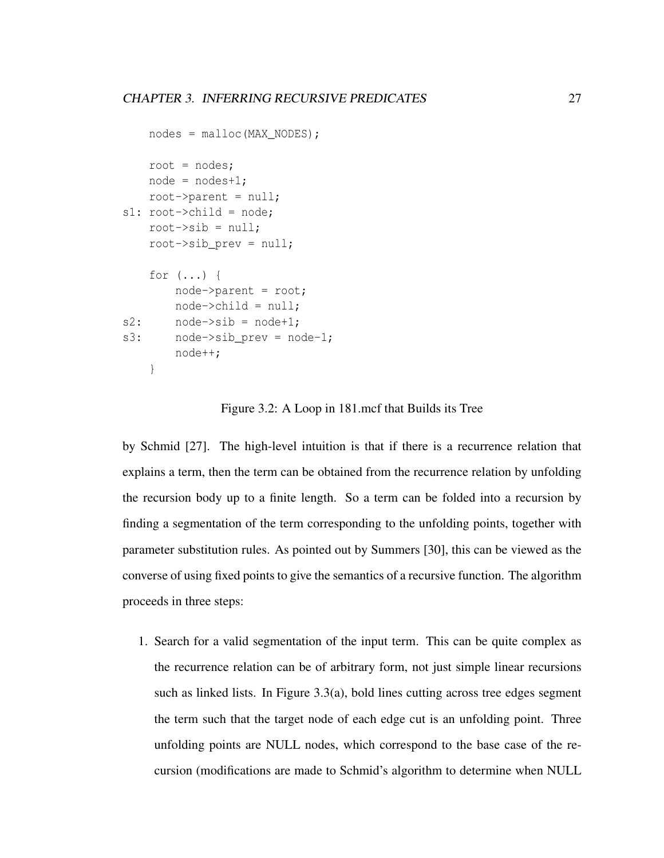```
nodes = malloc(MAX_NODES);root = nodes;node = nodes + 1;root->parent = null;
s1: root->child = node;
   root-\text{is} = null;
    root->sib_prev = null;
    for (...) {
        node->parent = root;
        node->child = null;
s2: node->sib = node+1;
s3: node->sib prev = node-1;
        node++;
    }
```
#### Figure 3.2: A Loop in 181.mcf that Builds its Tree

by Schmid [27]. The high-level intuition is that if there is a recurrence relation that explains a term, then the term can be obtained from the recurrence relation by unfolding the recursion body up to a finite length. So a term can be folded into a recursion by finding a segmentation of the term corresponding to the unfolding points, together with parameter substitution rules. As pointed out by Summers [30], this can be viewed as the converse of using fixed points to give the semantics of a recursive function. The algorithm proceeds in three steps:

1. Search for a valid segmentation of the input term. This can be quite complex as the recurrence relation can be of arbitrary form, not just simple linear recursions such as linked lists. In Figure 3.3(a), bold lines cutting across tree edges segment the term such that the target node of each edge cut is an unfolding point. Three unfolding points are NULL nodes, which correspond to the base case of the recursion (modifications are made to Schmid's algorithm to determine when NULL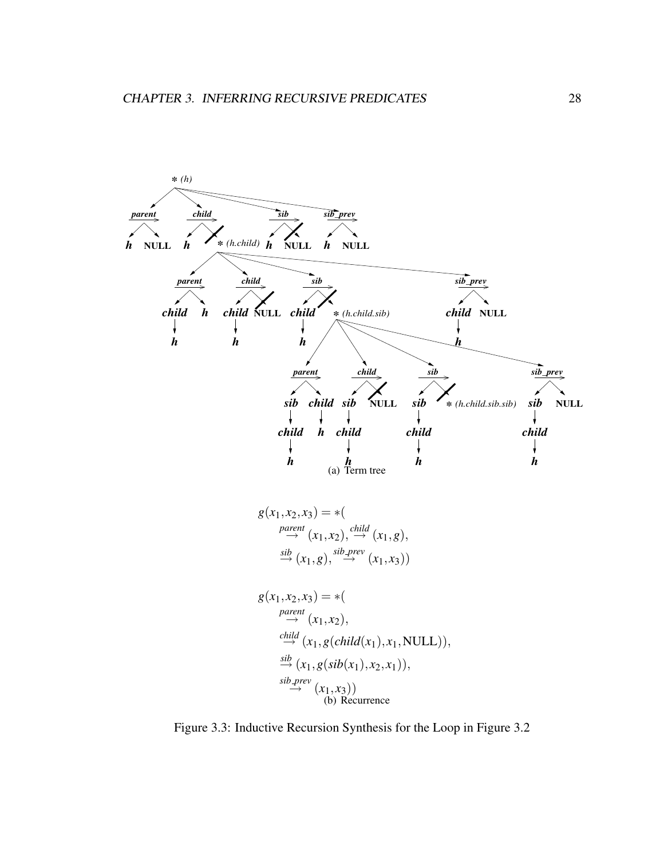

Figure 3.3: Inductive Recursion Synthesis for the Loop in Figure 3.2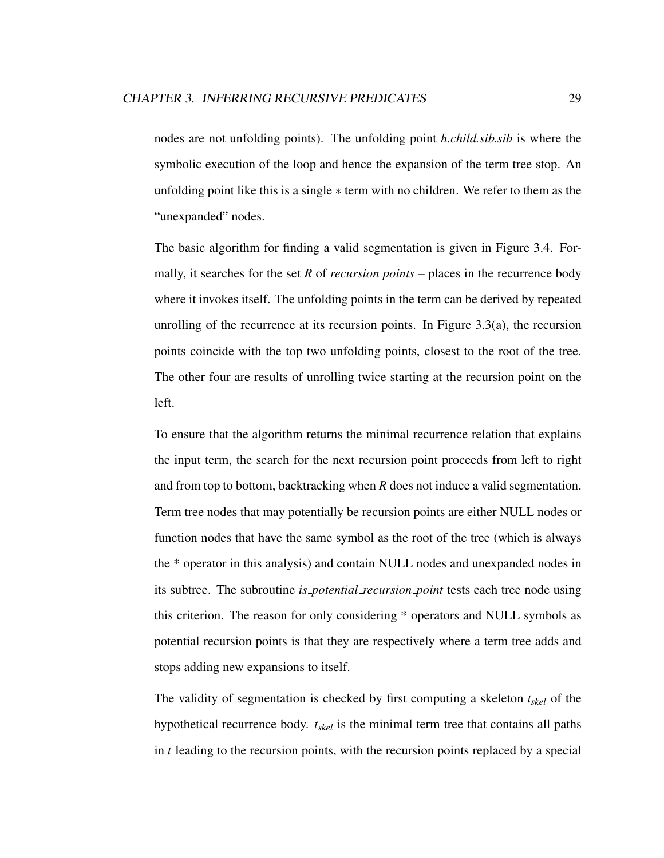nodes are not unfolding points). The unfolding point *h.child.sib.sib* is where the symbolic execution of the loop and hence the expansion of the term tree stop. An unfolding point like this is a single ∗ term with no children. We refer to them as the "unexpanded" nodes.

The basic algorithm for finding a valid segmentation is given in Figure 3.4. Formally, it searches for the set *R* of *recursion points* – places in the recurrence body where it invokes itself. The unfolding points in the term can be derived by repeated unrolling of the recurrence at its recursion points. In Figure 3.3(a), the recursion points coincide with the top two unfolding points, closest to the root of the tree. The other four are results of unrolling twice starting at the recursion point on the left.

To ensure that the algorithm returns the minimal recurrence relation that explains the input term, the search for the next recursion point proceeds from left to right and from top to bottom, backtracking when *R* does not induce a valid segmentation. Term tree nodes that may potentially be recursion points are either NULL nodes or function nodes that have the same symbol as the root of the tree (which is always the \* operator in this analysis) and contain NULL nodes and unexpanded nodes in its subtree. The subroutine *is potential recursion point* tests each tree node using this criterion. The reason for only considering \* operators and NULL symbols as potential recursion points is that they are respectively where a term tree adds and stops adding new expansions to itself.

The validity of segmentation is checked by first computing a skeleton *tskel* of the hypothetical recurrence body. *tskel* is the minimal term tree that contains all paths in *t* leading to the recursion points, with the recursion points replaced by a special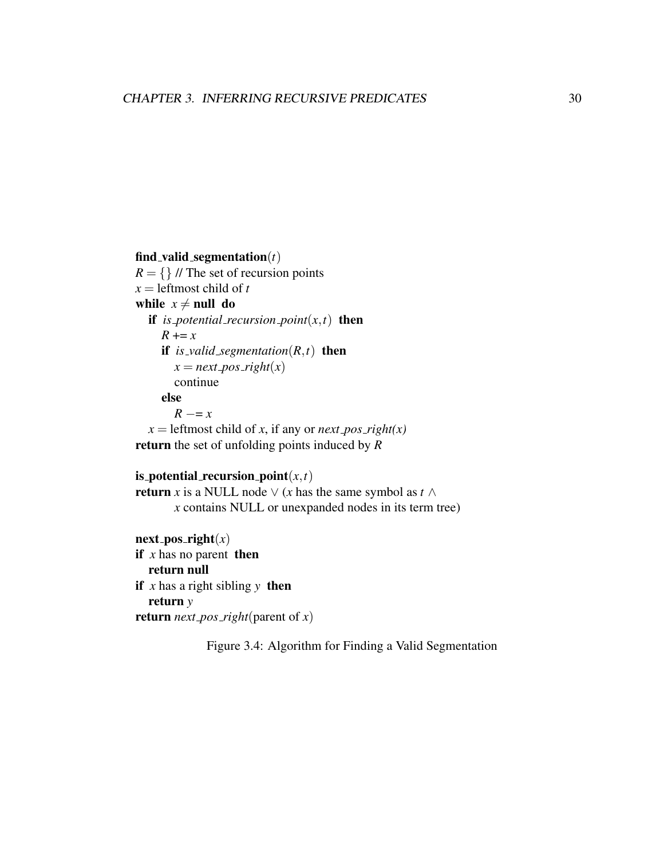#### find valid segmentation(*t*)

 $R = \{\}\$  // The set of recursion points  $x =$  leftmost child of *t* while  $x \neq \text{null}$  do if *is* potential recursion point $(x, t)$  then  $R + = x$ if *is* valid segmentation( $R$ , $t$ ) then  $x = next\_{pos\_right(x)}$ continue else  $R = x$  $x =$  leftmost child of *x*, if any or *next\_pos\_right(x)* return the set of unfolding points induced by *R*

#### is potential recursion point $(x,t)$

return *x* is a NULL node  $\vee$  (*x* has the same symbol as *t*  $\wedge$ *x* contains NULL or unexpanded nodes in its term tree)

next\_pos\_right $(x)$ if *x* has no parent then return null if  $x$  has a right sibling  $y$  then return *y* return *next\_pos\_right*(parent of  $x$ )

Figure 3.4: Algorithm for Finding a Valid Segmentation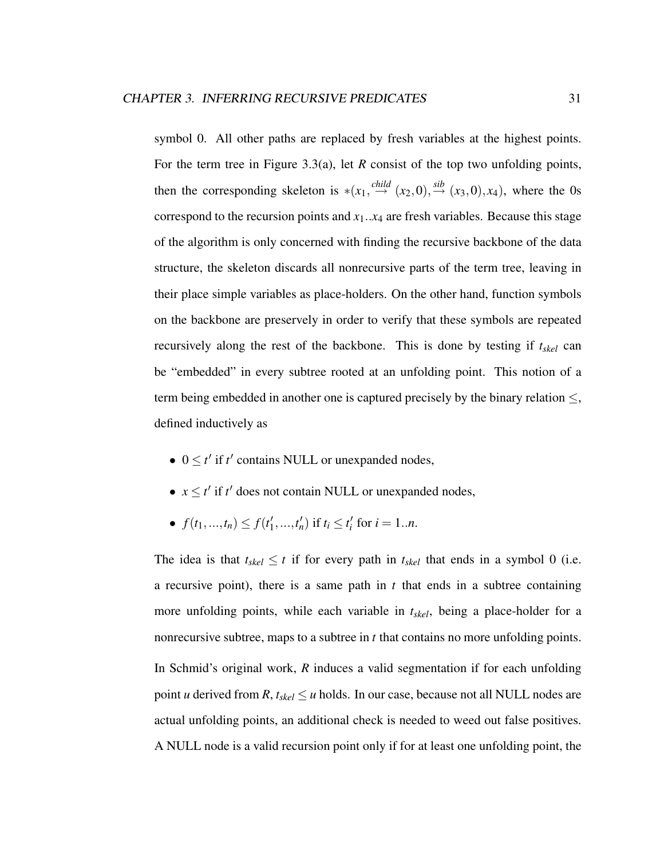symbol 0. All other paths are replaced by fresh variables at the highest points. For the term tree in Figure 3.3(a), let *R* consist of the top two unfolding points, then the corresponding skeleton is  $*(x_1, \stackrel{child}{\rightarrow} (x_2, 0), \stackrel{sib}{\rightarrow} (x_3, 0), x_4)$ , where the 0s correspond to the recursion points and  $x_1$ ... $x_4$  are fresh variables. Because this stage of the algorithm is only concerned with finding the recursive backbone of the data structure, the skeleton discards all nonrecursive parts of the term tree, leaving in their place simple variables as place-holders. On the other hand, function symbols on the backbone are preservely in order to verify that these symbols are repeated recursively along the rest of the backbone. This is done by testing if *tskel* can be "embedded" in every subtree rooted at an unfolding point. This notion of a term being embedded in another one is captured precisely by the binary relation  $\leq$ , defined inductively as

- $0 \le t'$  if  $t'$  contains NULL or unexpanded nodes,
- $x \le t'$  if  $t'$  does not contain NULL or unexpanded nodes,
- $f(t_1,...,t_n) \leq f(t'_1)$  $t'_{1},...,t'_{n}$  if  $t_{i} \leq t'_{i}$  for  $i = 1..n$ .

The idea is that  $t_{skel} \leq t$  if for every path in  $t_{skel}$  that ends in a symbol 0 (i.e. a recursive point), there is a same path in  $t$  that ends in a subtree containing more unfolding points, while each variable in *tskel*, being a place-holder for a nonrecursive subtree, maps to a subtree in *t* that contains no more unfolding points. In Schmid's original work, *R* induces a valid segmentation if for each unfolding point *u* derived from *R*,  $t_{skel} \le u$  holds. In our case, because not all NULL nodes are actual unfolding points, an additional check is needed to weed out false positives. A NULL node is a valid recursion point only if for at least one unfolding point, the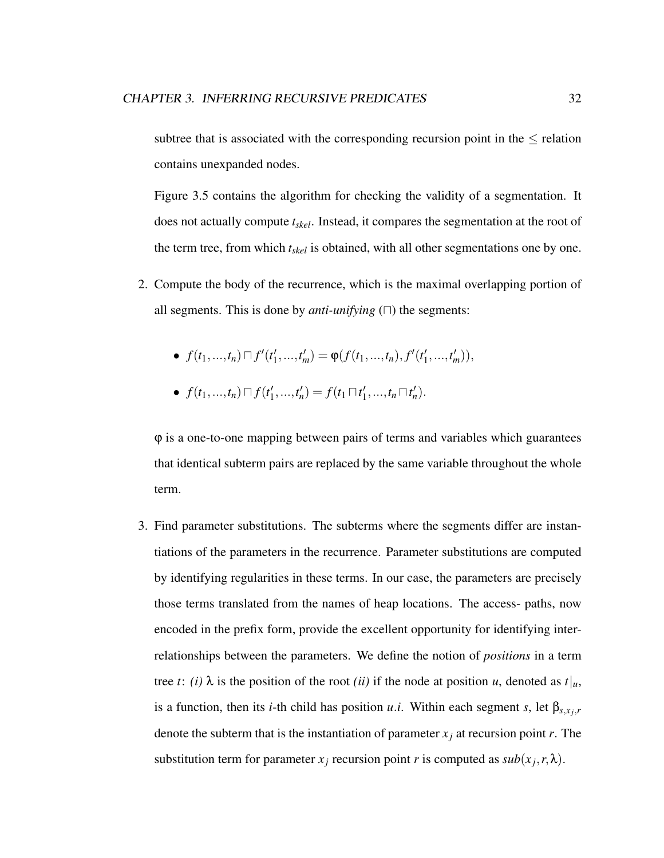subtree that is associated with the corresponding recursion point in the  $\leq$  relation contains unexpanded nodes.

Figure 3.5 contains the algorithm for checking the validity of a segmentation. It does not actually compute *tskel*. Instead, it compares the segmentation at the root of the term tree, from which *tskel* is obtained, with all other segmentations one by one.

- 2. Compute the body of the recurrence, which is the maximal overlapping portion of all segments. This is done by *anti-unifying*  $(\Box)$  the segments:
	- $f(t_1, ..., t_n) \sqcap f'(t'_1)$  $\varphi_1',...,\varphi_m' = \varphi(f(t_1,...,t_n), f'(t'_1))$  $'_{1},...,t'_{m}$  $),$
	- $f(t_1,...,t_n) \sqcap f(t'_1)$  $f'_1,...,t'_n$  =  $f(t_1 \sqcap t'_1)$  $t'_{1},...,t_{n}\sqcap t'_{n}$ .

 $\varphi$  is a one-to-one mapping between pairs of terms and variables which guarantees that identical subterm pairs are replaced by the same variable throughout the whole term.

3. Find parameter substitutions. The subterms where the segments differ are instantiations of the parameters in the recurrence. Parameter substitutions are computed by identifying regularities in these terms. In our case, the parameters are precisely those terms translated from the names of heap locations. The access- paths, now encoded in the prefix form, provide the excellent opportunity for identifying interrelationships between the parameters. We define the notion of *positions* in a term tree *t*: *(i)*  $\lambda$  is the position of the root *(ii)* if the node at position *u*, denoted as  $t|_u$ , is a function, then its *i*-th child has position *u.i*. Within each segment *s*, let  $\beta_{s,x_j,r}$ denote the subterm that is the instantiation of parameter  $x_i$  at recursion point  $r$ . The substitution term for parameter  $x_j$  recursion point *r* is computed as  $sub(x_j, r, \lambda)$ .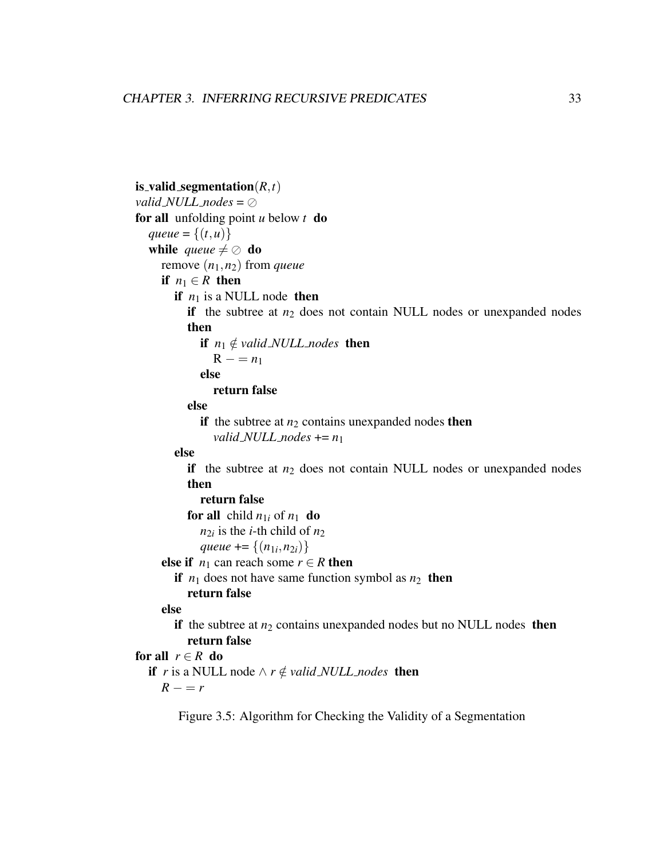```
is_valid_segmentation(R,t)valid NULL nodes = \oslashfor all unfolding point u below t do
  gueue = {(t, u)}
  while queue \neq \oslash do
    remove (n1,n2) from queue
    if n_1 \in R then
       if n_1 is a NULL node then
         if the subtree at n_2 does not contain NULL nodes or unexpanded nodes
         then
            if n_1 \notin valid NULL nodes then
               R - n_1else
               return false
         else
            if the subtree at n_2 contains unexpanded nodes then
               valid NULL nodes += n_1else
         if the subtree at n_2 does not contain NULL nodes or unexpanded nodes
         then
            return false
         for all child n_{1i} of n_1 do
            n_{2i} is the i-th child of n_2queue += \{(n_{1i}, n_{2i})\}else if n_1 can reach some r \in R then
       if n_1 does not have same function symbol as n_2 then
         return false
    else
       if the subtree at n_2 contains unexpanded nodes but no NULL nodes then
         return false
for all r \in R do
  if r is a NULL node \wedge r \notin valid NULL nodes then
    R - rFigure 3.5: Algorithm for Checking the Validity of a Segmentation
```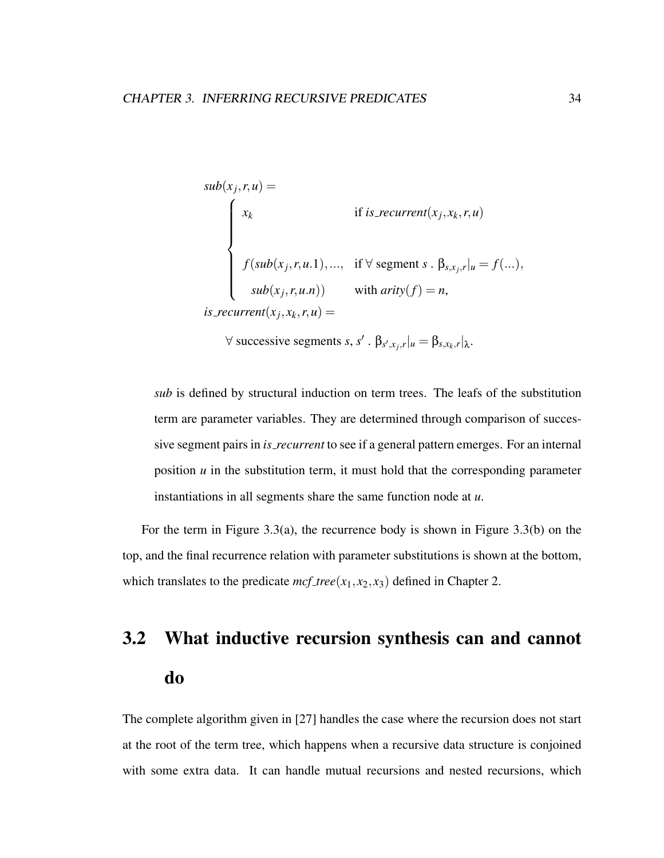$$
sub(x_j, r, u) =
$$
\n
$$
\begin{cases}\nx_k & \text{if } is\_recurrent(x_j, x_k, r, u) \\
f(sub(x_j, r, u, 1), ..., & \text{if } \forall \text{ segment } s \cdot \beta_{s, x_j, r} | u = f(...), \\
sub(x_j, r, u, n)) & \text{with } arity(f) = n,\n\end{cases}
$$
\nis\\_recurrent(x\_j, x\_k, r, u) =

 $\forall$  successive segments *s*, *s'*.  $\beta_{s',x_j,r}|_{u} = \beta_{s,x_k,r}|_{\lambda}$ .

*sub* is defined by structural induction on term trees. The leafs of the substitution term are parameter variables. They are determined through comparison of successive segment pairs in *is recurrent* to see if a general pattern emerges. For an internal position  $u$  in the substitution term, it must hold that the corresponding parameter instantiations in all segments share the same function node at *u*.

For the term in Figure 3.3(a), the recurrence body is shown in Figure 3.3(b) on the top, and the final recurrence relation with parameter substitutions is shown at the bottom, which translates to the predicate  $mcf_{\text{t}}$  *ree*( $x_1, x_2, x_3$ ) defined in Chapter 2.

# 3.2 What inductive recursion synthesis can and cannot do

The complete algorithm given in [27] handles the case where the recursion does not start at the root of the term tree, which happens when a recursive data structure is conjoined with some extra data. It can handle mutual recursions and nested recursions, which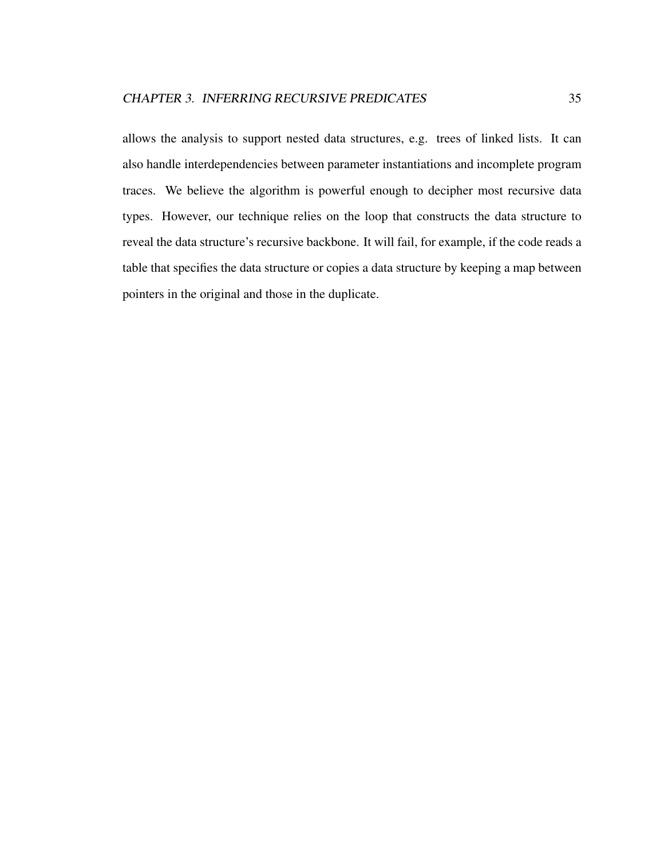allows the analysis to support nested data structures, e.g. trees of linked lists. It can also handle interdependencies between parameter instantiations and incomplete program traces. We believe the algorithm is powerful enough to decipher most recursive data types. However, our technique relies on the loop that constructs the data structure to reveal the data structure's recursive backbone. It will fail, for example, if the code reads a table that specifies the data structure or copies a data structure by keeping a map between pointers in the original and those in the duplicate.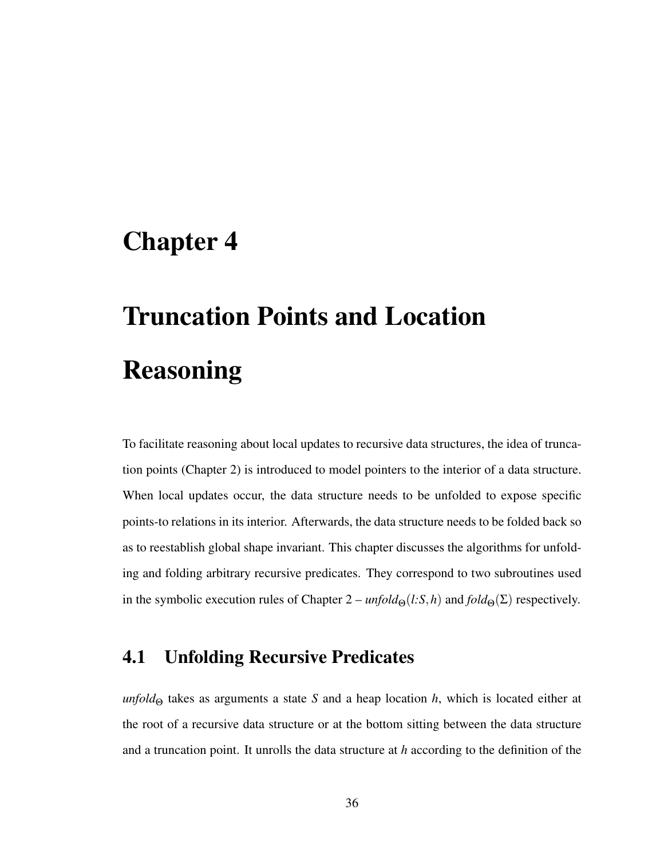# Chapter 4

# Truncation Points and Location Reasoning

To facilitate reasoning about local updates to recursive data structures, the idea of truncation points (Chapter 2) is introduced to model pointers to the interior of a data structure. When local updates occur, the data structure needs to be unfolded to expose specific points-to relations in its interior. Afterwards, the data structure needs to be folded back so as to reestablish global shape invariant. This chapter discusses the algorithms for unfolding and folding arbitrary recursive predicates. They correspond to two subroutines used in the symbolic execution rules of Chapter  $2$  –  $\text{unfold}_{\Theta}(l:S,h)$  and  $\text{fold}_{\Theta}(\Sigma)$  respectively.

# 4.1 Unfolding Recursive Predicates

*unfold*<sub>Θ</sub> takes as arguments a state *S* and a heap location *h*, which is located either at the root of a recursive data structure or at the bottom sitting between the data structure and a truncation point. It unrolls the data structure at *h* according to the definition of the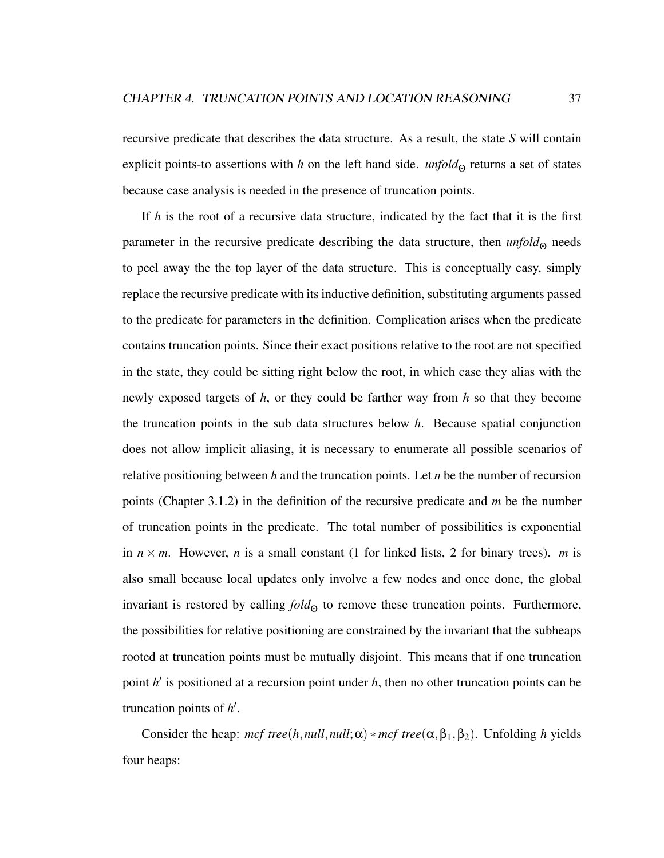recursive predicate that describes the data structure. As a result, the state *S* will contain explicit points-to assertions with *h* on the left hand side. *unfold*<sub> $\Theta$ </sub> returns a set of states because case analysis is needed in the presence of truncation points.

If *h* is the root of a recursive data structure, indicated by the fact that it is the first parameter in the recursive predicate describing the data structure, then *unfold*<sub>Θ</sub> needs to peel away the the top layer of the data structure. This is conceptually easy, simply replace the recursive predicate with its inductive definition, substituting arguments passed to the predicate for parameters in the definition. Complication arises when the predicate contains truncation points. Since their exact positions relative to the root are not specified in the state, they could be sitting right below the root, in which case they alias with the newly exposed targets of *h*, or they could be farther way from *h* so that they become the truncation points in the sub data structures below *h*. Because spatial conjunction does not allow implicit aliasing, it is necessary to enumerate all possible scenarios of relative positioning between *h* and the truncation points. Let *n* be the number of recursion points (Chapter 3.1.2) in the definition of the recursive predicate and *m* be the number of truncation points in the predicate. The total number of possibilities is exponential in  $n \times m$ . However, *n* is a small constant (1 for linked lists, 2 for binary trees). *m* is also small because local updates only involve a few nodes and once done, the global invariant is restored by calling  $fold_{\Theta}$  to remove these truncation points. Furthermore, the possibilities for relative positioning are constrained by the invariant that the subheaps rooted at truncation points must be mutually disjoint. This means that if one truncation point *h'* is positioned at a recursion point under *h*, then no other truncation points can be truncation points of *h'*.

Consider the heap:  $mcf_{\text{t}}$  *tree*(*h*,*null*,*null*; $\alpha$ ) \*  $mcf_{\text{t}}$  *tree*( $\alpha$ ,  $\beta_1$ ,  $\beta_2$ ). Unfolding *h* yields four heaps: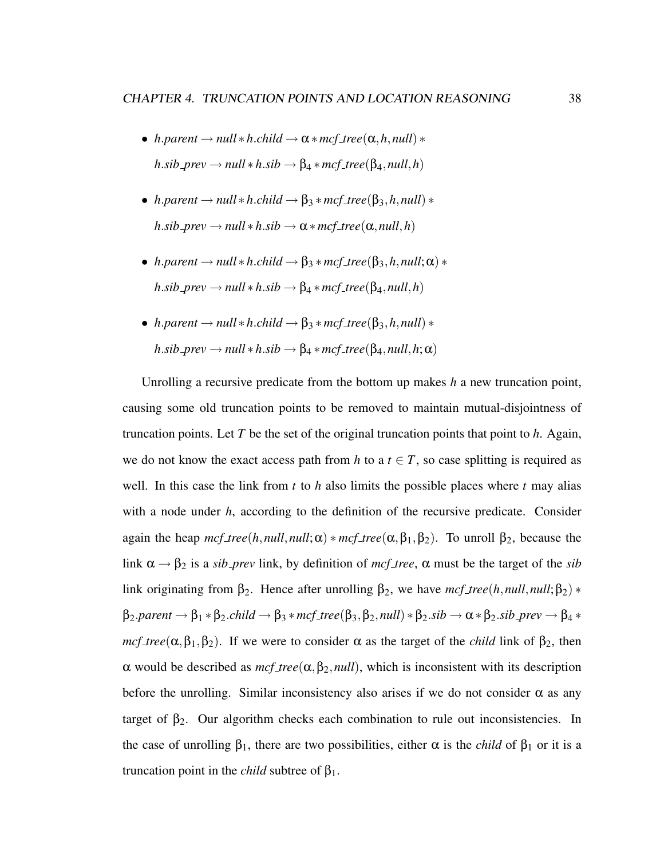- *h.parent*  $\rightarrow$  *null*  $*$ *h.child*  $\rightarrow \alpha * mcf\_tree(\alpha, h, null) *$  $h.sib\text{-}prev \rightarrow null * h.sib \rightarrow \beta_4 * mcf\text{-}tree(\beta_4, null, h)$
- *h.parent*  $\rightarrow$  *null*  $*$ *h.child*  $\rightarrow$   $\beta_3 * mcf\_tree(\beta_3, h, null) *$  $h.\text{sib\_prev} \rightarrow \text{null} * h.\text{sib} \rightarrow \alpha * \text{mcf\_tree}(\alpha, \text{null}, h)$
- *h.parent*  $\rightarrow$  *null*  $*$ *h.child*  $\rightarrow$   $\beta_3 * mcf\_tree(\beta_3, h, null; \alpha) *$  $h.\text{sib\_prev} \rightarrow \text{null} * h.\text{sib} \rightarrow \beta_4 * \text{mcf\_tree}(\beta_4, \text{null}, h)$
- *h.parent*  $\rightarrow$  *null*  $*$ *h.child*  $\rightarrow$   $\beta_3 * mcf\_tree(\beta_3, h, null) *$  $h.\textit{sib\_prev} \rightarrow \textit{null} * h.\textit{sib} \rightarrow \beta_4 * \textit{mcf\_tree}(\beta_4, \textit{null}, h; \alpha)$

Unrolling a recursive predicate from the bottom up makes *h* a new truncation point, causing some old truncation points to be removed to maintain mutual-disjointness of truncation points. Let *T* be the set of the original truncation points that point to *h*. Again, we do not know the exact access path from *h* to a  $t \in T$ , so case splitting is required as well. In this case the link from *t* to *h* also limits the possible places where *t* may alias with a node under *h*, according to the definition of the recursive predicate. Consider again the heap  $mcf_{\text{t}}$  *tree*(*h*,*null*,*null*; $\alpha$ ) \*  $mcf_{\text{t}}$  *tree*( $\alpha$ ,  $\beta_1$ ,  $\beta_2$ ). To unroll  $\beta_2$ , because the link  $\alpha \rightarrow \beta_2$  is a *sib\_prev* link, by definition of *mcf\_tree*,  $\alpha$  must be the target of the *sib* link originating from β<sub>2</sub>. Hence after unrolling β<sub>2</sub>, we have  $mcf\_tree(h, null, null; β<sub>2</sub>)$  \*  $\beta_2.parent \rightarrow \beta_1 * \beta_2. \textit{child} \rightarrow \beta_3 * \textit{mcf\_tree}(\beta_3, \beta_2, \textit{null}) * \beta_2. \textit{sib} \rightarrow \alpha * \beta_2. \textit{sib\_prev} \rightarrow \beta_4 * \beta_3. \textit{vib\_prev}$ *mcf\_tree*( $\alpha, \beta_1, \beta_2$ ). If we were to consider  $\alpha$  as the target of the *child* link of  $\beta_2$ , then α would be described as *mcf tree*(α,β2,*null*), which is inconsistent with its description before the unrolling. Similar inconsistency also arises if we do not consider  $\alpha$  as any target of  $\beta_2$ . Our algorithm checks each combination to rule out inconsistencies. In the case of unrolling  $\beta_1$ , there are two possibilities, either  $\alpha$  is the *child* of  $\beta_1$  or it is a truncation point in the *child* subtree of  $β_1$ .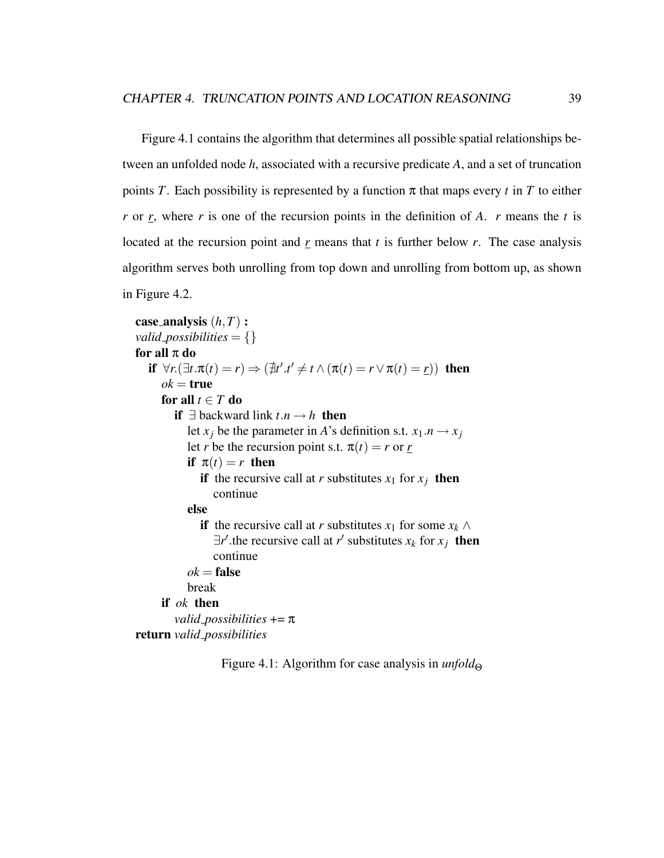Figure 4.1 contains the algorithm that determines all possible spatial relationships between an unfolded node *h*, associated with a recursive predicate *A*, and a set of truncation points *T*. Each possibility is represented by a function  $\pi$  that maps every *t* in *T* to either *r* or *r*, where *r* is one of the recursion points in the definition of *A*. *r* means the *t* is located at the recursion point and *r* means that *t* is further below *r*. The case analysis algorithm serves both unrolling from top down and unrolling from bottom up, as shown in Figure 4.2.

```
case analysis (h,T) :
valid_possibilities = \{\}for all \pi do
   if \forall r.(\exists t.\pi(t) = r) \Rightarrow (\nexists t'. t' \neq t \land (\pi(t) = r \lor \pi(t) = r)) then
      ok =true
      for all t \in T do
         if ∃ backward link t.n \rightarrow h then
            let x_j be the parameter in A's definition s.t. x_1 \cdot n \rightarrow x_jlet r be the recursion point s.t. \pi(t) = r or r
            if \pi(t) = r then
               if the recursive call at r substitutes x_1 for x_i then
                  continue
            else
               if the recursive call at r substitutes x_1 for some x_k \wedge\exists r' the recursive call at r' substitutes x_k for x_j then
                  continue
            ok =false
            break
      if ok then
         valid possibilities += π
return valid possibilities
```
Figure 4.1: Algorithm for case analysis in *unfold*<sup>Θ</sup>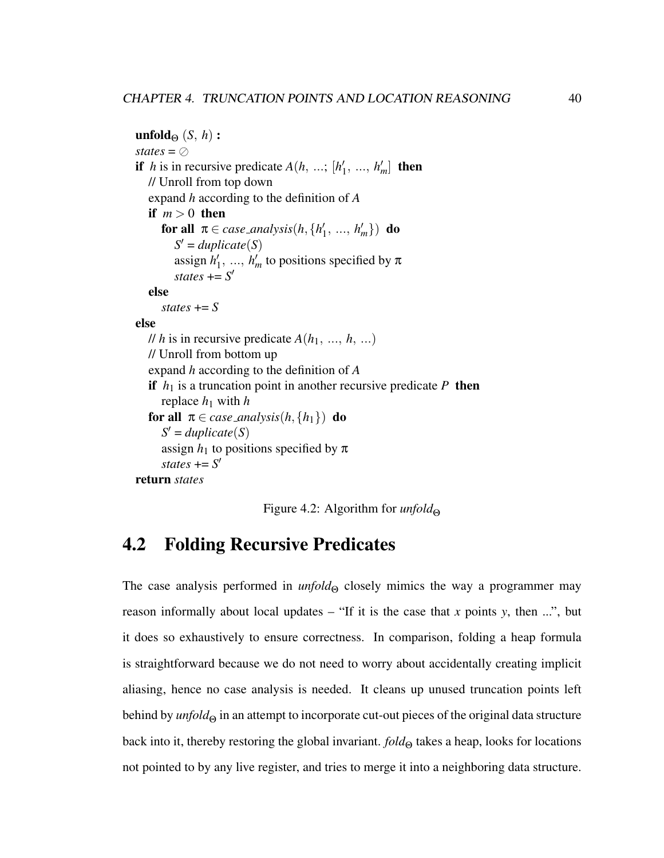```
unfold_{\Theta} (S, h):
states = \oslashif h is in recursive predicate A(h, \ldots; [h])h'_1, ..., h'_m then
  // Unroll from top down
  expand h according to the definition of A
  if m > 0 then
     for all \pi \in case\_analysis(h, \{h_1\})h'_1, ..., h'_m}) do
        S' = duplicate(S)assign h
0
                 h'_1, ..., h'_m to positions specified by \pistates += S'else
     states += Selse
  // h is in recursive predicate A(h_1, ..., h, ...)// Unroll from bottom up
  expand h according to the definition of A
  if h_1 is a truncation point in another recursive predicate P then
     replace h_1 with hfor all \pi \in \text{case\_analysis}(h, \{h_1\}) do
     S' = duplicate(S)assign h_1 to positions specified by \pistates += S'return states
```
Figure 4.2: Algorithm for *unfold*<sub>Θ</sub>

# 4.2 Folding Recursive Predicates

The case analysis performed in  $unfold_{\Theta}$  closely mimics the way a programmer may reason informally about local updates – "If it is the case that  $x$  points  $y$ , then ...", but it does so exhaustively to ensure correctness. In comparison, folding a heap formula is straightforward because we do not need to worry about accidentally creating implicit aliasing, hence no case analysis is needed. It cleans up unused truncation points left behind by *unfold*<sub>Θ</sub> in an attempt to incorporate cut-out pieces of the original data structure back into it, thereby restoring the global invariant. *fold*<sub>Θ</sub> takes a heap, looks for locations not pointed to by any live register, and tries to merge it into a neighboring data structure.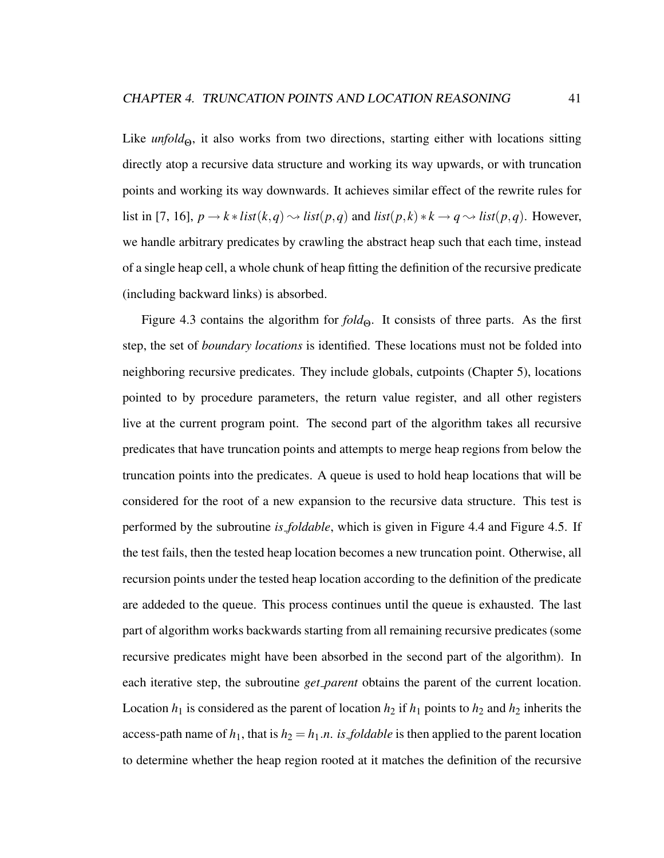Like *unfold*<sub>Θ</sub>, it also works from two directions, starting either with locations sitting directly atop a recursive data structure and working its way upwards, or with truncation points and working its way downwards. It achieves similar effect of the rewrite rules for list in [7, 16],  $p \rightarrow k * list(k,q) \rightarrow list(p,q)$  and  $list(p,k)*k \rightarrow q \rightarrow list(p,q)$ . However, we handle arbitrary predicates by crawling the abstract heap such that each time, instead of a single heap cell, a whole chunk of heap fitting the definition of the recursive predicate (including backward links) is absorbed.

Figure 4.3 contains the algorithm for  $fold_{\Theta}$ . It consists of three parts. As the first step, the set of *boundary locations* is identified. These locations must not be folded into neighboring recursive predicates. They include globals, cutpoints (Chapter 5), locations pointed to by procedure parameters, the return value register, and all other registers live at the current program point. The second part of the algorithm takes all recursive predicates that have truncation points and attempts to merge heap regions from below the truncation points into the predicates. A queue is used to hold heap locations that will be considered for the root of a new expansion to the recursive data structure. This test is performed by the subroutine *is foldable*, which is given in Figure 4.4 and Figure 4.5. If the test fails, then the tested heap location becomes a new truncation point. Otherwise, all recursion points under the tested heap location according to the definition of the predicate are addeded to the queue. This process continues until the queue is exhausted. The last part of algorithm works backwards starting from all remaining recursive predicates (some recursive predicates might have been absorbed in the second part of the algorithm). In each iterative step, the subroutine *get parent* obtains the parent of the current location. Location  $h_1$  is considered as the parent of location  $h_2$  if  $h_1$  points to  $h_2$  and  $h_2$  inherits the access-path name of  $h_1$ , that is  $h_2 = h_1.n$ . *is foldable* is then applied to the parent location to determine whether the heap region rooted at it matches the definition of the recursive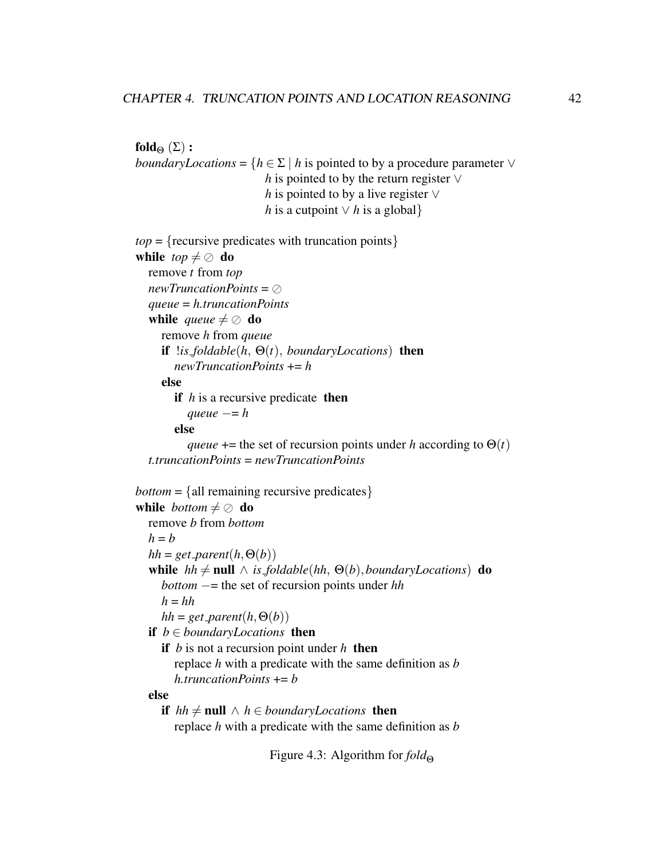```
fold_{\Theta} (Σ):
boundaryLocations = {h \in \Sigma | h is pointed to by a procedure parameter \veeh is pointed to by the return register ∨
                          h is pointed to by a live register ∨
                          h is a cutpoint ∨ h is a global}
top = {recursive\, predictions} with truncation points}
while top \neq \oslash do
  remove t from top
  newTruncationPoints = \oslashqueue = h.truncationPoints
  while queue \neq \oslash do
     remove h from queue
     if !is foldable(h, Θ(t), boundaryLocations) then
       newTruncationPoints += h
     else
       if h is a recursive predicate then
          queue = helse
          queue += the set of recursion points under h according to \Theta(t)t.truncationPoints = newTruncationPoints
bottom = {all remaining recursive predicates}
while bottom \neq \oslash do
  remove b from bottom
  h = bhh = get\_parent(h, \Theta(b))while hh \neq \text{null} \land is_foldable(hh, \Theta(b), boundaryLocations) do
     bottom −= the set of recursion points under hh
     h = hhhh = get\_parent(h, \Theta(b))if b ∈ boundaryLocations then
     if b is not a recursion point under h then
        replace h with a predicate with the same definition as b
       h.truncationPoints += b
  else
     if hh ≠ \textbf{null} \land h ∈ boundaryLocations then
        replace h with a predicate with the same definition as b
```
Figure 4.3: Algorithm for *fold*<sub>Θ</sub>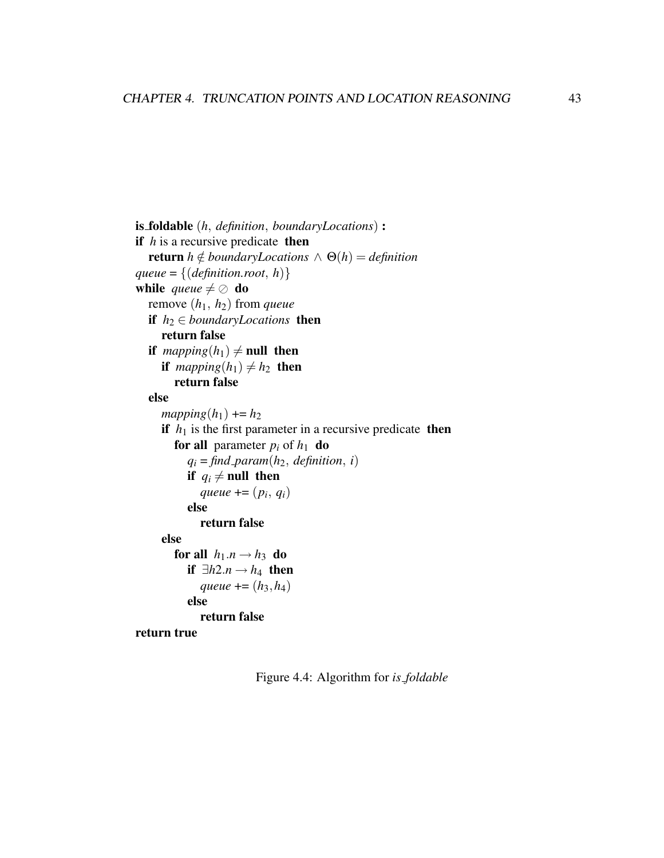```
is foldable (h, definition, boundaryLocations) :
if h is a recursive predicate then
  return h \notin boundaryLocations \wedge \Theta(h) = definitionqueue = \{ (definition root, h) \}while queue \neq \oslash do
  remove (h1, h2) from queue
  if h_2 \in boundaryLocations then
     return false
  if mapping(h_1) \neq null then
     if mapping(h_1) \neq h_2 then
        return false
  else
     mapping(h_1) \rightarrow h_2if h_1 is the first parameter in a recursive predicate then
        for all parameter p_i of h_1 do
           q_i = \text{find} param(h_2, definition, i)
          if q_i \neq null then
              queue += (p_i, q_i)else
             return false
     else
        for all h_1.n \rightarrow h_3 do
          if ∃h2.n → h₄ then
             gueue += (h_3, h_4)else
             return false
return true
```
Figure 4.4: Algorithm for *is foldable*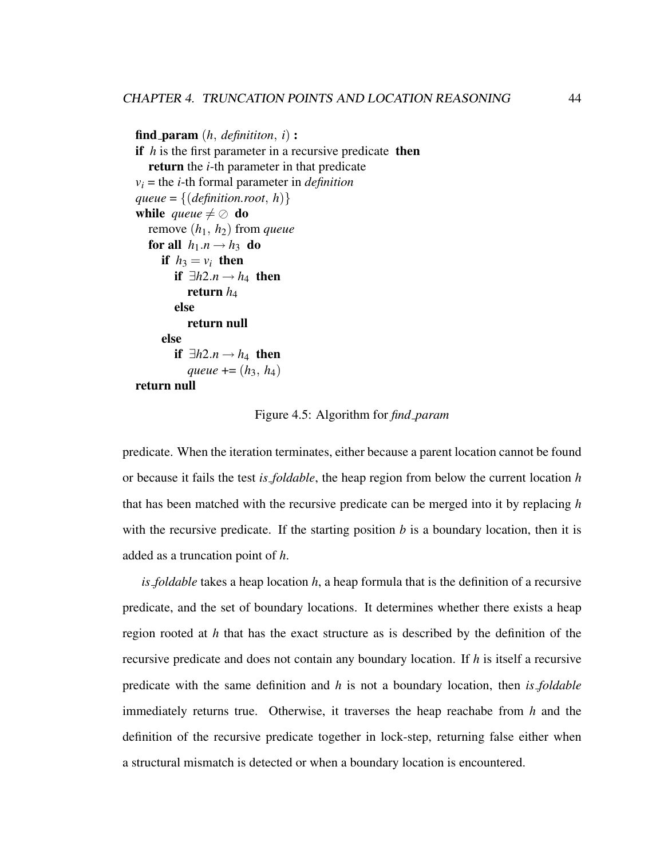```
find param (h, definititon, i) :
if h is the first parameter in a recursive predicate then
  return the i-th parameter in that predicate
v_i = the i-th formal parameter in definition
gueue = \{ (definition.root, h)\}while queue \neq \oslash do
  remove (h1, h2) from queue
  for all h_1.n \rightarrow h_3 do
     if h_3 = v_i then
        if ∃h2.n → h₄ then
          return h<sub>4</sub>
        else
          return null
     else
        if ∃h2.n → h₄ then
          queue += (h_3, h_4)return null
```
Figure 4.5: Algorithm for *find param*

predicate. When the iteration terminates, either because a parent location cannot be found or because it fails the test *is foldable*, the heap region from below the current location *h* that has been matched with the recursive predicate can be merged into it by replacing *h* with the recursive predicate. If the starting position  $b$  is a boundary location, then it is added as a truncation point of *h*.

*is foldable* takes a heap location *h*, a heap formula that is the definition of a recursive predicate, and the set of boundary locations. It determines whether there exists a heap region rooted at *h* that has the exact structure as is described by the definition of the recursive predicate and does not contain any boundary location. If *h* is itself a recursive predicate with the same definition and *h* is not a boundary location, then *is foldable* immediately returns true. Otherwise, it traverses the heap reachabe from *h* and the definition of the recursive predicate together in lock-step, returning false either when a structural mismatch is detected or when a boundary location is encountered.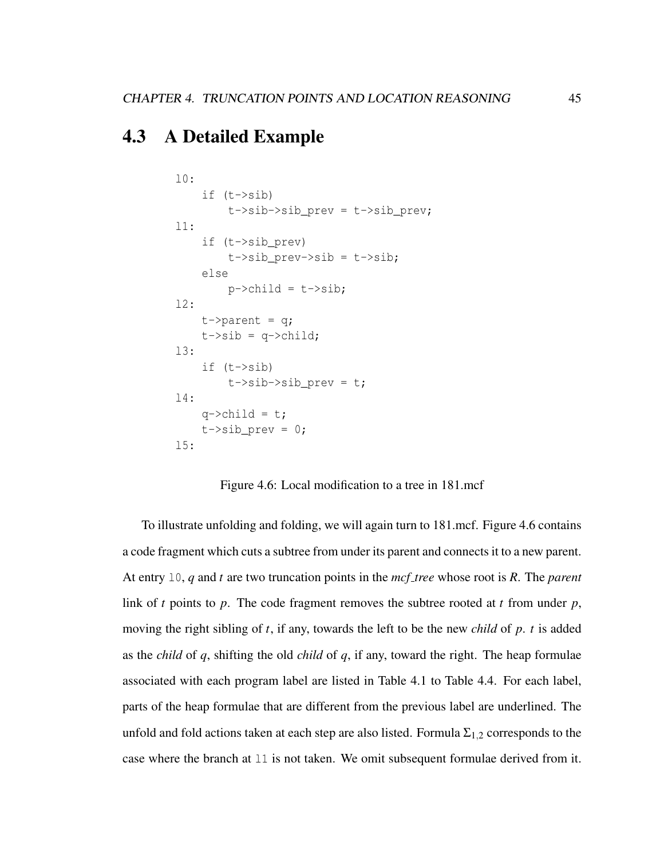## 4.3 A Detailed Example

```
l0:
    if (t->sib)
         t->sib->sib prev = t->sib prev;
l1:
    if (t->sib_prev)
         t->sib_prev->sib = t->sib;
    else
         p->child = t->sib;
12:t->parent = q;
    t \rightarrow sib = q \rightarrow child;l3:
    if (t->sib)
         t->sib->sib_prev = t;
l4:
    q->child = t;
    t->sib_prev = 0;
l5:
```
Figure 4.6: Local modification to a tree in 181.mcf

To illustrate unfolding and folding, we will again turn to 181.mcf. Figure 4.6 contains a code fragment which cuts a subtree from under its parent and connects it to a new parent. At entry l0, *q* and *t* are two truncation points in the *mcf tree* whose root is *R*. The *parent* link of *t* points to *p*. The code fragment removes the subtree rooted at *t* from under *p*, moving the right sibling of *t*, if any, towards the left to be the new *child* of *p*. *t* is added as the *child* of *q*, shifting the old *child* of *q*, if any, toward the right. The heap formulae associated with each program label are listed in Table 4.1 to Table 4.4. For each label, parts of the heap formulae that are different from the previous label are underlined. The unfold and fold actions taken at each step are also listed. Formula  $\Sigma_{1,2}$  corresponds to the case where the branch at l1 is not taken. We omit subsequent formulae derived from it.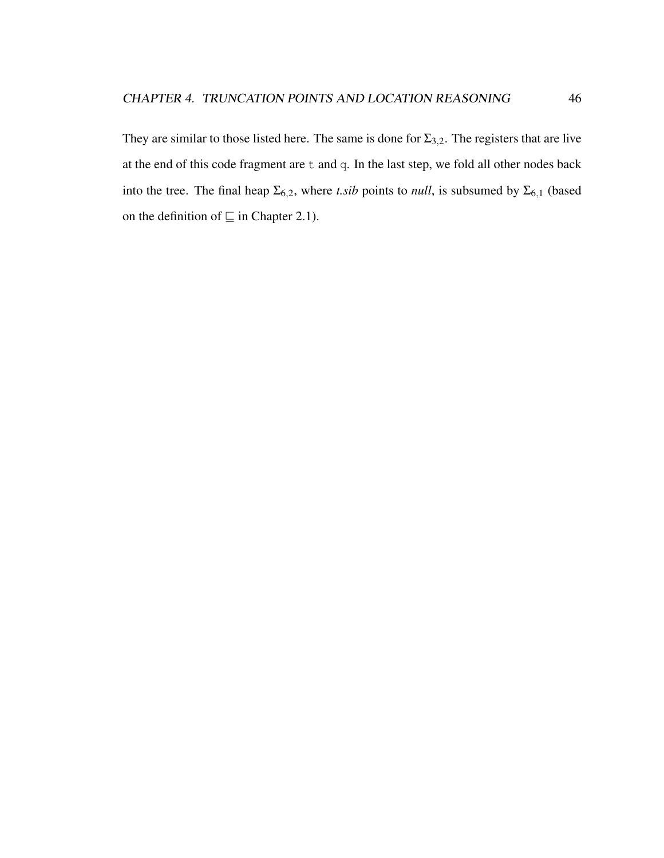They are similar to those listed here. The same is done for  $\Sigma_{3,2}$ . The registers that are live at the end of this code fragment are t and q. In the last step, we fold all other nodes back into the tree. The final heap  $\Sigma_{6,2}$ , where *t.sib* points to *null*, is subsumed by  $\Sigma_{6,1}$  (based on the definition of  $\sqsubseteq$  in Chapter 2.1).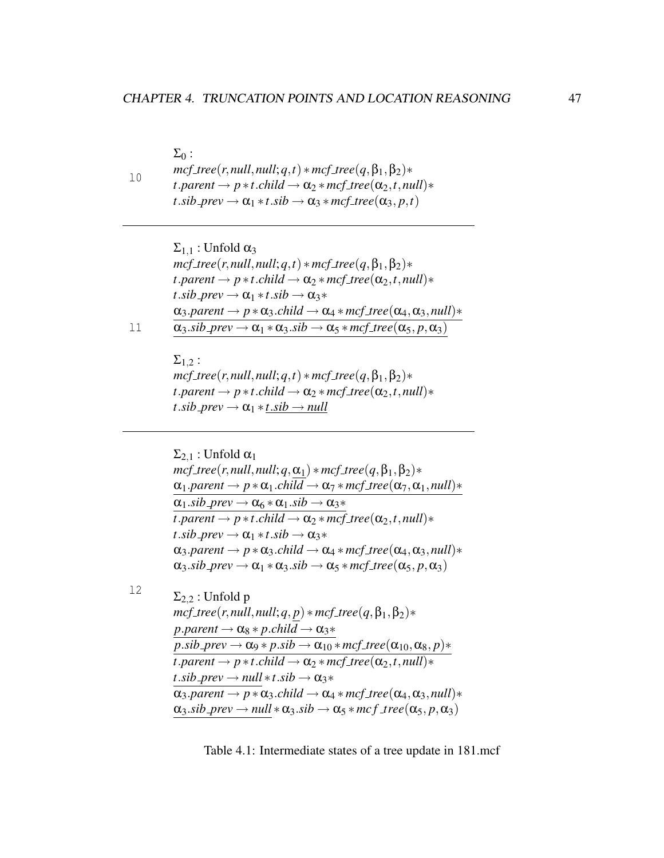$10$  $\Sigma_0$ :  $mcf\_tree(r, null, null; q, t) * mcf\_tree(q, \beta_1, \beta_2) *$  $t$ *.parent*  $\rightarrow p * t$ *.child*  $\rightarrow \alpha_2 * mcf$ <sub>*tree*( $\alpha_2, t$ *, null*)\*</sub>  $t$ .*sib\_prev*  $\rightarrow \alpha_1 * t$ .*sib*  $\rightarrow \alpha_3 * mcf\_tree(\alpha_3, p, t)$ 

> $\Sigma_{1,1}$ : Unfold  $\alpha_3$  $mcf_{\perp}$ *tree*(*r*,*null*,*null*;*q*,*t*)  $*$ *mcf\_tree*(*q*, $\beta_1$ , $\beta_2$ ) $*$  $t$ *.parent*  $\rightarrow$  *p*  $\ast$ *t.child*  $\rightarrow \alpha_2 \ast mcf_{\textit{at}}$  $\alpha_2$ *,t*,*null* $)\ast$  $t$ .*sib\_prev*  $\rightarrow \alpha_1 * t$ .*sib*  $\rightarrow \alpha_3 *$  $\alpha_3\text{.parent} \rightarrow p * \alpha_3\text{.child} \rightarrow \alpha_4 * mcf\_tree(\alpha_4, \alpha_3, null) *$  $\alpha_3$ *sib\_prev*  $\rightarrow \alpha_1 * \alpha_3$ *sib*  $\rightarrow \alpha_5 * mcf\_tree(\alpha_5, p, \alpha_3)$

l1

 $\Sigma_1$  2:  $mcf\_tree(r, null, null; q, t) * mcf\_tree(q, \beta_1, \beta_2) *$  $t$ *.parent*  $\rightarrow$  *p*  $\ast$ *t.child*  $\rightarrow \alpha_2 \ast mcf_{\textit{tree}}(\alpha_2, t, null) \ast$  $t$ .*sib\_prev*  $\rightarrow \alpha_1 * t$ .*sib*  $\rightarrow$  *null* 

 $\Sigma_{2,1}$ : Unfold  $\alpha_1$  $mcf\_tree(r, null, null; q, \alpha_1) * mcf\_tree(q, \beta_1, \beta_2) *$  $\alpha_1$ *.parent*  $\rightarrow p * \alpha_1$ *.child*  $\rightarrow \alpha_7 * mcf\_tree(\alpha_7, \alpha_1, null) *$  $\alpha_1$ *.sib\_prev*  $\rightarrow \alpha_6 \ast \alpha_1$ *.sib*  $\rightarrow \alpha_3 \ast$  $\tau$ *,parent*  $\rightarrow$  *p*  $\ast$ *t.child*  $\rightarrow \alpha_2 \ast \text{mcf\_tree}(\alpha_2, t, \text{null}) \ast$  $t$ .*sib\_prev*  $\rightarrow \alpha_1 * t$ .*sib*  $\rightarrow \alpha_3 *$  $\alpha_3\text{.parent} \rightarrow p * \alpha_3\text{.child} \rightarrow \alpha_4 * mcf\_tree(\alpha_4, \alpha_3, null) *$  $\alpha_3$ *sib\_prev*  $\rightarrow \alpha_1 * \alpha_3$ *sib*  $\rightarrow \alpha_5 * mcf\_tree(\alpha_5, p, \alpha_3)$ 

l2

 $\Sigma_{2,2}$ : Unfold p  $mcf\_tree(r, null, null; q, p) * mcf\_tree(q, \beta_1, \beta_2) *$  $p.parent \rightarrow \alpha_8 * p. child \rightarrow \alpha_3 *$  $p.sib\_prev \rightarrow \alpha_9 * p.sib \rightarrow \alpha_{10} * mcf\_tree(\alpha_{10}, \alpha_8, p) *$  $\overline{t}$ *.parent*  $\rightarrow$  *p*  $\ast$ *t.child*  $\rightarrow \alpha_2 \ast mcf\_tree(\alpha_2, t, null) \ast$  $t$ *.sib\_prev*  $\rightarrow$  *null*  $\ast$ *t.sib*  $\rightarrow \alpha_3 \ast$  $\alpha_3\text{.parent} \rightarrow p * \alpha_3\text{.child} \rightarrow \alpha_4 * mcf\_tree(\alpha_4, \alpha_3, null) *$  $\alpha_3$ *.sib\_prev*  $\rightarrow$  *null*  $*\alpha_3$ *.sib*  $\rightarrow \alpha_5 * mcf$   $\pm$  *ree* $(\alpha_5, p, \alpha_3)$ 

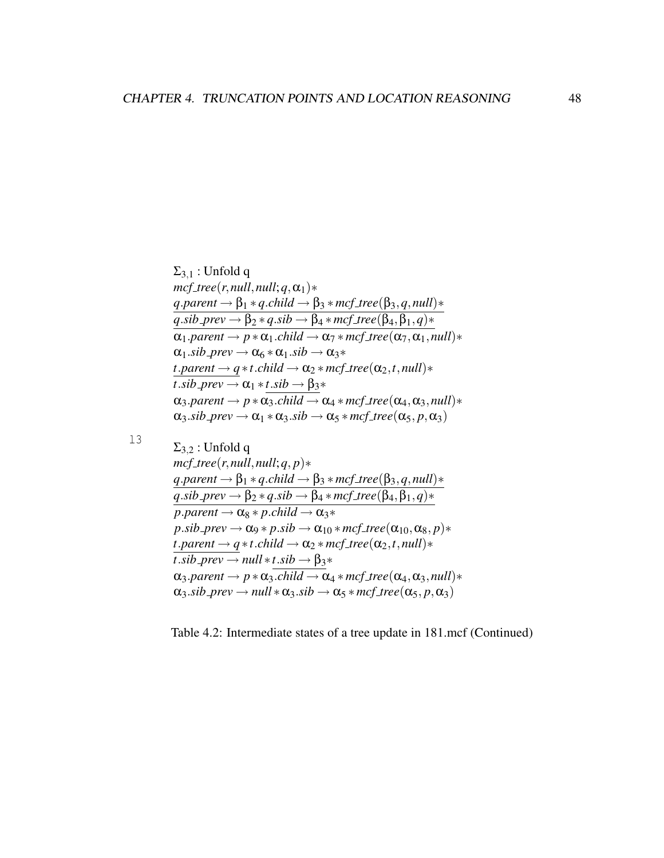```
\Sigma_{3,1}: Unfold q
mcf_{\perp}tree(r,null,null;q,\alpha_1)∗
q.parent \rightarrow \beta_1 * q.child \rightarrow \beta_3 * mcf_tree(\beta_3, q, null)*
q.sib_prev \rightarrow \beta_2 * q.sib \rightarrow \beta_4 * mcf\_tree(\beta_4, \beta_1, q) *\alpha_1.parent \rightarrow p * \alpha_1.child \rightarrow \alpha_7 * mcf\_tree(\alpha_7, \alpha_1, null) *\alpha_1.sib_prev \rightarrow \alpha_6 \ast \alpha_1.sib \rightarrow \alpha_3 \astt.parent \rightarrow q \astt.child \rightarrow \alpha_2 \ast mcf\_tree(\alpha_2, t, null) \astt.sib_prev \rightarrow \alpha_1 * t.sib \rightarrow \beta_3 *\alpha_3.parent \rightarrow p * \alpha_3.child \rightarrow \alpha_4 * mcf_{\textit{tree}}(\alpha_4, \alpha_3, \textit{null}) *\alpha_3sib prev \rightarrow \alpha_1 * \alpha_3sib \rightarrow \alpha_5 * mcf\_tree(\alpha_5, p, \alpha_3)
```
#### l3

 $\Sigma_{3,2}$ : Unfold q  $mcf_{\textit{t}}$ *tree*(*r*,*null*,*null*;*q*,*p*)\*  $q$ *.parent*  $\rightarrow \beta_1 * q$ *.child*  $\rightarrow \beta_3 * mcf$ <sub>*tree*( $\beta_3, q$ *, null*)\*</sub>  $q$ *.sib\_prev*  $\rightarrow$   $\beta_2 * q$ *.sib*  $\rightarrow$   $\beta_4 * mcf$ *\_tree*( $\beta_4, \beta_1, q$ )\*  $p.parent \rightarrow \alpha_8 * p. child \rightarrow \alpha_3 *$  $p.sib\_prev \rightarrow \alpha_9 * p.sib \rightarrow \alpha_{10} * mcf\_tree(\alpha_{10}, \alpha_8, p) *$  $t$ *.parent*  $\rightarrow$  *q*  $\ast$ *t.child*  $\rightarrow \alpha_2 \ast mcf\_tree(\alpha_2, t, null) \ast$  $t$ .*sib\_prev*  $\rightarrow$  *null*  $\ast$ *t*.*sib*  $\rightarrow$   $\beta$ <sub>3</sub> $\ast$  $\alpha_3\text{.parent} \rightarrow p * \alpha_3\text{.child} \rightarrow \alpha_4 * mcf\_tree(\alpha_4, \alpha_3, null) *$  $\alpha_3$ *.sib\_prev*  $\rightarrow$  *null*  $*\alpha_3$ *.sib*  $\rightarrow \alpha_5 * mcf\_tree(\alpha_5, p, \alpha_3)$ 

Table 4.2: Intermediate states of a tree update in 181.mcf (Continued)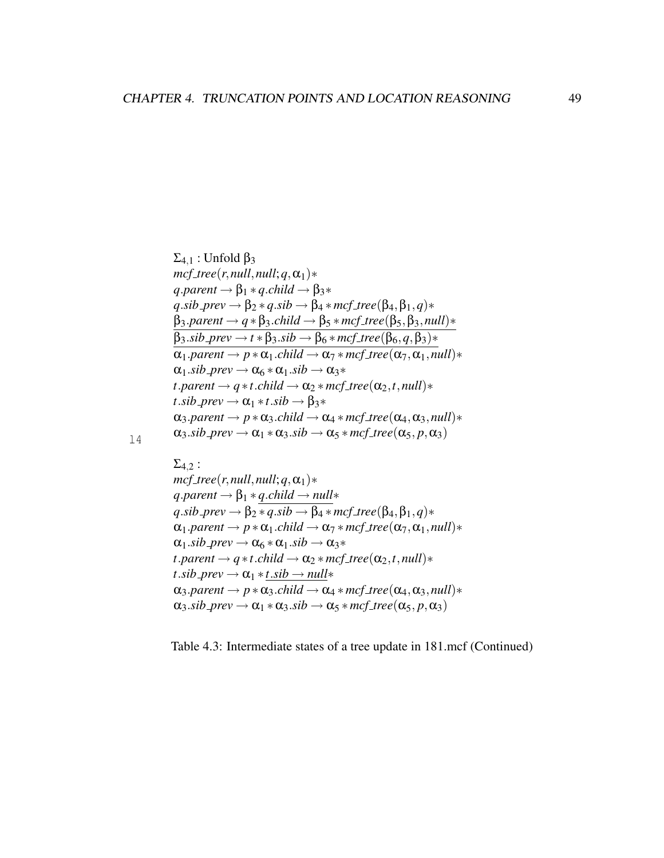$$
\Sigma_{4,1}: Unfold \beta_3\nmcf-tree(r, null, null; q, \alpha_1)*\nq.parent  $\rightarrow \beta_1 * q$ .child  $\rightarrow \beta_3 *$   
\nq.sib-prev  $\rightarrow \beta_2 * q$ .sib  $\rightarrow \beta_4 * mcf$ .tree( $\beta_4, \beta_1, q$ )*  
\n $\beta_3.parent \rightarrow q * \beta_3$ .child  $\rightarrow \beta_5 * mcf$ .tree( $\beta_5, \beta_3$ , null)*  
\n $\beta_3$ .sib-prev  $\rightarrow t * \beta_3$ .sib  $\rightarrow \beta_6 * mcf$ .tree( $\beta_6, q, \beta_3$ )*  
\n $\alpha_1$ .parent  $\rightarrow p * \alpha_1$ .child  $\rightarrow \alpha_7 * mcf$ .tree( $\alpha_7, \alpha_1$ , null)*  
\n $\alpha_1$ .sib-prev  $\rightarrow \alpha_6 * \alpha_1$ .sib  $\rightarrow \alpha_3 *$   
\n*t*.parent  $\rightarrow q * t$ .child  $\rightarrow \alpha_2 * mcf$ .tree( $\alpha_2, t$ , null)*  
\n*t*.sib-prev  $\rightarrow \alpha_1 * t$ .sib  $\rightarrow \beta_3 *$   
\n $\alpha_3.parent \rightarrow p * \alpha_3$ .child  $\rightarrow \alpha_4 * mcf$ .tree( $\alpha_4, \alpha_3$ , null)*  
\n $\alpha_3$ .sib-prev  $\rightarrow \alpha_1 * \alpha_3$ .sib  $\rightarrow \alpha_5 * mcf$ .tree( $\alpha_5, p, \alpha_3$ )
$$

l4

## $\Sigma_{4,2}$ :

 $mcf_{\perp}$ *tree*(*r*,*null*,*null*;*q*, $\alpha_1$ )∗  $q$ *.parent*  $\rightarrow \beta_1 * q$ *.child*  $\rightarrow null*$  $q$ *.sib\_prev*  $\rightarrow \beta_2 \overline{* q . sib \rightarrow \beta_4 * mcf\_tree(\beta_4, \beta_1, q)*}$  $\alpha_1$ *.parent*  $\rightarrow p * \alpha_1$ *.child*  $\rightarrow \alpha_7 * mcf\_tree(\alpha_7, \alpha_1, null) *$  $\alpha_1$ *.sib\_prev*  $\rightarrow \alpha_6 \ast \alpha_1$ *.sib*  $\rightarrow \alpha_3 \ast$  $t$ *.parent*  $\rightarrow$  *q*  $\ast$ *t.child*  $\rightarrow \alpha_2 \ast mcf_{\textit{tree}}(\alpha_2, t, null) \ast$  $t$ .*sib\_prev*  $\rightarrow \alpha_1 * t$ .*sib*  $\rightarrow null*$  $\alpha_3.parent \rightarrow p * \alpha_3$ *child*  $\rightarrow \alpha_4 * mcf\_tree(\alpha_4, \alpha_3, null) *$  $\alpha_3$ *sib\_prev*  $\rightarrow \alpha_1 * \alpha_3$ *sib*  $\rightarrow \alpha_5 * mcf\_tree(\alpha_5, p, \alpha_3)$ 

Table 4.3: Intermediate states of a tree update in 181.mcf (Continued)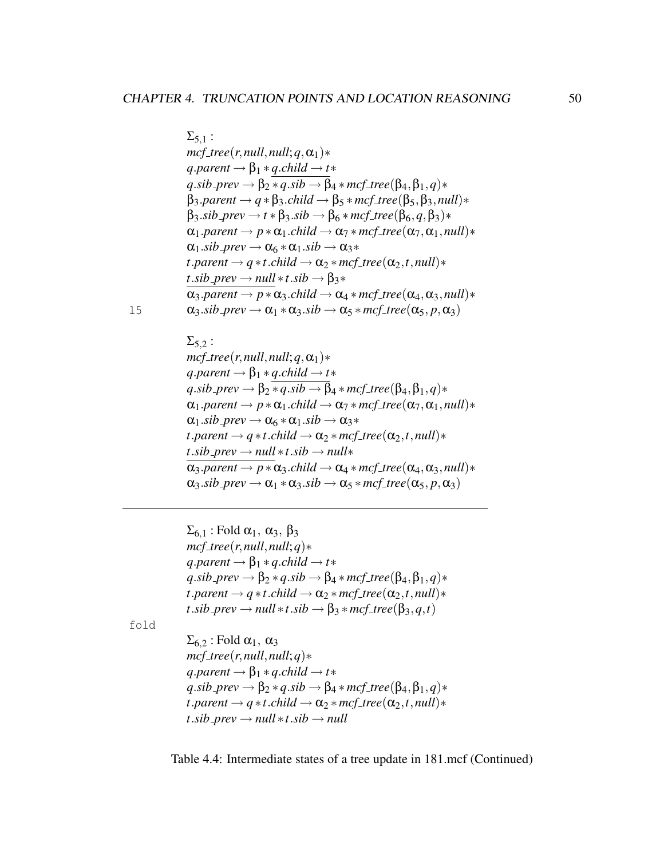$$
\Sigma_{5,1}:
$$
\n
$$
mcf\text{_{}+free(r, null, null; q, \alpha_1)*}
$$
\n
$$
q\text{_{}+parent \rightarrow \beta_1 * q\text{_{}+child \rightarrow t*}
$$
\n
$$
q\text{_{}+sib \rightarrow} prev \rightarrow \beta_2 * q\text{_{}+sib \rightarrow \beta_4 * mcf\text{_{}+tree(\beta_4, \beta_1, q)*}
$$
\n
$$
\beta_3\text{_{}+parent \rightarrow q * \beta_3\text{_{}+child \rightarrow \beta_5 * mcf\text{_{}+tree(\beta_5, \beta_3, null)*}
$$
\n
$$
\beta_3\text{_{}+sib \rightarrow} prev \rightarrow t * \beta_3\text{_{}+sib \rightarrow \beta_6 * mcf\text{_{}+tree(\beta_6, q, \beta_3)*}
$$
\n
$$
\alpha_1\text{_{}+parent \rightarrow p * \alpha_1\text{_{}+child \rightarrow \alpha_7 * mcf\text{_{}+tree(\alpha_7, \alpha_1, null)*}
$$
\n
$$
\alpha_1\text{_{}+sib \rightarrow} prev \rightarrow \alpha_6 * \alpha_1\text{_{}+sib \rightarrow \alpha_3 *}
$$
\n
$$
t\text{_{}+parent \rightarrow q * t\text{_{}+child \rightarrow \alpha_2 * mcf\text{_{}+tree(\alpha_2, t, null)*}
$$
\n
$$
t\text{_{}+sib \rightarrow} prev \rightarrow null * t\text{_{}+sib \rightarrow \beta_3 *}
$$
\n
$$
\alpha_3\text{_{}+parent \rightarrow p * \alpha_3\text{_{}+child \rightarrow \alpha_4 * mcf\text{_{}+tree(\alpha_4, \alpha_3, null)*}
$$
\n
$$
\alpha_3\text{_{}+sib \rightarrow rev \rightarrow \alpha_1 * \alpha_3\text{_{}+side \rightarrow \alpha_5 * mcf\text{_{}+tree(\alpha_5, p, \alpha_3)}
$$

l5

```
\Sigma_{5,2}:
mcf_{\textit{at}ree(r,null,null;q,\alpha_1)*
q.parent \rightarrow \beta_1 * q.child \rightarrow t*q.sib_prev \rightarrow \beta_2 * q.sib \rightarrow \beta_4 * mcf_tree(\beta_4, \beta_1, q)*
\alpha_1.parent \rightarrow p * \alpha_1.child \rightarrow \alpha_7 * mcf\_tree(\alpha_7, \alpha_1, null) *\alpha_1.sib_prev \rightarrow \alpha_6 * \alpha_1.sib \rightarrow \alpha_3 *t.parent \rightarrow q \astt.child \rightarrow \alpha_2 \ast mcf tree(\alpha_2,t,null)\astt.sib_prev \rightarrow null *t.sib \rightarrow null*\alpha_3.parent \rightarrow p * \alpha_3.child \rightarrow \alpha_4 * mcf\_tree(\alpha_4, \alpha_3, null) *\alpha_3sib_prev \rightarrow \alpha_1 * \alpha_3sib \rightarrow \alpha_5 * mcf\_tree(\alpha_5, p, \alpha_3)
```
 $\Sigma_{6,1}$ : Fold  $\alpha_1$ ,  $\alpha_3$ ,  $\beta_3$  $mcf_{\textit{t}}$ ree(*r*,*null*,*null*;*q*)\*  $q$ *.parent*  $\rightarrow \beta_1 * q$ *.child*  $\rightarrow t*$  $q$ *.sib\_prev*  $\rightarrow$   $\beta_2 * q$ *.sib*  $\rightarrow$   $\beta_4 * mcf$ *\_tree*( $\beta_4, \beta_1, q$ )\*  $t$ *.parent*  $\rightarrow$  *q*  $\ast$ *t.child*  $\rightarrow \alpha_2 \ast mcf_{\textit{tree}}(\alpha_2, t, null) \ast$  $t$ .*sib\_prev*  $\rightarrow$  *null*  $\ast t$ .*sib*  $\rightarrow$   $\beta$ <sub>3</sub>  $\ast$  *mcf\_tree*( $\beta$ <sub>3</sub>, *q,t*)

fold

 $\Sigma_{6,2}$ : Fold  $\alpha_1$ ,  $\alpha_3$  $mcf_{\perp}$ *tree*(*r*,*null*,*null*;*q*)\*  $q$ *.parent*  $\rightarrow \beta_1 * q$ *.child*  $\rightarrow t*$  $q$ *.sib\_prev*  $\rightarrow$   $\beta_2 * q$ *.sib*  $\rightarrow$   $\beta_4 * mcf$ *\_tree*( $\beta_4, \beta_1, q$ )\*  $t$ *.parent*  $\rightarrow$  *q*  $\ast$ *t.child*  $\rightarrow \alpha_2 \ast mcf_{\textit{tree}}(\alpha_2, t, null) \ast$  $t$ .*sib\_prev*  $\rightarrow$  *null*  $\ast$ *t.sib*  $\rightarrow$  *null* 

Table 4.4: Intermediate states of a tree update in 181.mcf (Continued)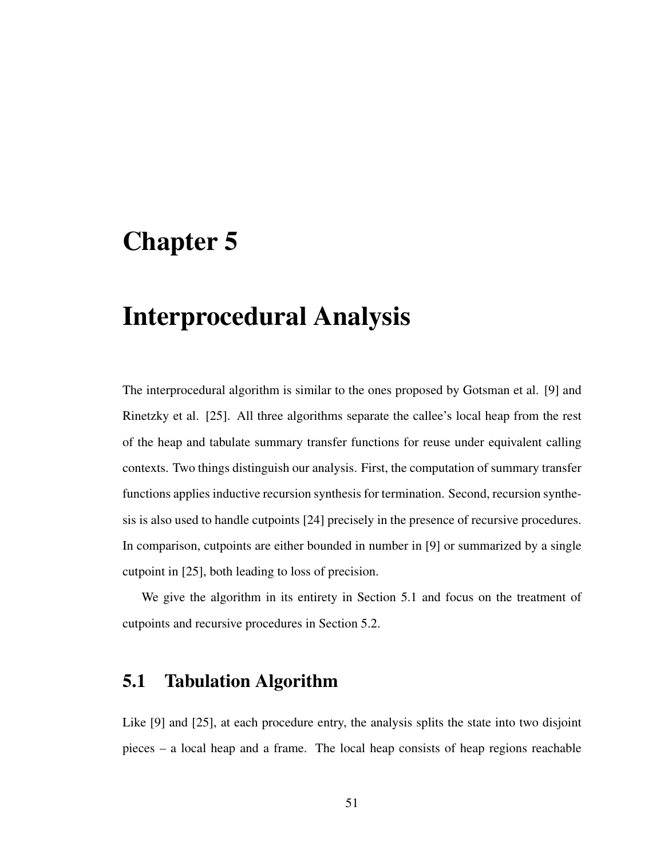# Chapter 5

# Interprocedural Analysis

The interprocedural algorithm is similar to the ones proposed by Gotsman et al. [9] and Rinetzky et al. [25]. All three algorithms separate the callee's local heap from the rest of the heap and tabulate summary transfer functions for reuse under equivalent calling contexts. Two things distinguish our analysis. First, the computation of summary transfer functions applies inductive recursion synthesis for termination. Second, recursion synthesis is also used to handle cutpoints [24] precisely in the presence of recursive procedures. In comparison, cutpoints are either bounded in number in [9] or summarized by a single cutpoint in [25], both leading to loss of precision.

We give the algorithm in its entirety in Section 5.1 and focus on the treatment of cutpoints and recursive procedures in Section 5.2.

# 5.1 Tabulation Algorithm

Like [9] and [25], at each procedure entry, the analysis splits the state into two disjoint pieces – a local heap and a frame. The local heap consists of heap regions reachable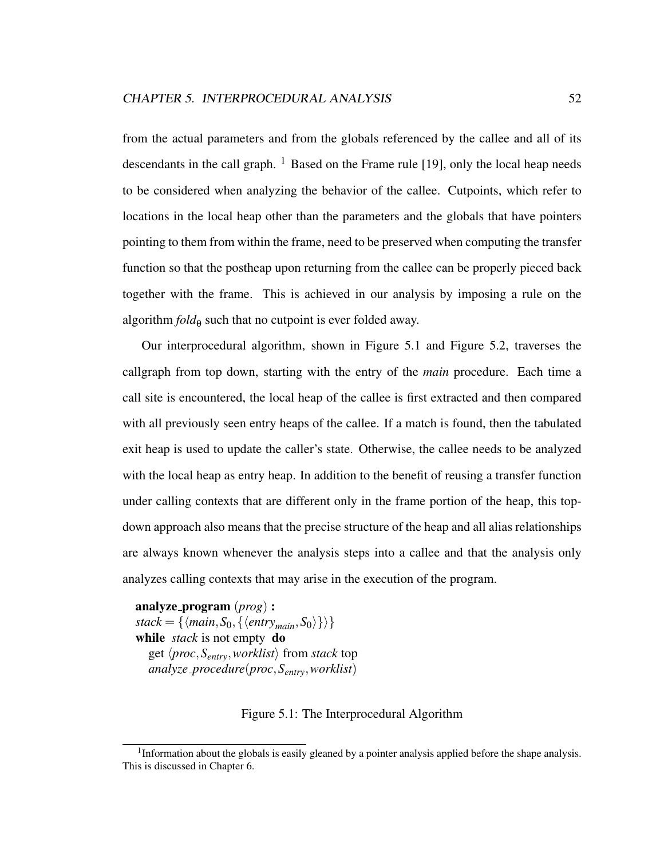from the actual parameters and from the globals referenced by the callee and all of its descendants in the call graph.  $<sup>1</sup>$  Based on the Frame rule [19], only the local heap needs</sup> to be considered when analyzing the behavior of the callee. Cutpoints, which refer to locations in the local heap other than the parameters and the globals that have pointers pointing to them from within the frame, need to be preserved when computing the transfer function so that the postheap upon returning from the callee can be properly pieced back together with the frame. This is achieved in our analysis by imposing a rule on the algorithm  $fold_{\theta}$  such that no cutpoint is ever folded away.

Our interprocedural algorithm, shown in Figure 5.1 and Figure 5.2, traverses the callgraph from top down, starting with the entry of the *main* procedure. Each time a call site is encountered, the local heap of the callee is first extracted and then compared with all previously seen entry heaps of the callee. If a match is found, then the tabulated exit heap is used to update the caller's state. Otherwise, the callee needs to be analyzed with the local heap as entry heap. In addition to the benefit of reusing a transfer function under calling contexts that are different only in the frame portion of the heap, this topdown approach also means that the precise structure of the heap and all alias relationships are always known whenever the analysis steps into a callee and that the analysis only analyzes calling contexts that may arise in the execution of the program.

analyze program (*prog*) :  $stack = {\{\\mathsf{max}, S_0, \{\langle entry_{main}, S_0\rangle\}\}}$ while *stack* is not empty do get  $\langle proc, S_{entry}, worklist \rangle$  from *stack* top *analyze procedure*(*proc*,*Sentry*,*worklist*)

#### Figure 5.1: The Interprocedural Algorithm

<sup>&</sup>lt;sup>1</sup>Information about the globals is easily gleaned by a pointer analysis applied before the shape analysis. This is discussed in Chapter 6.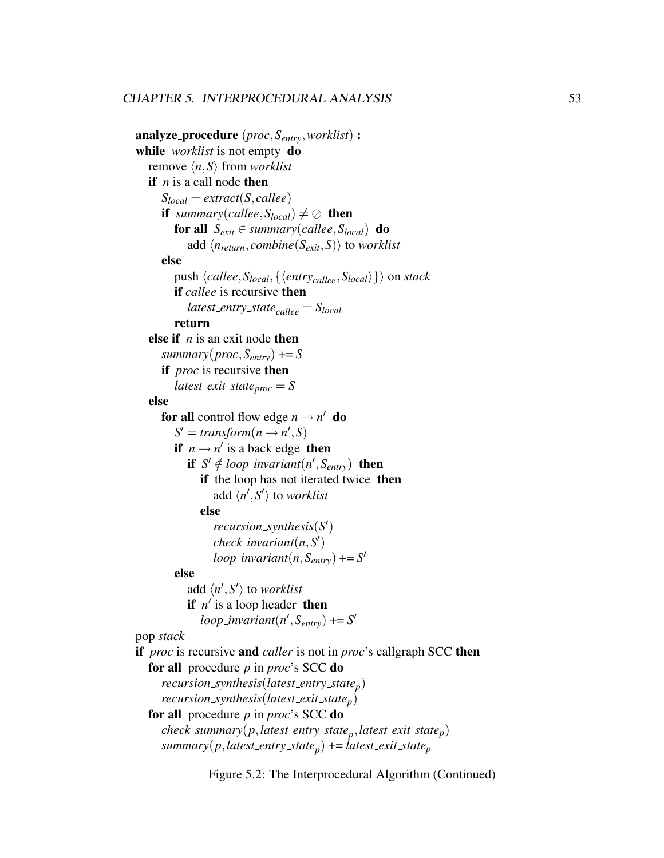```
analyze procedure (proc,Sentry,worklist) :
while worklist is not empty do
  remove \langle n, S \rangle from worklist
  if n is a call node then
      S_{local} = extract(S, called)if summary(callee, S_{local}) \neq \emptyset then
        for all S_{exit} \in summary(callee, S_{local}) do
            add \langle n_{return}, combine(S_{exit}, S) \rangle to worklist
     else
        push \langlecallee,S<sub>local</sub>,\{\langleentry<sub>callee</sub>,S<sub>local</sub>\rangle}\rangle on stack
        if callee is recursive then
            latest entry statecallee = Slocal
         return
  else if n is an exit node then
      summary(proc,Sentry) += S
     if proc is recursive then
         latest_exit_state_{proc} = Selse
      for all control flow edge n \rightarrow n' do
         S' = transform(n \rightarrow n', S)if n \rightarrow n' is a back edge then
            if S' \notin loop\_invariant(n', S_{entry}) then
              if the loop has not iterated twice then
                  add \langle n', S' \rangle to worklist
              else
                  recursion synthesis(S
0
)
                  check\_invariant(n, S')loop\_invariant(n, S_{entry}) += S'else
            add \langle n', S' \rangle to worklist
            if n' is a loop header then
               loop\_invariant(n', S_{entry}) += S'pop stack
if proc is recursive and caller is not in proc's callgraph SCC then
  for all procedure p in proc's SCC do
      recursion synthesis(latest entry statep
)
      recursion synthesis(latest exit statep)
  for all procedure p in proc's SCC do
      check summary(p,latest entry statep
,latest exit statep)
      summary(p,latest entry statep
) += latest exit statep
```
Figure 5.2: The Interprocedural Algorithm (Continued)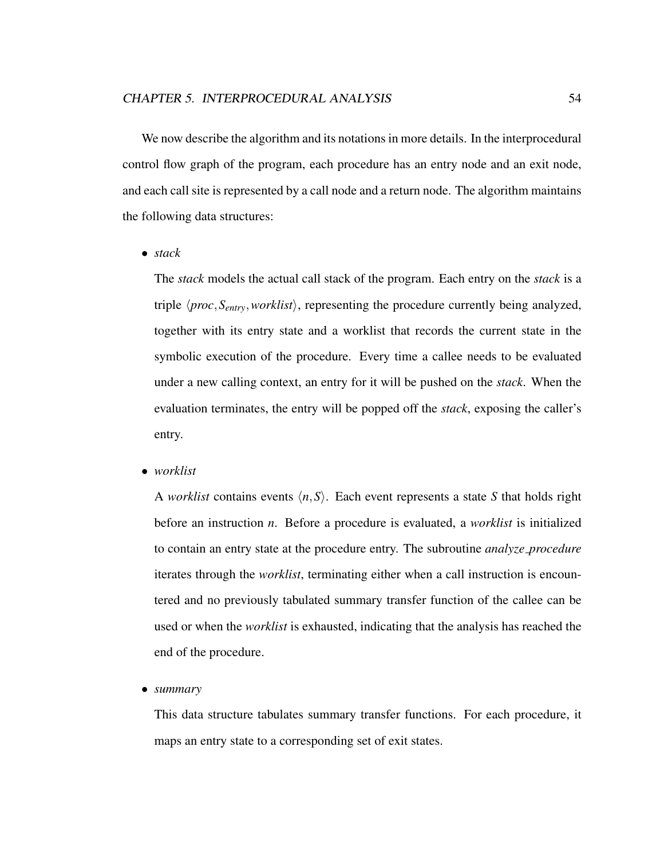We now describe the algorithm and its notations in more details. In the interprocedural control flow graph of the program, each procedure has an entry node and an exit node, and each call site is represented by a call node and a return node. The algorithm maintains the following data structures:

• *stack*

The *stack* models the actual call stack of the program. Each entry on the *stack* is a triple  $\langle proc, S_{entry}, worklist \rangle$ , representing the procedure currently being analyzed, together with its entry state and a worklist that records the current state in the symbolic execution of the procedure. Every time a callee needs to be evaluated under a new calling context, an entry for it will be pushed on the *stack*. When the evaluation terminates, the entry will be popped off the *stack*, exposing the caller's entry.

• *worklist*

A *worklist* contains events  $\langle n, S \rangle$ . Each event represents a state *S* that holds right before an instruction *n*. Before a procedure is evaluated, a *worklist* is initialized to contain an entry state at the procedure entry. The subroutine *analyze procedure* iterates through the *worklist*, terminating either when a call instruction is encountered and no previously tabulated summary transfer function of the callee can be used or when the *worklist* is exhausted, indicating that the analysis has reached the end of the procedure.

• *summary*

This data structure tabulates summary transfer functions. For each procedure, it maps an entry state to a corresponding set of exit states.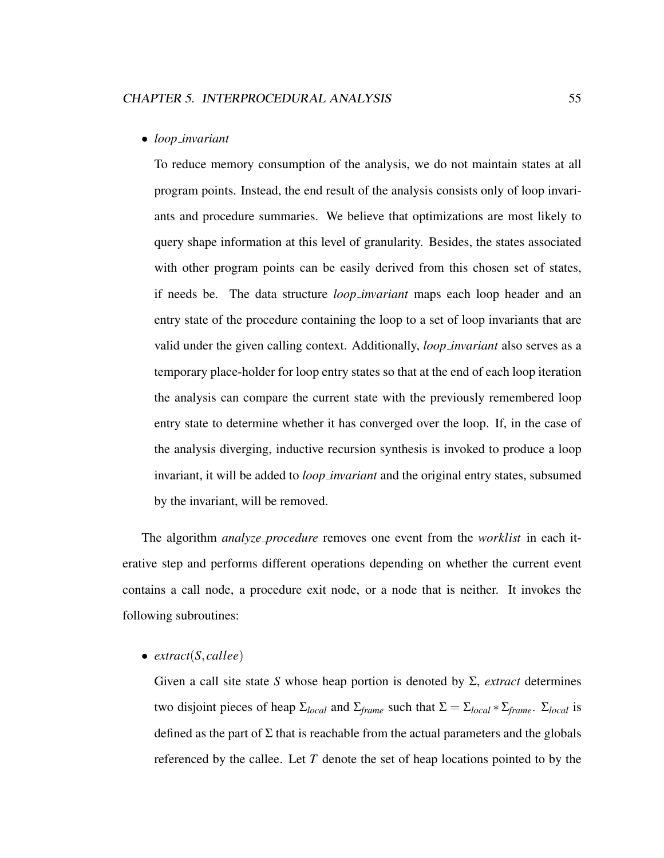#### • *loop invariant*

To reduce memory consumption of the analysis, we do not maintain states at all program points. Instead, the end result of the analysis consists only of loop invariants and procedure summaries. We believe that optimizations are most likely to query shape information at this level of granularity. Besides, the states associated with other program points can be easily derived from this chosen set of states, if needs be. The data structure *loop invariant* maps each loop header and an entry state of the procedure containing the loop to a set of loop invariants that are valid under the given calling context. Additionally, *loop invariant* also serves as a temporary place-holder for loop entry states so that at the end of each loop iteration the analysis can compare the current state with the previously remembered loop entry state to determine whether it has converged over the loop. If, in the case of the analysis diverging, inductive recursion synthesis is invoked to produce a loop invariant, it will be added to *loop invariant* and the original entry states, subsumed by the invariant, will be removed.

The algorithm *analyze procedure* removes one event from the *worklist* in each iterative step and performs different operations depending on whether the current event contains a call node, a procedure exit node, or a node that is neither. It invokes the following subroutines:

#### • *extract*(*S*,*callee*)

Given a call site state *S* whose heap portion is denoted by Σ, *extract* determines two disjoint pieces of heap  $\Sigma_{local}$  and  $\Sigma_{frame}$  such that  $\Sigma = \Sigma_{local} * \Sigma_{frame}$ .  $\Sigma_{local}$  is defined as the part of  $\Sigma$  that is reachable from the actual parameters and the globals referenced by the callee. Let *T* denote the set of heap locations pointed to by the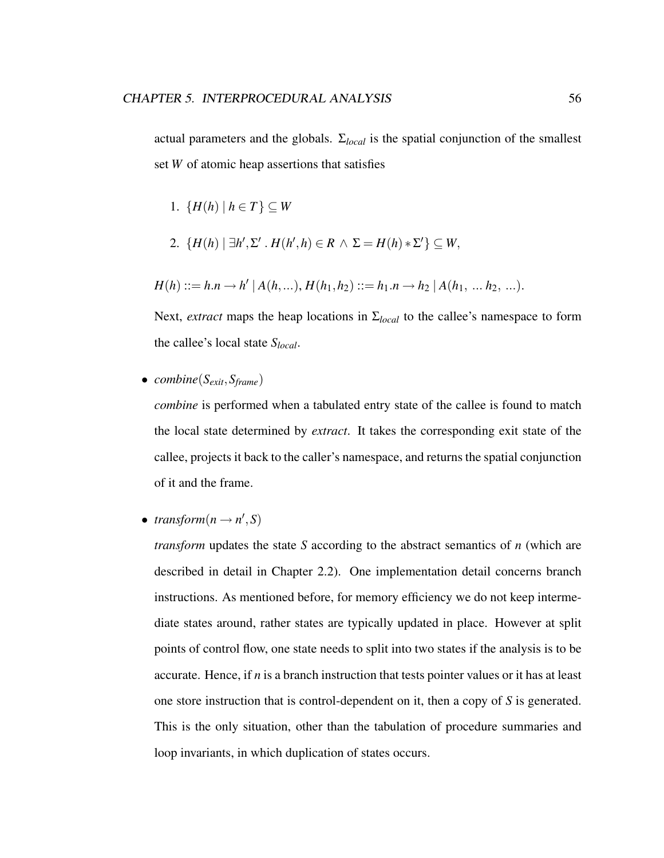actual parameters and the globals. Σ*local* is the spatial conjunction of the smallest set *W* of atomic heap assertions that satisfies

- 1.  ${H(h) | h \in T} \subset W$
- 2.  ${H(h) \mid \exists h', \Sigma' \cdot H(h', h) \in R \land \Sigma = H(h) * \Sigma'} \subseteq W$ ,

$$
H(h) ::= h.n \rightarrow h' | A(h,...), H(h_1,h_2) ::= h_1.n \rightarrow h_2 | A(h_1, ... h_2, ...).
$$

Next, *extract* maps the heap locations in Σ*local* to the callee's namespace to form the callee's local state *Slocal*.

• *combine*(*Sexit*,*Sframe*)

*combine* is performed when a tabulated entry state of the callee is found to match the local state determined by *extract*. It takes the corresponding exit state of the callee, projects it back to the caller's namespace, and returns the spatial conjunction of it and the frame.

• *transform* $(n \rightarrow n', S)$ 

*transform* updates the state *S* according to the abstract semantics of *n* (which are described in detail in Chapter 2.2). One implementation detail concerns branch instructions. As mentioned before, for memory efficiency we do not keep intermediate states around, rather states are typically updated in place. However at split points of control flow, one state needs to split into two states if the analysis is to be accurate. Hence, if  $n$  is a branch instruction that tests pointer values or it has at least one store instruction that is control-dependent on it, then a copy of *S* is generated. This is the only situation, other than the tabulation of procedure summaries and loop invariants, in which duplication of states occurs.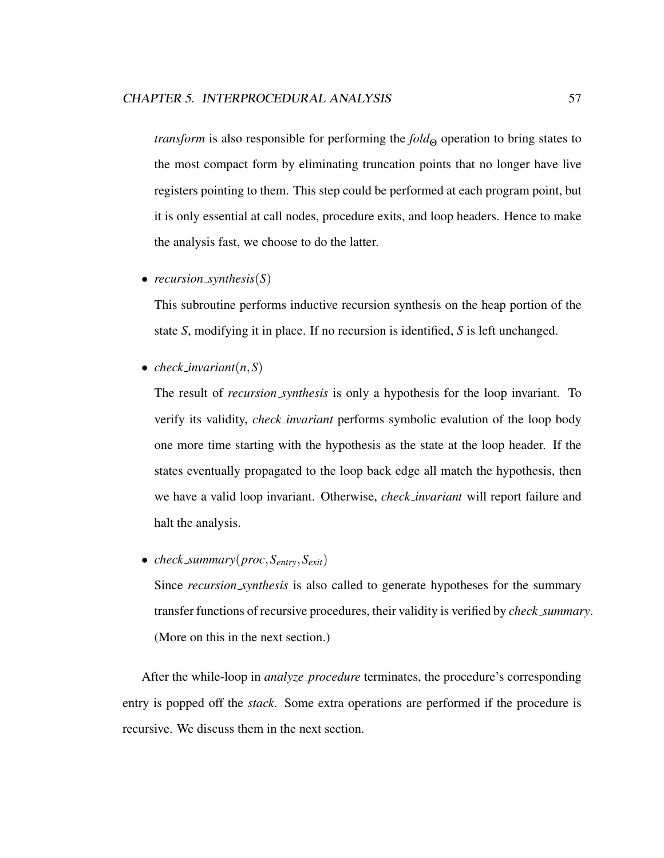*transform* is also responsible for performing the *fold*<sub>Θ</sub> operation to bring states to the most compact form by eliminating truncation points that no longer have live registers pointing to them. This step could be performed at each program point, but it is only essential at call nodes, procedure exits, and loop headers. Hence to make the analysis fast, we choose to do the latter.

• *recursion synthesis*(*S*)

This subroutine performs inductive recursion synthesis on the heap portion of the state *S*, modifying it in place. If no recursion is identified, *S* is left unchanged.

• *check\_invariant* $(n, S)$ 

The result of *recursion synthesis* is only a hypothesis for the loop invariant. To verify its validity, *check invariant* performs symbolic evalution of the loop body one more time starting with the hypothesis as the state at the loop header. If the states eventually propagated to the loop back edge all match the hypothesis, then we have a valid loop invariant. Otherwise, *check invariant* will report failure and halt the analysis.

• *check summary*(*proc*,*Sentry*,*Sexit*)

Since *recursion synthesis* is also called to generate hypotheses for the summary transfer functions of recursive procedures, their validity is verified by *check summary*. (More on this in the next section.)

After the while-loop in *analyze procedure* terminates, the procedure's corresponding entry is popped off the *stack*. Some extra operations are performed if the procedure is recursive. We discuss them in the next section.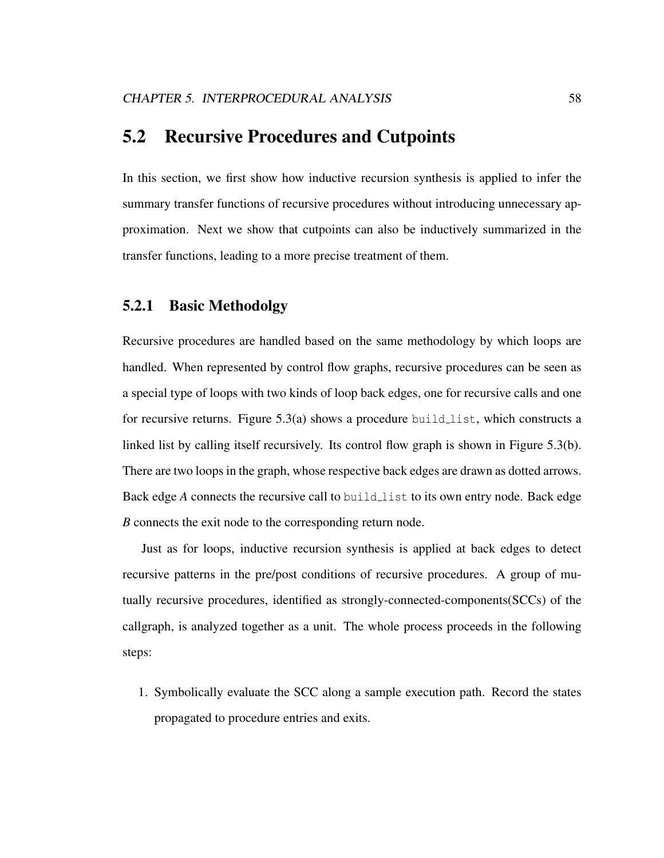## 5.2 Recursive Procedures and Cutpoints

In this section, we first show how inductive recursion synthesis is applied to infer the summary transfer functions of recursive procedures without introducing unnecessary approximation. Next we show that cutpoints can also be inductively summarized in the transfer functions, leading to a more precise treatment of them.

## 5.2.1 Basic Methodolgy

Recursive procedures are handled based on the same methodology by which loops are handled. When represented by control flow graphs, recursive procedures can be seen as a special type of loops with two kinds of loop back edges, one for recursive calls and one for recursive returns. Figure  $5.3(a)$  shows a procedure build list, which constructs a linked list by calling itself recursively. Its control flow graph is shown in Figure 5.3(b). There are two loops in the graph, whose respective back edges are drawn as dotted arrows. Back edge *A* connects the recursive call to build list to its own entry node. Back edge *B* connects the exit node to the corresponding return node.

Just as for loops, inductive recursion synthesis is applied at back edges to detect recursive patterns in the pre/post conditions of recursive procedures. A group of mutually recursive procedures, identified as strongly-connected-components(SCCs) of the callgraph, is analyzed together as a unit. The whole process proceeds in the following steps:

1. Symbolically evaluate the SCC along a sample execution path. Record the states propagated to procedure entries and exits.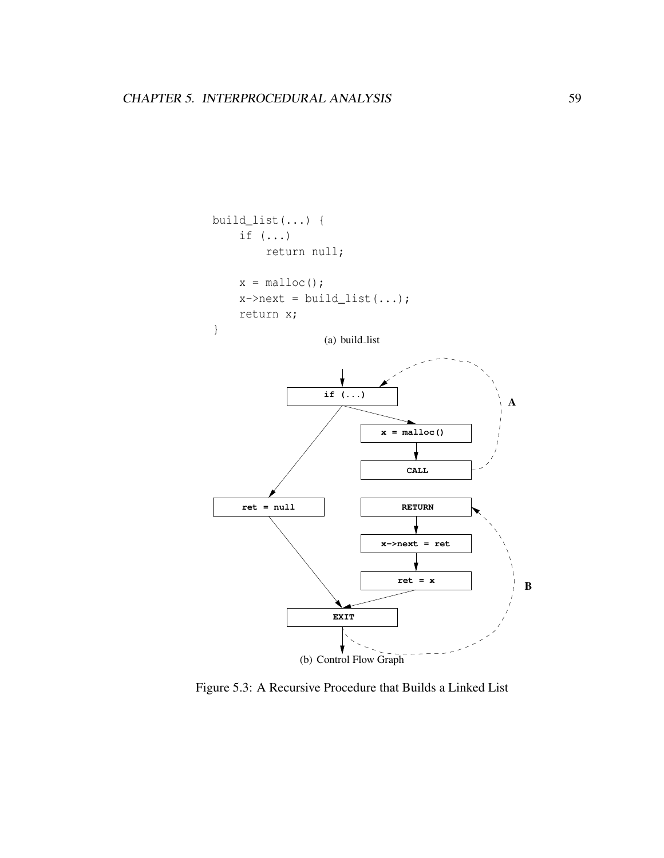

Figure 5.3: A Recursive Procedure that Builds a Linked List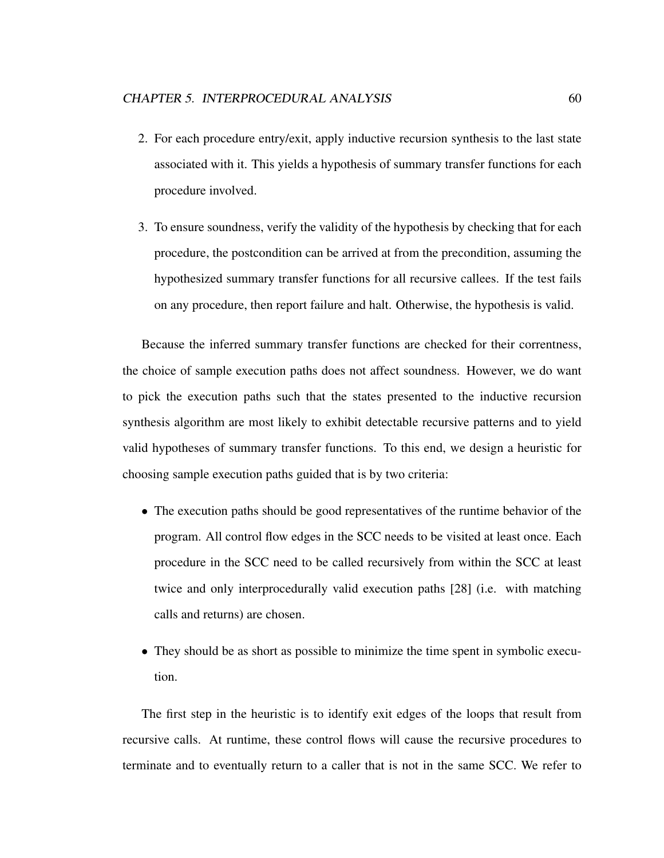- 2. For each procedure entry/exit, apply inductive recursion synthesis to the last state associated with it. This yields a hypothesis of summary transfer functions for each procedure involved.
- 3. To ensure soundness, verify the validity of the hypothesis by checking that for each procedure, the postcondition can be arrived at from the precondition, assuming the hypothesized summary transfer functions for all recursive callees. If the test fails on any procedure, then report failure and halt. Otherwise, the hypothesis is valid.

Because the inferred summary transfer functions are checked for their correntness, the choice of sample execution paths does not affect soundness. However, we do want to pick the execution paths such that the states presented to the inductive recursion synthesis algorithm are most likely to exhibit detectable recursive patterns and to yield valid hypotheses of summary transfer functions. To this end, we design a heuristic for choosing sample execution paths guided that is by two criteria:

- The execution paths should be good representatives of the runtime behavior of the program. All control flow edges in the SCC needs to be visited at least once. Each procedure in the SCC need to be called recursively from within the SCC at least twice and only interprocedurally valid execution paths [28] (i.e. with matching calls and returns) are chosen.
- They should be as short as possible to minimize the time spent in symbolic execution.

The first step in the heuristic is to identify exit edges of the loops that result from recursive calls. At runtime, these control flows will cause the recursive procedures to terminate and to eventually return to a caller that is not in the same SCC. We refer to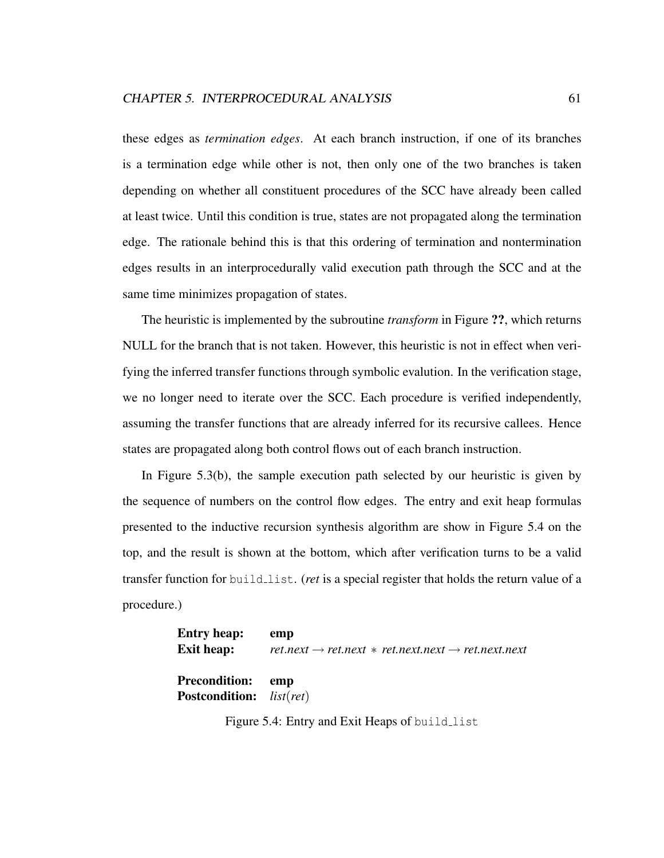these edges as *termination edges*. At each branch instruction, if one of its branches is a termination edge while other is not, then only one of the two branches is taken depending on whether all constituent procedures of the SCC have already been called at least twice. Until this condition is true, states are not propagated along the termination edge. The rationale behind this is that this ordering of termination and nontermination edges results in an interprocedurally valid execution path through the SCC and at the same time minimizes propagation of states.

The heuristic is implemented by the subroutine *transform* in Figure ??, which returns NULL for the branch that is not taken. However, this heuristic is not in effect when verifying the inferred transfer functions through symbolic evalution. In the verification stage, we no longer need to iterate over the SCC. Each procedure is verified independently, assuming the transfer functions that are already inferred for its recursive callees. Hence states are propagated along both control flows out of each branch instruction.

In Figure 5.3(b), the sample execution path selected by our heuristic is given by the sequence of numbers on the control flow edges. The entry and exit heap formulas presented to the inductive recursion synthesis algorithm are show in Figure 5.4 on the top, and the result is shown at the bottom, which after verification turns to be a valid transfer function for build list. (*ret* is a special register that holds the return value of a procedure.)

| <b>Entry heap:</b>                | emp                                                                       |
|-----------------------------------|---------------------------------------------------------------------------|
| <b>Exit heap:</b>                 | $ret.next \rightarrow ret.next * ret.next.next \rightarrow ret.next.next$ |
|                                   |                                                                           |
| <b>Precondition:</b> emp          |                                                                           |
| <b>Postcondition:</b> $list(ret)$ |                                                                           |

Figure 5.4: Entry and Exit Heaps of build\_list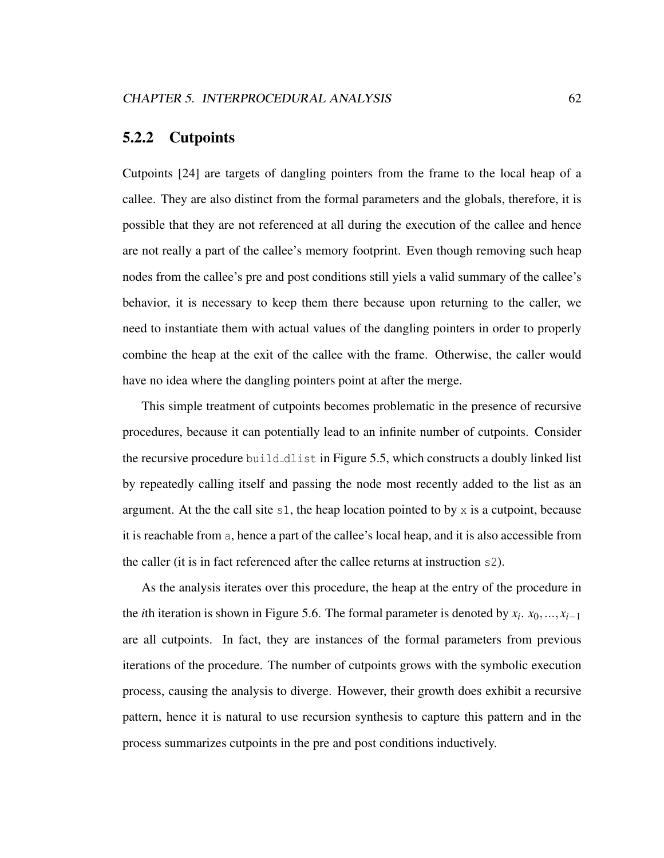### 5.2.2 Cutpoints

Cutpoints [24] are targets of dangling pointers from the frame to the local heap of a callee. They are also distinct from the formal parameters and the globals, therefore, it is possible that they are not referenced at all during the execution of the callee and hence are not really a part of the callee's memory footprint. Even though removing such heap nodes from the callee's pre and post conditions still yiels a valid summary of the callee's behavior, it is necessary to keep them there because upon returning to the caller, we need to instantiate them with actual values of the dangling pointers in order to properly combine the heap at the exit of the callee with the frame. Otherwise, the caller would have no idea where the dangling pointers point at after the merge.

This simple treatment of cutpoints becomes problematic in the presence of recursive procedures, because it can potentially lead to an infinite number of cutpoints. Consider the recursive procedure build dlist in Figure 5.5, which constructs a doubly linked list by repeatedly calling itself and passing the node most recently added to the list as an argument. At the the call site  $s1$ , the heap location pointed to by x is a cutpoint, because it is reachable from a, hence a part of the callee's local heap, and it is also accessible from the caller (it is in fact referenced after the callee returns at instruction s2).

As the analysis iterates over this procedure, the heap at the entry of the procedure in the *i*th iteration is shown in Figure 5.6. The formal parameter is denoted by  $x_i$ .  $x_0$ , ..., $x_{i-1}$ are all cutpoints. In fact, they are instances of the formal parameters from previous iterations of the procedure. The number of cutpoints grows with the symbolic execution process, causing the analysis to diverge. However, their growth does exhibit a recursive pattern, hence it is natural to use recursion synthesis to capture this pattern and in the process summarizes cutpoints in the pre and post conditions inductively.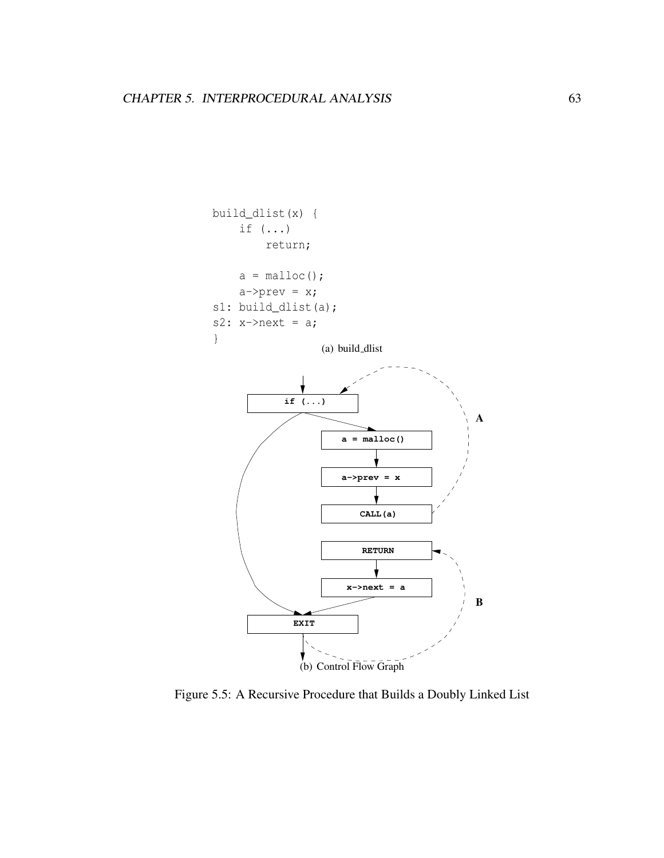

Figure 5.5: A Recursive Procedure that Builds a Doubly Linked List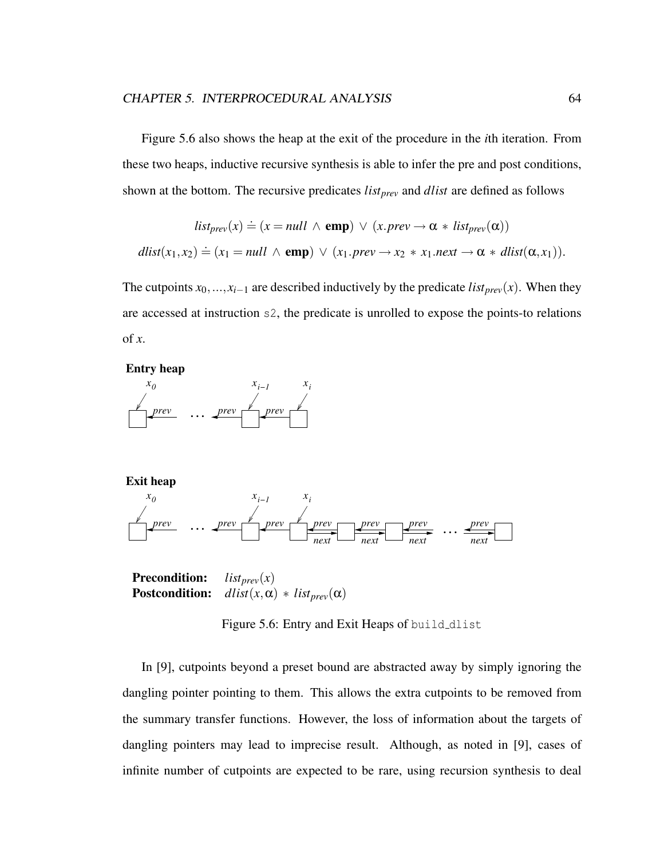Figure 5.6 also shows the heap at the exit of the procedure in the *i*th iteration. From these two heaps, inductive recursive synthesis is able to infer the pre and post conditions, shown at the bottom. The recursive predicates *listprev* and *dlist* are defined as follows

$$
list_{prev}(x) \doteq (x = null \land \textbf{emp}) \lor (x.prev \rightarrow \alpha * list_{prev}(\alpha))
$$
  

$$
dlist(x_1, x_2) \doteq (x_1 = null \land \textbf{emp}) \lor (x_1.prev \rightarrow x_2 * x_1.next \rightarrow \alpha * dist(\alpha, x_1)).
$$

The cutpoints  $x_0$ , ..., $x_{i-1}$  are described inductively by the predicate *list<sub>prev</sub>*(*x*). When they are accessed at instruction s2, the predicate is unrolled to expose the points-to relations of *x*.

**Entry heap**



**Exit heap**



Precondition: *listprev*(*x*) **Postcondition:**  $dlist(x, \alpha) * list_{prev}(\alpha)$ 

Figure 5.6: Entry and Exit Heaps of build dlist

In [9], cutpoints beyond a preset bound are abstracted away by simply ignoring the dangling pointer pointing to them. This allows the extra cutpoints to be removed from the summary transfer functions. However, the loss of information about the targets of dangling pointers may lead to imprecise result. Although, as noted in [9], cases of infinite number of cutpoints are expected to be rare, using recursion synthesis to deal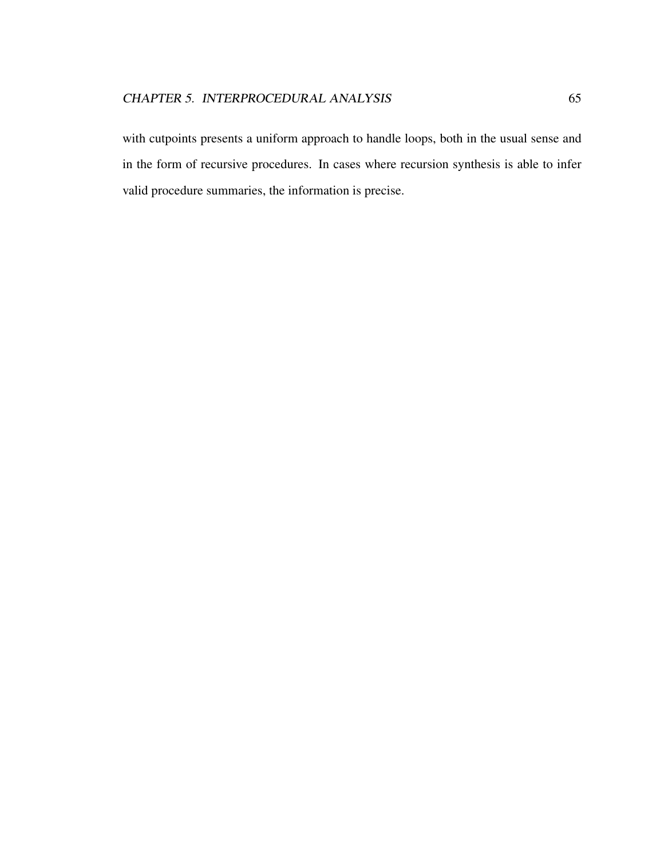with cutpoints presents a uniform approach to handle loops, both in the usual sense and in the form of recursive procedures. In cases where recursion synthesis is able to infer valid procedure summaries, the information is precise.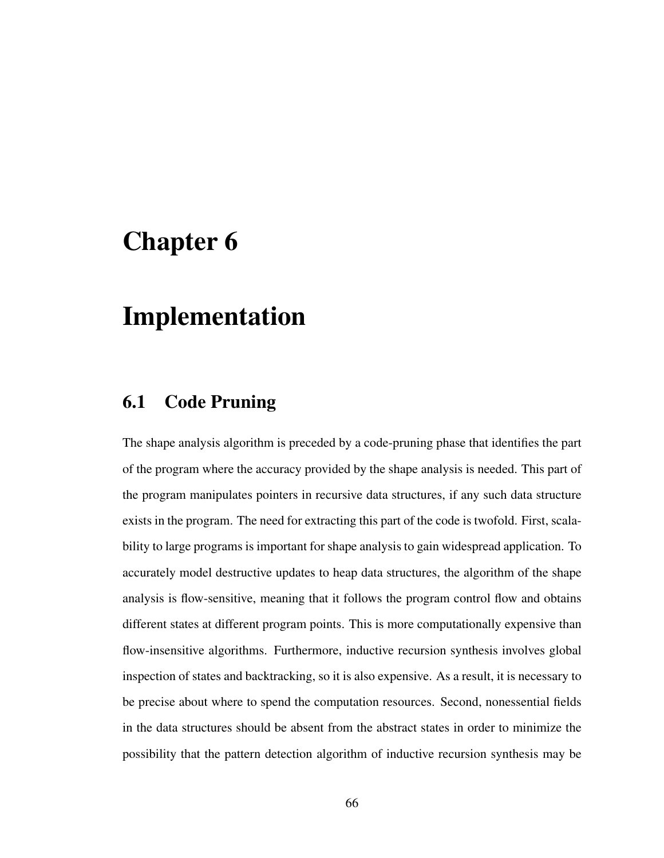# Chapter 6

# Implementation

#### 6.1 Code Pruning

The shape analysis algorithm is preceded by a code-pruning phase that identifies the part of the program where the accuracy provided by the shape analysis is needed. This part of the program manipulates pointers in recursive data structures, if any such data structure exists in the program. The need for extracting this part of the code is twofold. First, scalability to large programs is important for shape analysis to gain widespread application. To accurately model destructive updates to heap data structures, the algorithm of the shape analysis is flow-sensitive, meaning that it follows the program control flow and obtains different states at different program points. This is more computationally expensive than flow-insensitive algorithms. Furthermore, inductive recursion synthesis involves global inspection of states and backtracking, so it is also expensive. As a result, it is necessary to be precise about where to spend the computation resources. Second, nonessential fields in the data structures should be absent from the abstract states in order to minimize the possibility that the pattern detection algorithm of inductive recursion synthesis may be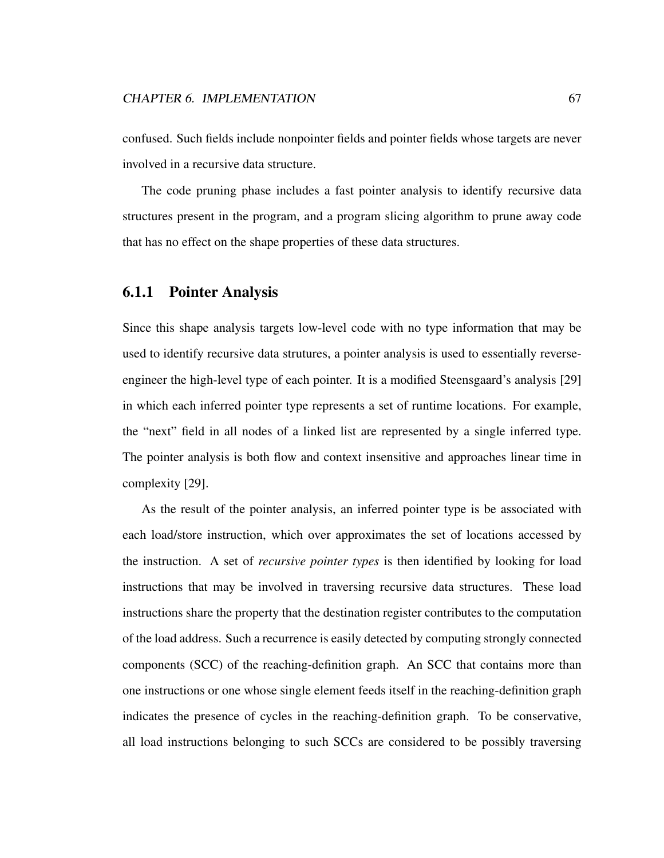confused. Such fields include nonpointer fields and pointer fields whose targets are never involved in a recursive data structure.

The code pruning phase includes a fast pointer analysis to identify recursive data structures present in the program, and a program slicing algorithm to prune away code that has no effect on the shape properties of these data structures.

#### 6.1.1 Pointer Analysis

Since this shape analysis targets low-level code with no type information that may be used to identify recursive data strutures, a pointer analysis is used to essentially reverseengineer the high-level type of each pointer. It is a modified Steensgaard's analysis [29] in which each inferred pointer type represents a set of runtime locations. For example, the "next" field in all nodes of a linked list are represented by a single inferred type. The pointer analysis is both flow and context insensitive and approaches linear time in complexity [29].

As the result of the pointer analysis, an inferred pointer type is be associated with each load/store instruction, which over approximates the set of locations accessed by the instruction. A set of *recursive pointer types* is then identified by looking for load instructions that may be involved in traversing recursive data structures. These load instructions share the property that the destination register contributes to the computation of the load address. Such a recurrence is easily detected by computing strongly connected components (SCC) of the reaching-definition graph. An SCC that contains more than one instructions or one whose single element feeds itself in the reaching-definition graph indicates the presence of cycles in the reaching-definition graph. To be conservative, all load instructions belonging to such SCCs are considered to be possibly traversing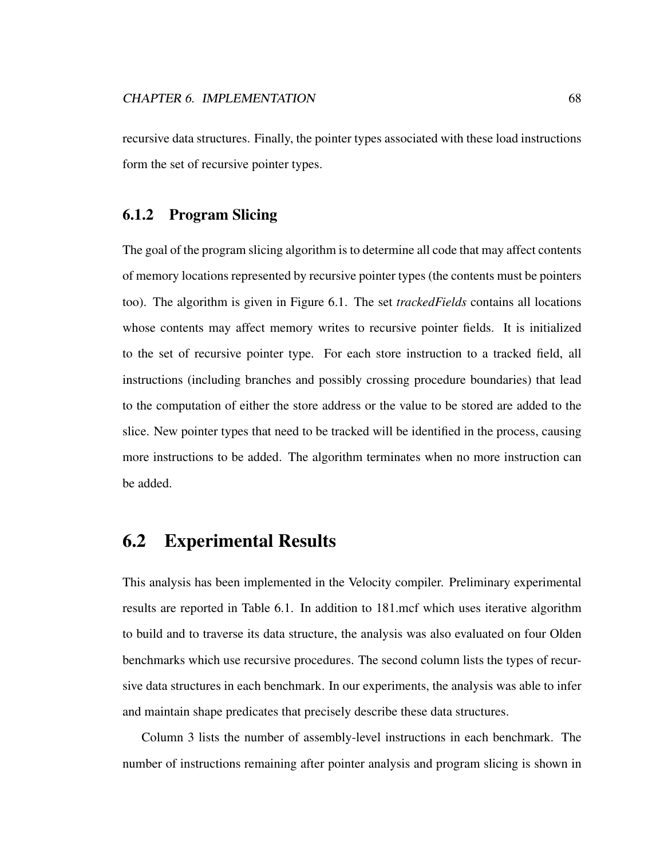recursive data structures. Finally, the pointer types associated with these load instructions form the set of recursive pointer types.

#### 6.1.2 Program Slicing

The goal of the program slicing algorithm is to determine all code that may affect contents of memory locations represented by recursive pointer types (the contents must be pointers too). The algorithm is given in Figure 6.1. The set *trackedFields* contains all locations whose contents may affect memory writes to recursive pointer fields. It is initialized to the set of recursive pointer type. For each store instruction to a tracked field, all instructions (including branches and possibly crossing procedure boundaries) that lead to the computation of either the store address or the value to be stored are added to the slice. New pointer types that need to be tracked will be identified in the process, causing more instructions to be added. The algorithm terminates when no more instruction can be added.

#### 6.2 Experimental Results

This analysis has been implemented in the Velocity compiler. Preliminary experimental results are reported in Table 6.1. In addition to 181.mcf which uses iterative algorithm to build and to traverse its data structure, the analysis was also evaluated on four Olden benchmarks which use recursive procedures. The second column lists the types of recursive data structures in each benchmark. In our experiments, the analysis was able to infer and maintain shape predicates that precisely describe these data structures.

Column 3 lists the number of assembly-level instructions in each benchmark. The number of instructions remaining after pointer analysis and program slicing is shown in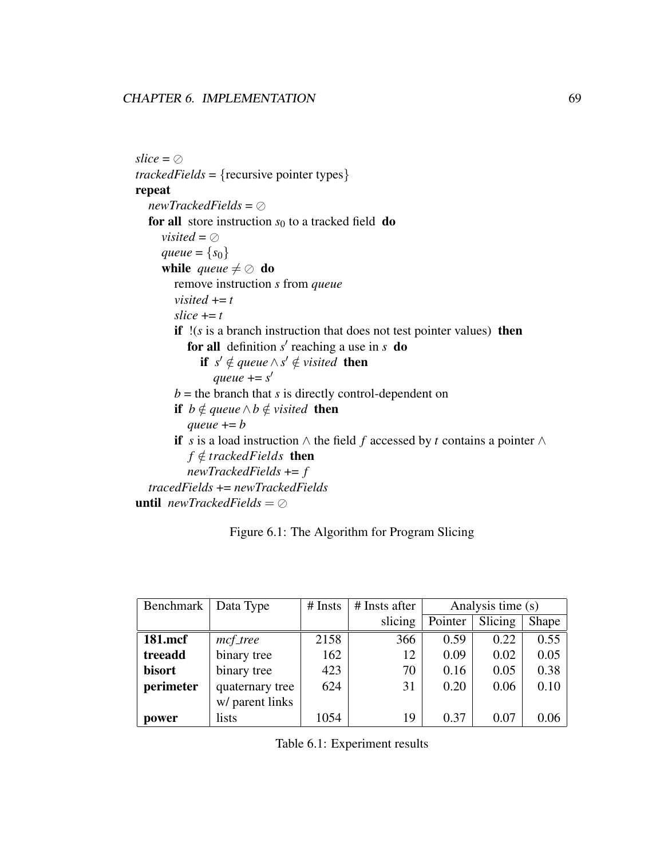$slice = \oslash$ *trackedFields* = {recursive pointer types} repeat  $newTracedFields = \oslash$ for all store instruction  $s_0$  to a tracked field do *visited* =  $\oslash$ *queue* =  $\{s_0\}$ while *queue*  $\neq \oslash$  do remove instruction *s* from *queue visited*  $+= t$  $slice += t$ if !(*s* is a branch instruction that does not test pointer values) then for all definition  $s'$  reaching a use in  $s$  do **if**  $s' \notin queue \land s' \notin visited$  **then** *queue* += *s* 0  $b =$  the branch that *s* is directly control-dependent on **if** *b* ∉ *queue*  $\land$  *b* ∉ *visited* **then** *gueue*  $+= b$ if *s* is a load instruction ∧ the field *f* accessed by *t* contains a pointer ∧  $f \notin \text{trackedFields}$  then *newTrackedFields* += *f tracedFields* += *newTrackedFields* **until**  $newTrackedFields = \oslash$ 

#### Figure 6.1: The Algorithm for Program Slicing

| Benchmark     | Data Type       | $#$ Insts | # Insts after | Analysis time (s) |         |       |
|---------------|-----------------|-----------|---------------|-------------------|---------|-------|
|               |                 |           | slicing       | Pointer           | Slicing | Shape |
| 181.mcf       | mcf_tree        | 2158      | 366           | 0.59              | 0.22    | 0.55  |
| treeadd       | binary tree     |           | 12            | 0.09              | 0.02    | 0.05  |
| <b>bisort</b> | binary tree     | 423       | 70            | 0.16              | 0.05    | 0.38  |
| perimeter     | quaternary tree | 624       | 31            | 0.20              | 0.06    | 0.10  |
|               | w/ parent links |           |               |                   |         |       |
| power         | lists           | 1054      | 19            | 0.37              | 0.07    | 0.06  |

Table 6.1: Experiment results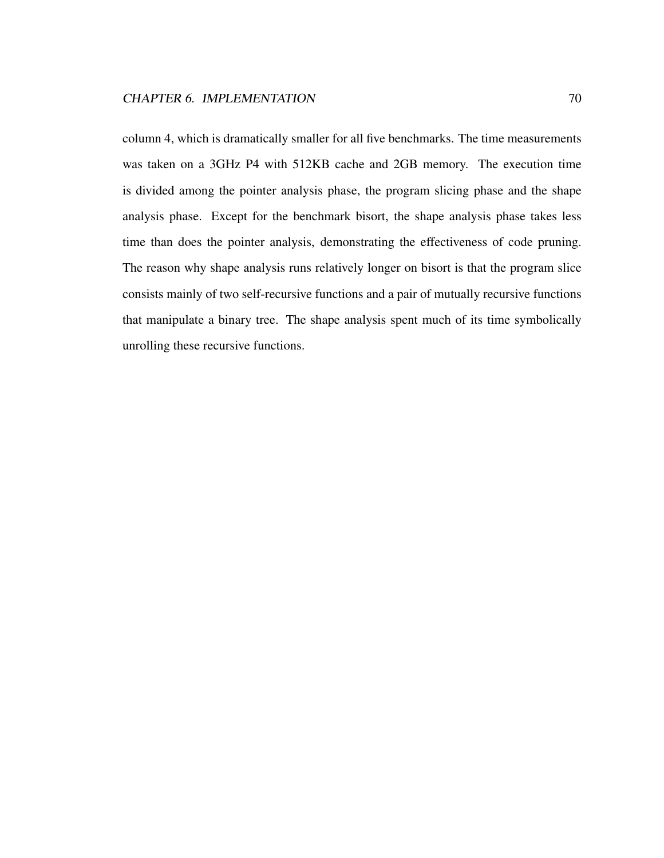column 4, which is dramatically smaller for all five benchmarks. The time measurements was taken on a 3GHz P4 with 512KB cache and 2GB memory. The execution time is divided among the pointer analysis phase, the program slicing phase and the shape analysis phase. Except for the benchmark bisort, the shape analysis phase takes less time than does the pointer analysis, demonstrating the effectiveness of code pruning. The reason why shape analysis runs relatively longer on bisort is that the program slice consists mainly of two self-recursive functions and a pair of mutually recursive functions that manipulate a binary tree. The shape analysis spent much of its time symbolically unrolling these recursive functions.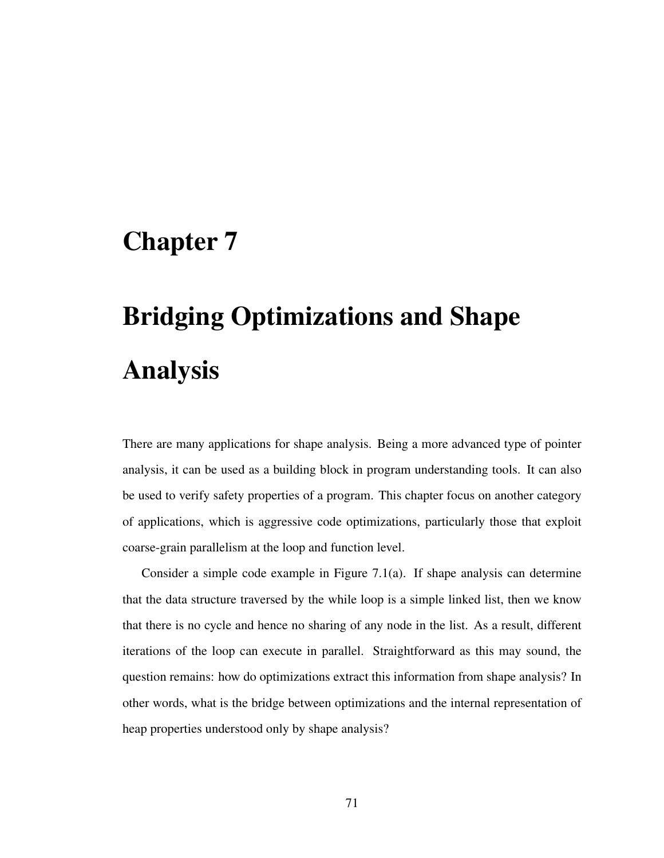# Chapter 7

# Bridging Optimizations and Shape Analysis

There are many applications for shape analysis. Being a more advanced type of pointer analysis, it can be used as a building block in program understanding tools. It can also be used to verify safety properties of a program. This chapter focus on another category of applications, which is aggressive code optimizations, particularly those that exploit coarse-grain parallelism at the loop and function level.

Consider a simple code example in Figure 7.1(a). If shape analysis can determine that the data structure traversed by the while loop is a simple linked list, then we know that there is no cycle and hence no sharing of any node in the list. As a result, different iterations of the loop can execute in parallel. Straightforward as this may sound, the question remains: how do optimizations extract this information from shape analysis? In other words, what is the bridge between optimizations and the internal representation of heap properties understood only by shape analysis?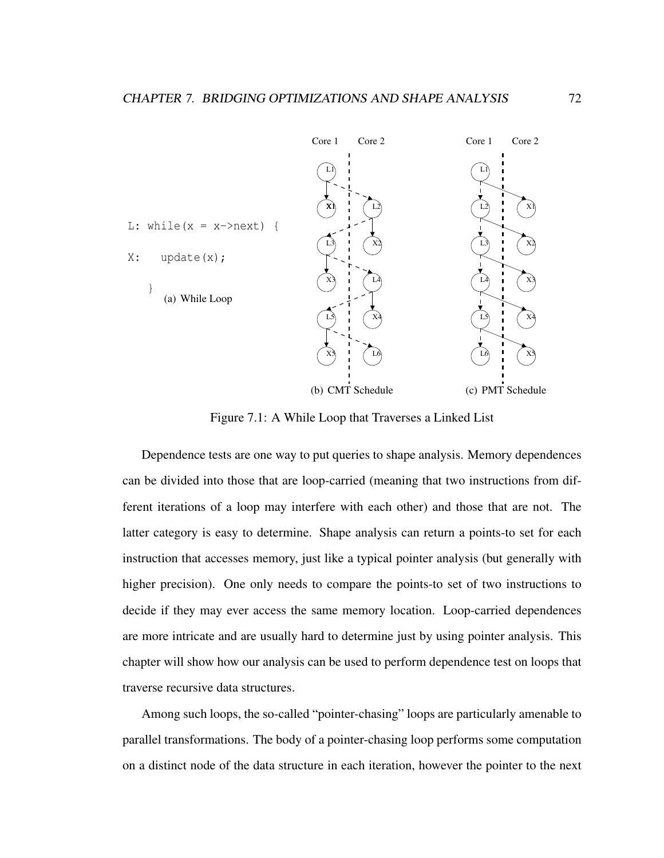

Figure 7.1: A While Loop that Traverses a Linked List

Dependence tests are one way to put queries to shape analysis. Memory dependences can be divided into those that are loop-carried (meaning that two instructions from different iterations of a loop may interfere with each other) and those that are not. The latter category is easy to determine. Shape analysis can return a points-to set for each instruction that accesses memory, just like a typical pointer analysis (but generally with higher precision). One only needs to compare the points-to set of two instructions to decide if they may ever access the same memory location. Loop-carried dependences are more intricate and are usually hard to determine just by using pointer analysis. This chapter will show how our analysis can be used to perform dependence test on loops that traverse recursive data structures.

Among such loops, the so-called "pointer-chasing" loops are particularly amenable to parallel transformations. The body of a pointer-chasing loop performs some computation on a distinct node of the data structure in each iteration, however the pointer to the next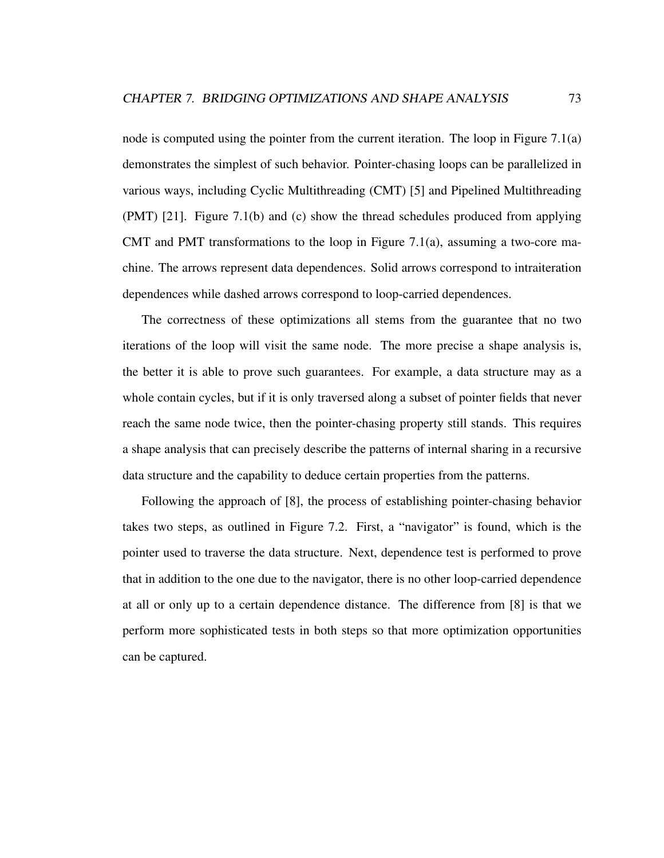node is computed using the pointer from the current iteration. The loop in Figure 7.1(a) demonstrates the simplest of such behavior. Pointer-chasing loops can be parallelized in various ways, including Cyclic Multithreading (CMT) [5] and Pipelined Multithreading (PMT) [21]. Figure 7.1(b) and (c) show the thread schedules produced from applying CMT and PMT transformations to the loop in Figure 7.1(a), assuming a two-core machine. The arrows represent data dependences. Solid arrows correspond to intraiteration dependences while dashed arrows correspond to loop-carried dependences.

The correctness of these optimizations all stems from the guarantee that no two iterations of the loop will visit the same node. The more precise a shape analysis is, the better it is able to prove such guarantees. For example, a data structure may as a whole contain cycles, but if it is only traversed along a subset of pointer fields that never reach the same node twice, then the pointer-chasing property still stands. This requires a shape analysis that can precisely describe the patterns of internal sharing in a recursive data structure and the capability to deduce certain properties from the patterns.

Following the approach of [8], the process of establishing pointer-chasing behavior takes two steps, as outlined in Figure 7.2. First, a "navigator" is found, which is the pointer used to traverse the data structure. Next, dependence test is performed to prove that in addition to the one due to the navigator, there is no other loop-carried dependence at all or only up to a certain dependence distance. The difference from [8] is that we perform more sophisticated tests in both steps so that more optimization opportunities can be captured.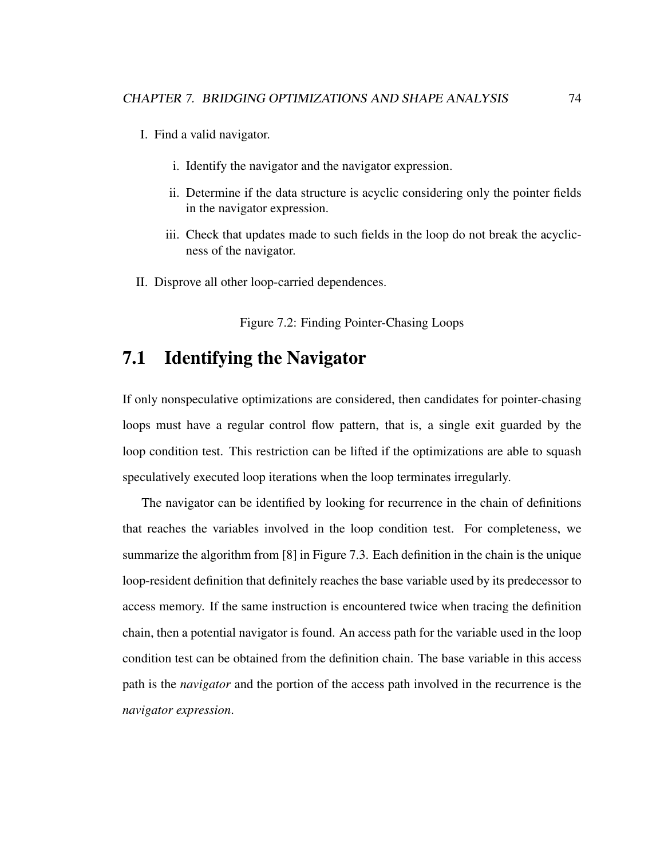- I. Find a valid navigator.
	- i. Identify the navigator and the navigator expression.
	- ii. Determine if the data structure is acyclic considering only the pointer fields in the navigator expression.
	- iii. Check that updates made to such fields in the loop do not break the acyclicness of the navigator.
- II. Disprove all other loop-carried dependences.

Figure 7.2: Finding Pointer-Chasing Loops

#### 7.1 Identifying the Navigator

If only nonspeculative optimizations are considered, then candidates for pointer-chasing loops must have a regular control flow pattern, that is, a single exit guarded by the loop condition test. This restriction can be lifted if the optimizations are able to squash speculatively executed loop iterations when the loop terminates irregularly.

The navigator can be identified by looking for recurrence in the chain of definitions that reaches the variables involved in the loop condition test. For completeness, we summarize the algorithm from [8] in Figure 7.3. Each definition in the chain is the unique loop-resident definition that definitely reaches the base variable used by its predecessor to access memory. If the same instruction is encountered twice when tracing the definition chain, then a potential navigator is found. An access path for the variable used in the loop condition test can be obtained from the definition chain. The base variable in this access path is the *navigator* and the portion of the access path involved in the recurrence is the *navigator expression*.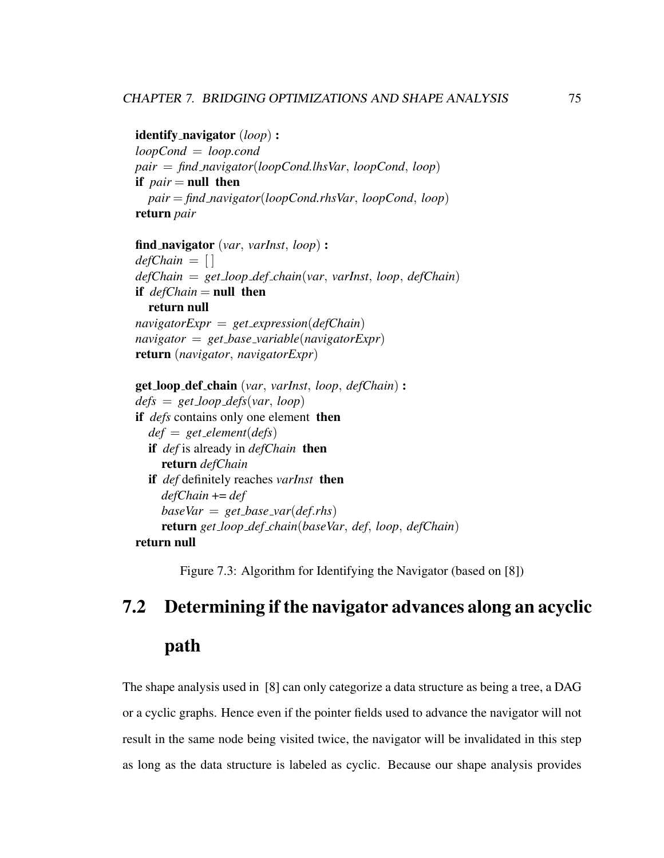identify navigator (*loop*) :

*loopCond* = *loop.cond pair* = *find navigator*(*loopCond.lhsVar*, *loopCond*, *loop*) if *pair* = null then *pair* = *find navigator*(*loopCond.rhsVar*, *loopCond*, *loop*) return *pair*

find navigator (*var*, *varInst*, *loop*) : *defChain* = [ ] *defChain* = *get loop def chain*(*var*, *varInst*, *loop*, *defChain*) if  $defChain = null$  then return null *navigatorExpr* = *get expression*(*defChain*) *navigator* = *get base variable*(*navigatorExpr*) return (*navigator*, *navigatorExpr*)

get loop def chain (*var*, *varInst*, *loop*, *defChain*) : *defs* = *get loop defs*(*var*, *loop*) if *defs* contains only one element then *def* = *get element*(*defs*) if *def* is already in *defChain* then return *defChain* if *def* definitely reaches *varInst* then *defChain* += *def baseVar* = *get base var*(*def*.*rhs*) return *get loop def chain*(*baseVar*, *def*, *loop*, *defChain*) return null

Figure 7.3: Algorithm for Identifying the Navigator (based on [8])

# 7.2 Determining if the navigator advances along an acyclic path

The shape analysis used in [8] can only categorize a data structure as being a tree, a DAG or a cyclic graphs. Hence even if the pointer fields used to advance the navigator will not result in the same node being visited twice, the navigator will be invalidated in this step as long as the data structure is labeled as cyclic. Because our shape analysis provides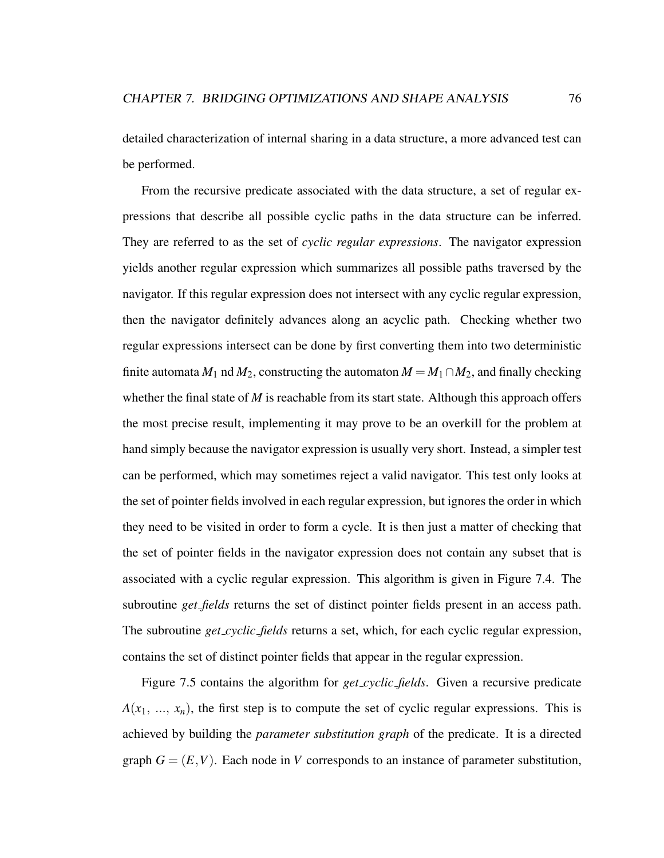detailed characterization of internal sharing in a data structure, a more advanced test can be performed.

From the recursive predicate associated with the data structure, a set of regular expressions that describe all possible cyclic paths in the data structure can be inferred. They are referred to as the set of *cyclic regular expressions*. The navigator expression yields another regular expression which summarizes all possible paths traversed by the navigator. If this regular expression does not intersect with any cyclic regular expression, then the navigator definitely advances along an acyclic path. Checking whether two regular expressions intersect can be done by first converting them into two deterministic finite automata  $M_1$  nd  $M_2$ , constructing the automaton  $M = M_1 \cap M_2$ , and finally checking whether the final state of *M* is reachable from its start state. Although this approach offers the most precise result, implementing it may prove to be an overkill for the problem at hand simply because the navigator expression is usually very short. Instead, a simpler test can be performed, which may sometimes reject a valid navigator. This test only looks at the set of pointer fields involved in each regular expression, but ignores the order in which they need to be visited in order to form a cycle. It is then just a matter of checking that the set of pointer fields in the navigator expression does not contain any subset that is associated with a cyclic regular expression. This algorithm is given in Figure 7.4. The subroutine *get fields* returns the set of distinct pointer fields present in an access path. The subroutine *get cyclic fields* returns a set, which, for each cyclic regular expression, contains the set of distinct pointer fields that appear in the regular expression.

Figure 7.5 contains the algorithm for *get cyclic fields*. Given a recursive predicate  $A(x_1, ..., x_n)$ , the first step is to compute the set of cyclic regular expressions. This is achieved by building the *parameter substitution graph* of the predicate. It is a directed graph  $G = (E, V)$ . Each node in *V* corresponds to an instance of parameter substitution,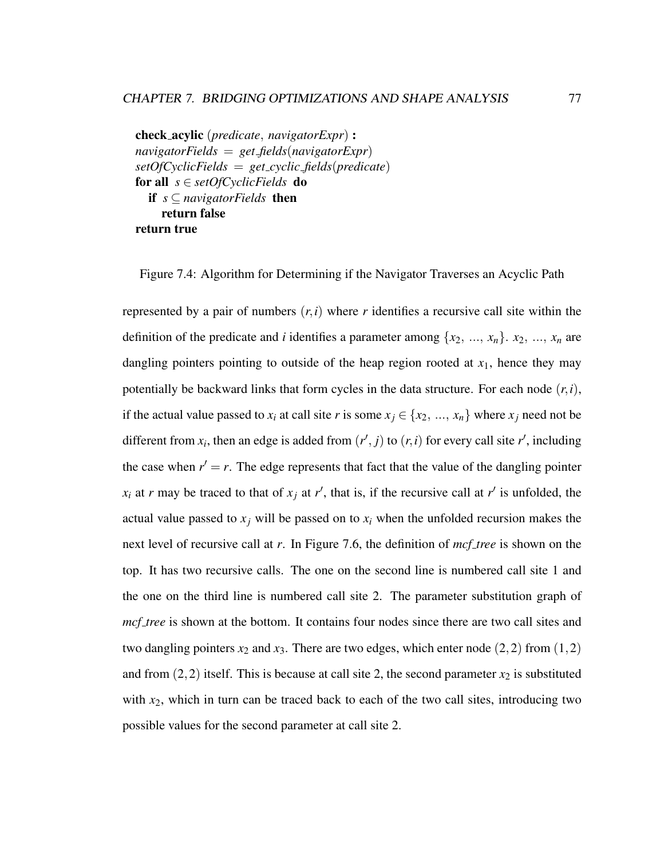check acylic (*predicate*, *navigatorExpr*) : *navigatorFields* = *get fields*(*navigatorExpr*) *setOfCyclicFields* = *get cyclic fields*(*predicate*) for all *s* ∈ *setOfCyclicFields* do if *s* ⊆ *navigatorFields* then return false return true

Figure 7.4: Algorithm for Determining if the Navigator Traverses an Acyclic Path

represented by a pair of numbers  $(r, i)$  where r identifies a recursive call site within the definition of the predicate and *i* identifies a parameter among  $\{x_2, ..., x_n\}$ .  $x_2, ..., x_n$  are dangling pointers pointing to outside of the heap region rooted at  $x_1$ , hence they may potentially be backward links that form cycles in the data structure. For each node  $(r, i)$ , if the actual value passed to  $x_i$  at call site *r* is some  $x_j \in \{x_2, ..., x_n\}$  where  $x_j$  need not be different from  $x_i$ , then an edge is added from  $(r', j)$  to  $(r, i)$  for every call site  $r'$ , including the case when  $r' = r$ . The edge represents that fact that the value of the dangling pointer  $x_i$  at *r* may be traced to that of  $x_j$  at *r*<sup> $\prime$ </sup>, that is, if the recursive call at *r*<sup> $\prime$ </sup> is unfolded, the actual value passed to  $x_i$  will be passed on to  $x_i$  when the unfolded recursion makes the next level of recursive call at *r*. In Figure 7.6, the definition of *mcf tree* is shown on the top. It has two recursive calls. The one on the second line is numbered call site 1 and the one on the third line is numbered call site 2. The parameter substitution graph of *mcf tree* is shown at the bottom. It contains four nodes since there are two call sites and two dangling pointers  $x_2$  and  $x_3$ . There are two edges, which enter node  $(2,2)$  from  $(1,2)$ and from  $(2, 2)$  itself. This is because at call site 2, the second parameter  $x_2$  is substituted with *x*<sub>2</sub>, which in turn can be traced back to each of the two call sites, introducing two possible values for the second parameter at call site 2.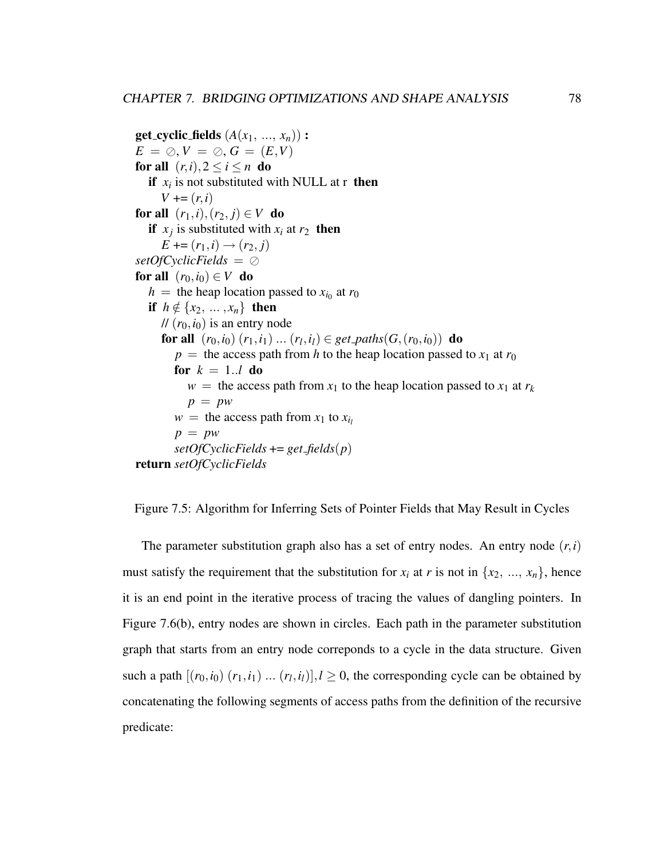**get\_cyclic\_fields**  $(A(x_1, ..., x_n))$  :  $E = \oslash, V = \oslash, G = (E, V)$ for all  $(r, i), 2 \le i \le n$  do if  $x_i$  is not substituted with NULL at r then  $V = (r, i)$ for all  $(r_1, i), (r_2, j) \in V$  do if  $x_j$  is substituted with  $x_i$  at  $r_2$  then  $E \rightarrow (r_1, i) \rightarrow (r_2, j)$ *setOfCyclicFields* = for all  $(r_0, i_0) \in V$  do  $h =$  the heap location passed to  $x_{i_0}$  at  $r_0$ if  $h \notin \{x_2, \ldots, x_n\}$  then  $\mathcal{U}(r_0,i_0)$  is an entry node for all  $(r_0, i_0)$   $(r_1, i_1)$  ...  $(r_l, i_l) \in get\_paths(G, (r_0, i_0))$  do  $p =$  the access path from *h* to the heap location passed to  $x_1$  at  $r_0$ for  $k = 1..l$  do  $w =$  the access path from  $x_1$  to the heap location passed to  $x_1$  at  $r_k$  $p = pw$  $w =$  the access path from  $x_1$  to  $x_i$ *p* = *pw*  $setOfCyclicFields += get_fields(p)$ return *setOfCyclicFields*

Figure 7.5: Algorithm for Inferring Sets of Pointer Fields that May Result in Cycles

The parameter substitution graph also has a set of entry nodes. An entry node  $(r, i)$ must satisfy the requirement that the substitution for  $x_i$  at r is not in  $\{x_2, ..., x_n\}$ , hence it is an end point in the iterative process of tracing the values of dangling pointers. In Figure 7.6(b), entry nodes are shown in circles. Each path in the parameter substitution graph that starts from an entry node correponds to a cycle in the data structure. Given such a path  $[(r_0, i_0) (r_1, i_1) ... (r_l, i_l)]$ ,  $l \ge 0$ , the corresponding cycle can be obtained by concatenating the following segments of access paths from the definition of the recursive predicate: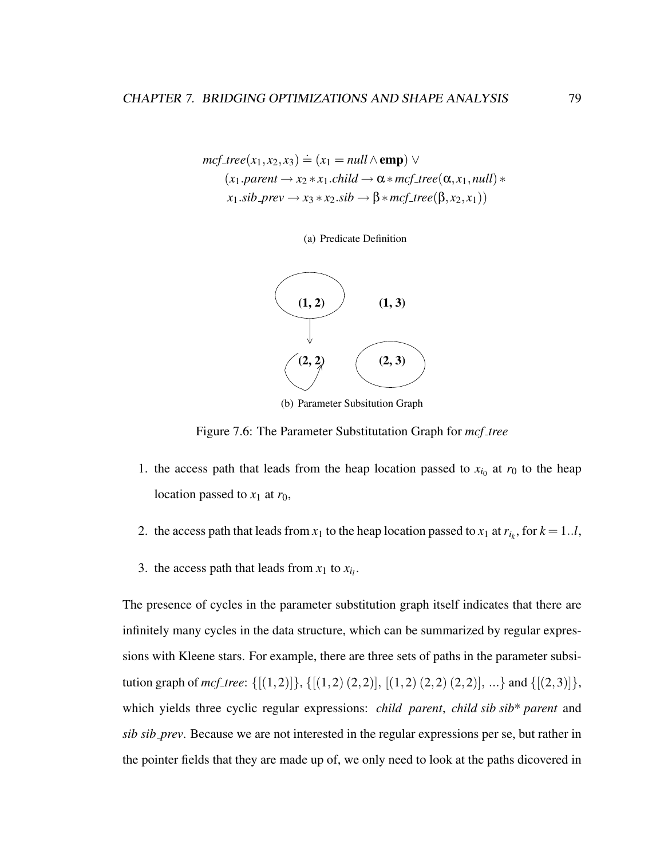$$
mcf\_tree(x_1, x_2, x_3) \doteq (x_1 = null \land \text{emp}) \lor
$$
  
(x\_1.parent  $\rightarrow$  x\_2 \* x\_1.child  $\rightarrow$   $\alpha$  \*  $mcf\_tree(\alpha, x_1, null) *$   
x\_1.sib\\_prev  $\rightarrow$  x\_3 \* x\_2.sib  $\rightarrow \beta$  \*  $mcf\_tree(\beta, x_2, x_1))$ 

(a) Predicate Definition



(b) Parameter Subsitution Graph

Figure 7.6: The Parameter Substitutation Graph for *mcf tree*

- 1. the access path that leads from the heap location passed to  $x_{i_0}$  at  $r_0$  to the heap location passed to  $x_1$  at  $r_0$ ,
- 2. the access path that leads from  $x_1$  to the heap location passed to  $x_1$  at  $r_{i_k}$ , for  $k = 1..l$ ,
- 3. the access path that leads from  $x_1$  to  $x_{i_l}$ .

The presence of cycles in the parameter substitution graph itself indicates that there are infinitely many cycles in the data structure, which can be summarized by regular expressions with Kleene stars. For example, there are three sets of paths in the parameter subsitution graph of *mcf\_tree*: {[(1,2)]}, {[(1,2) (2,2)], [(1,2) (2,2) (2,2)], ...} and {[(2,3)]}, which yields three cyclic regular expressions: *child parent*, *child sib sib*\* *parent* and *sib sib prev*. Because we are not interested in the regular expressions per se, but rather in the pointer fields that they are made up of, we only need to look at the paths dicovered in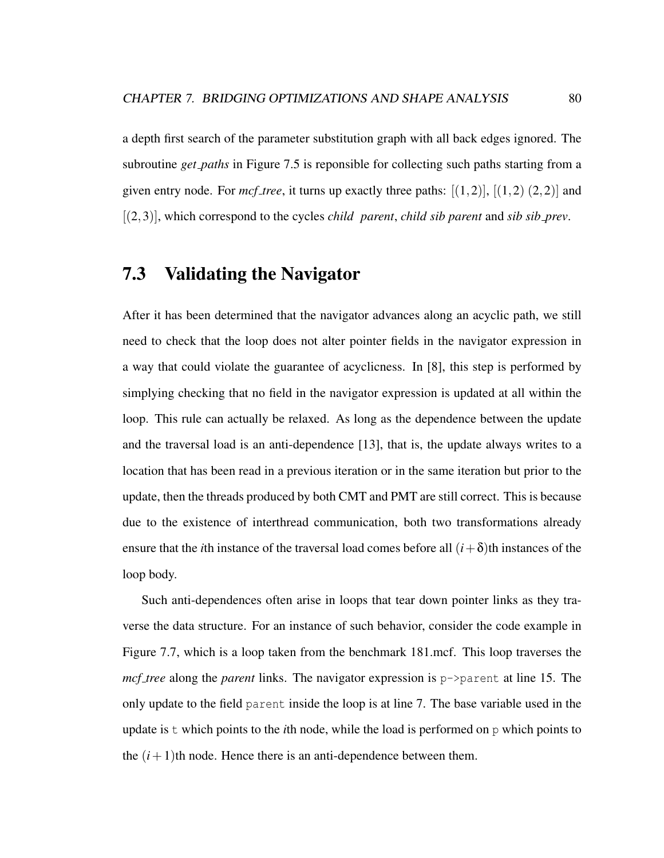a depth first search of the parameter substitution graph with all back edges ignored. The subroutine *get paths* in Figure 7.5 is reponsible for collecting such paths starting from a given entry node. For  $mcf$  *tree*, it turns up exactly three paths:  $[(1,2)]$ ,  $[(1,2) (2,2)]$  and [(2,3)], which correspond to the cycles *child parent*, *child sib parent* and *sib sib prev*.

#### 7.3 Validating the Navigator

After it has been determined that the navigator advances along an acyclic path, we still need to check that the loop does not alter pointer fields in the navigator expression in a way that could violate the guarantee of acyclicness. In [8], this step is performed by simplying checking that no field in the navigator expression is updated at all within the loop. This rule can actually be relaxed. As long as the dependence between the update and the traversal load is an anti-dependence [13], that is, the update always writes to a location that has been read in a previous iteration or in the same iteration but prior to the update, then the threads produced by both CMT and PMT are still correct. This is because due to the existence of interthread communication, both two transformations already ensure that the *i*th instance of the traversal load comes before all  $(i+\delta)$ th instances of the loop body.

Such anti-dependences often arise in loops that tear down pointer links as they traverse the data structure. For an instance of such behavior, consider the code example in Figure 7.7, which is a loop taken from the benchmark 181.mcf. This loop traverses the *mcf tree* along the *parent* links. The navigator expression is p->parent at line 15. The only update to the field parent inside the loop is at line 7. The base variable used in the update is t which points to the *i*th node, while the load is performed on p which points to the  $(i+1)$ th node. Hence there is an anti-dependence between them.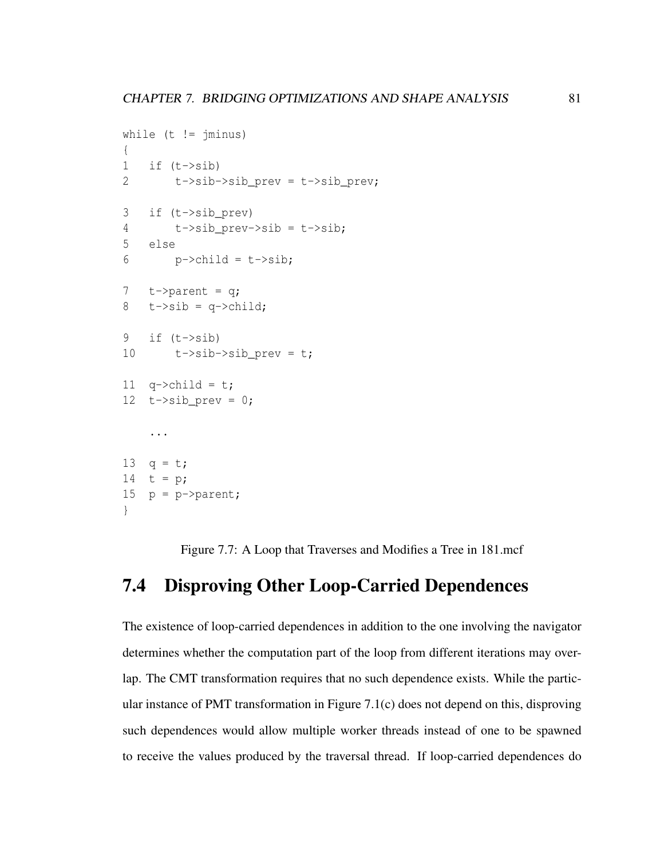```
while (t \mid = \frac{1}{2}{
1 if (t->sib)2 t-\frac{1}{2} t->sib->sib prev = t-\frac{1}{2} prev;
3 if (t->sib_prev)
4 t->sib_prev->sib = t->sib;
5 else
6 \qquad p \rightarrow \text{child} = t \rightarrow \text{sib};7 t->parent = q;
8 t->sib = q->child;
9 if (t->sib))10 t \rightarrow sib \rightarrow sib\_prev = t;11 q\rightarrowchild = t;
12 t\rightarrow sib\_prev = 0;...
13 q = t;14 t = p;
15 p = p->parent;
}
```
Figure 7.7: A Loop that Traverses and Modifies a Tree in 181.mcf

#### 7.4 Disproving Other Loop-Carried Dependences

The existence of loop-carried dependences in addition to the one involving the navigator determines whether the computation part of the loop from different iterations may overlap. The CMT transformation requires that no such dependence exists. While the particular instance of PMT transformation in Figure 7.1(c) does not depend on this, disproving such dependences would allow multiple worker threads instead of one to be spawned to receive the values produced by the traversal thread. If loop-carried dependences do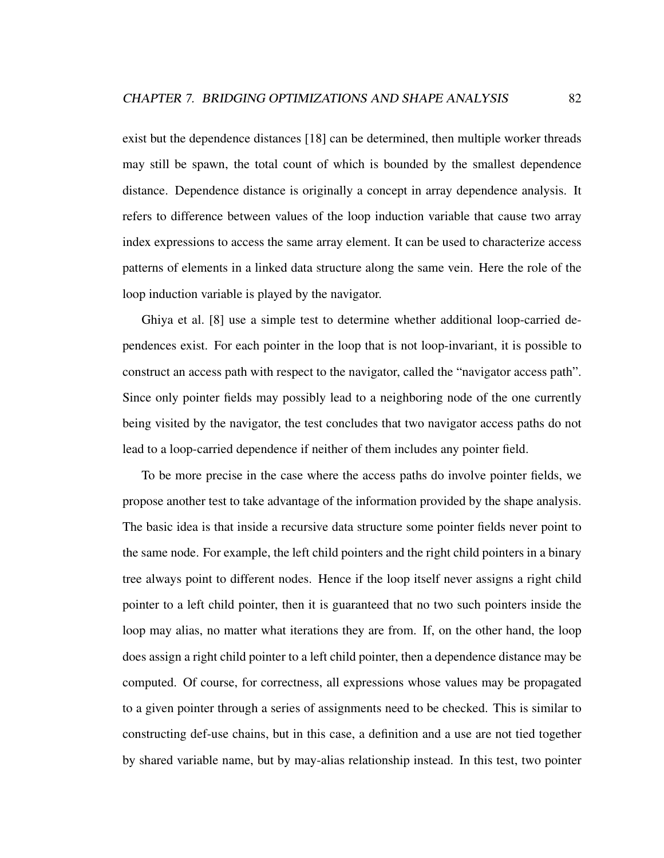exist but the dependence distances [18] can be determined, then multiple worker threads may still be spawn, the total count of which is bounded by the smallest dependence distance. Dependence distance is originally a concept in array dependence analysis. It refers to difference between values of the loop induction variable that cause two array index expressions to access the same array element. It can be used to characterize access patterns of elements in a linked data structure along the same vein. Here the role of the loop induction variable is played by the navigator.

Ghiya et al. [8] use a simple test to determine whether additional loop-carried dependences exist. For each pointer in the loop that is not loop-invariant, it is possible to construct an access path with respect to the navigator, called the "navigator access path". Since only pointer fields may possibly lead to a neighboring node of the one currently being visited by the navigator, the test concludes that two navigator access paths do not lead to a loop-carried dependence if neither of them includes any pointer field.

To be more precise in the case where the access paths do involve pointer fields, we propose another test to take advantage of the information provided by the shape analysis. The basic idea is that inside a recursive data structure some pointer fields never point to the same node. For example, the left child pointers and the right child pointers in a binary tree always point to different nodes. Hence if the loop itself never assigns a right child pointer to a left child pointer, then it is guaranteed that no two such pointers inside the loop may alias, no matter what iterations they are from. If, on the other hand, the loop does assign a right child pointer to a left child pointer, then a dependence distance may be computed. Of course, for correctness, all expressions whose values may be propagated to a given pointer through a series of assignments need to be checked. This is similar to constructing def-use chains, but in this case, a definition and a use are not tied together by shared variable name, but by may-alias relationship instead. In this test, two pointer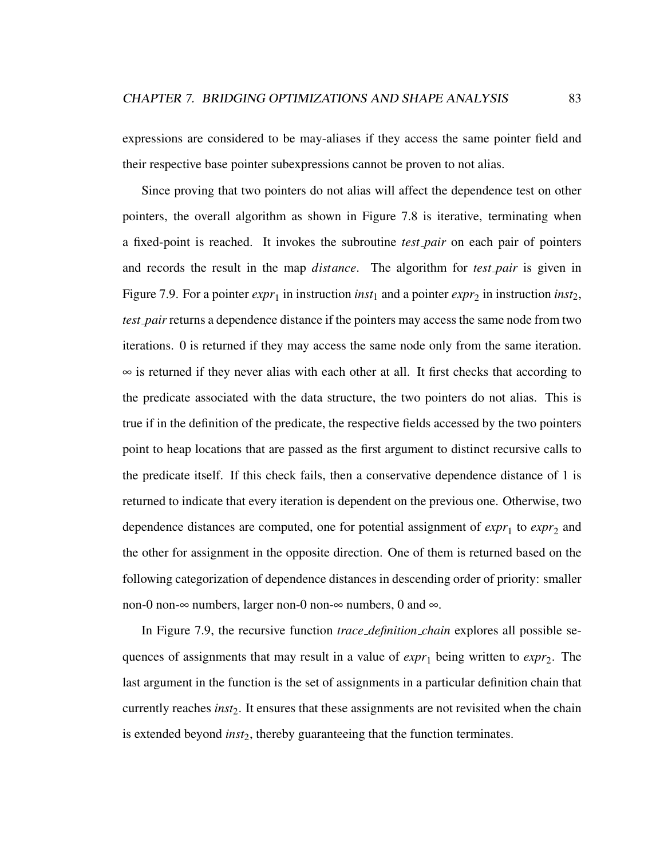expressions are considered to be may-aliases if they access the same pointer field and their respective base pointer subexpressions cannot be proven to not alias.

Since proving that two pointers do not alias will affect the dependence test on other pointers, the overall algorithm as shown in Figure 7.8 is iterative, terminating when a fixed-point is reached. It invokes the subroutine *test pair* on each pair of pointers and records the result in the map *distance*. The algorithm for *test pair* is given in Figure 7.9. For a pointer  $expr_1$  in instruction *inst*<sub>1</sub> and a pointer  $expr_2$  in instruction *inst*<sub>2</sub>, *test pair* returns a dependence distance if the pointers may access the same node from two iterations. 0 is returned if they may access the same node only from the same iteration. ∞ is returned if they never alias with each other at all. It first checks that according to the predicate associated with the data structure, the two pointers do not alias. This is true if in the definition of the predicate, the respective fields accessed by the two pointers point to heap locations that are passed as the first argument to distinct recursive calls to the predicate itself. If this check fails, then a conservative dependence distance of 1 is returned to indicate that every iteration is dependent on the previous one. Otherwise, two dependence distances are computed, one for potential assignment of  $expr_1$  to  $expr_2$  and the other for assignment in the opposite direction. One of them is returned based on the following categorization of dependence distances in descending order of priority: smaller non-0 non-∞ numbers, larger non-0 non-∞ numbers, 0 and ∞.

In Figure 7.9, the recursive function *trace definition chain* explores all possible sequences of assignments that may result in a value of  $\exp r_1$  being written to  $\exp r_2$ . The last argument in the function is the set of assignments in a particular definition chain that currently reaches *inst*2. It ensures that these assignments are not revisited when the chain is extended beyond *inst*2, thereby guaranteeing that the function terminates.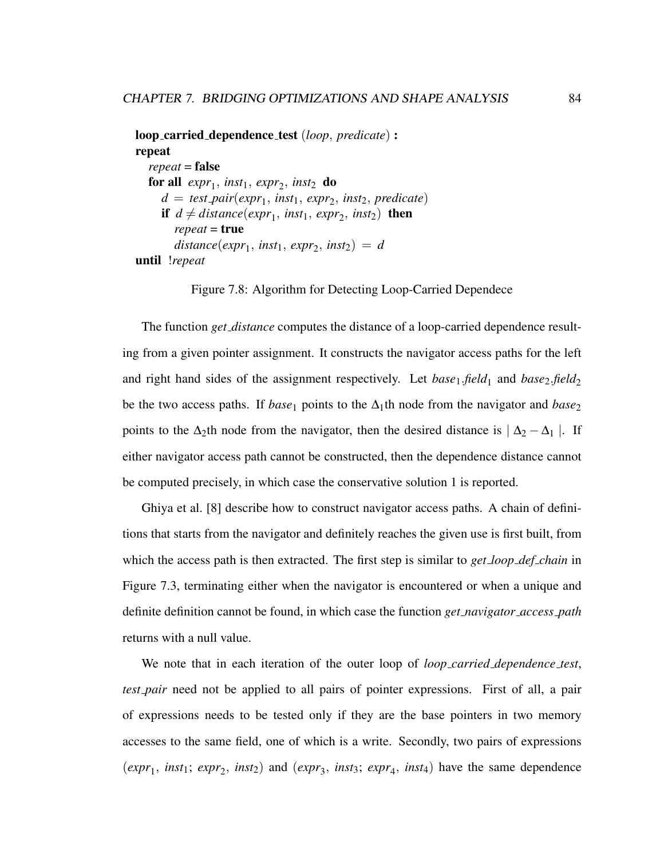```
loop carried dependence test (loop, predicate) :
repeat
  repeat = false
   for all expr_1, inst<sub>1</sub>, expr_2, inst<sub>2</sub> do
     d = test pair(expr1
, inst1, expr2
, inst2, predicate)
     if d \neq distance(exp_1, inst_1, exp_2, inst_2) then
        repeat = true
        distance(exp_1, inst_1, exp_2, inst_2) = duntil !repeat
```
Figure 7.8: Algorithm for Detecting Loop-Carried Dependece

The function *get distance* computes the distance of a loop-carried dependence resulting from a given pointer assignment. It constructs the navigator access paths for the left and right hand sides of the assignment respectively. Let *base*<sub>1</sub>.*field*<sub>1</sub> and *base*<sub>2</sub>.*field*<sub>2</sub> be the two access paths. If *base*<sub>1</sub> points to the  $\Delta_1$ th node from the navigator and *base*<sub>2</sub> points to the  $\Delta_2$ th node from the navigator, then the desired distance is  $|\Delta_2 - \Delta_1|$ . If either navigator access path cannot be constructed, then the dependence distance cannot be computed precisely, in which case the conservative solution 1 is reported.

Ghiya et al. [8] describe how to construct navigator access paths. A chain of definitions that starts from the navigator and definitely reaches the given use is first built, from which the access path is then extracted. The first step is similar to *get loop def chain* in Figure 7.3, terminating either when the navigator is encountered or when a unique and definite definition cannot be found, in which case the function *get navigator access path* returns with a null value.

We note that in each iteration of the outer loop of *loop carried dependence test*, *test pair* need not be applied to all pairs of pointer expressions. First of all, a pair of expressions needs to be tested only if they are the base pointers in two memory accesses to the same field, one of which is a write. Secondly, two pairs of expressions  $(exp_1, inst_1; exp_2, inst_2)$  and  $(exp_3, inst_3; exp_4, inst_4)$  have the same dependence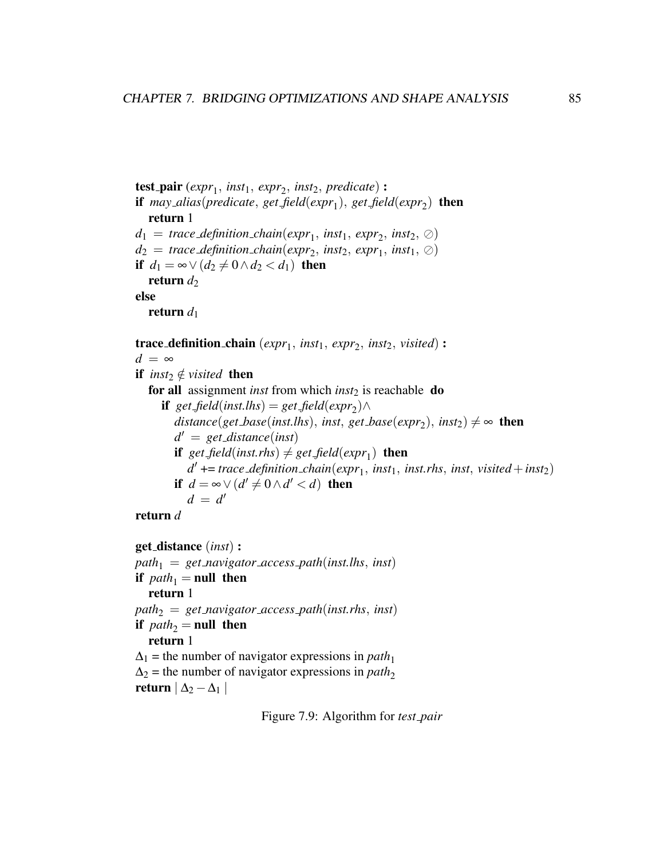```
test pair (expr1
, inst1, expr2
, inst2, predicate) :
if may alias(predicate, get field(expr1
), get field(expr2
) then
   return 1
d_1 = \text{trace\_definition\_chain}(\text{expr}_1, \text{inst}_1, \text{expr}_2, \text{inst}_2, \oslash)d_2 = \text{trace\_definition\_chain}(\text{expr}_2, \text{inst}_2, \text{expr}_1, \text{inst}_1, \oslash)if d_1 = ∞ ∨ (d_2 ≠ 0 ∧ d_2 < d_1) then
   return d_2else
   return d_1trace_definition_chain (expr<sub>1</sub>, inst<sub>1</sub>, expr<sub>2</sub>, inst<sub>2</sub>, visited):
d = ∞if inst<sub>2</sub> \notin visited then
   for all assignment inst from which inst<sub>2</sub> is reachable do
       \textbf{if} \ \ \textit{get-field}(\textit{inst.}\textit{lhs}) = \textit{get-field}(\textit{expr}_2) \wedgedistance(get\_base(inst. lhs), inst, get\_base(expr_2), inst_2) \neq \infty then
          d
0 = get distance(inst)
          if get field(inst.rhs) \neq get field(expr<sub>1</sub>) then
              d' \text{ +} = trace_definition_chain(expr_1, inst<sub>1</sub>, inst.rhs, inst, visited + inst<sub>2</sub>)
          if d = \infty \vee (d' \neq 0 \wedge d' < d) then
              d = d'return d
get distance (inst) :
path_1 = get\_navigator\_access\_path(inst.lhs, inst)if path_1 = null then
```
return 1

```
path_2 = get\_navigator\_access\_path(inst.rhs, inst)if path_2 = null then
  return 1
```
 $\Delta_1$  = the number of navigator expressions in *path*<sub>1</sub>  $\Delta_2$  = the number of navigator expressions in *path*<sub>2</sub>

return  $\vert \Delta_2 - \Delta_1 \vert$ 

Figure 7.9: Algorithm for *test pair*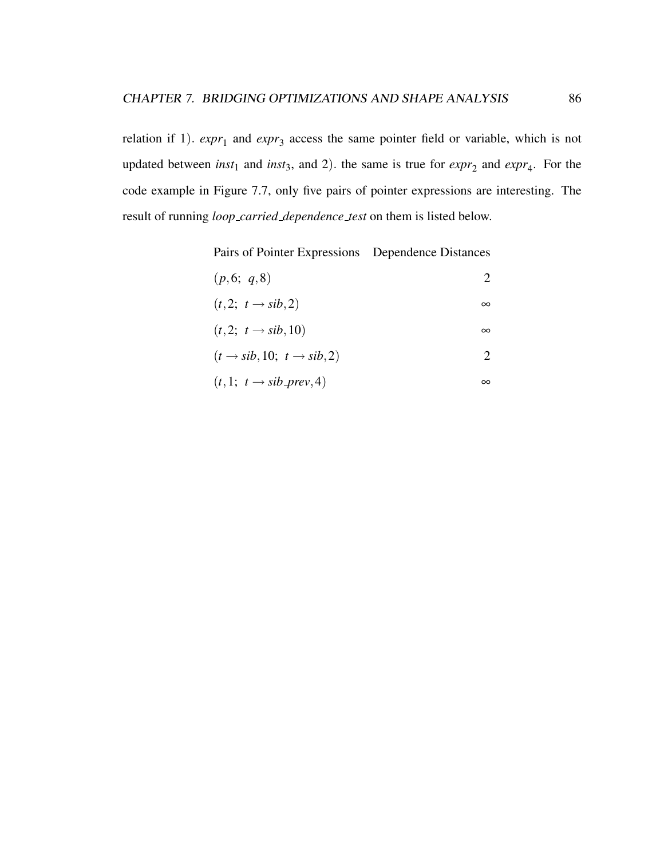relation if 1).  $expr_1$  and  $expr_3$  access the same pointer field or variable, which is not updated between *inst*<sub>1</sub> and *inst*<sub>3</sub>, and 2). the same is true for  $\exp r_2$  and  $\exp r_4$ . For the code example in Figure 7.7, only five pairs of pointer expressions are interesting. The result of running *loop carried dependence test* on them is listed below.

Pairs of Pointer Expressions Dependence Distances

| (p,6; q,8) |  |  |  |  |
|------------|--|--|--|--|
|            |  |  |  |  |

$$
(t,2; t \rightarrow sib,2) \qquad \qquad \infty
$$

$$
(t,2; t \to sib, 10) \qquad \qquad \infty
$$

$$
(t \to sib, 10; t \to sib, 2)
$$
 2

$$
(t,1; t \rightarrow sib\_prev, 4) \qquad \qquad \infty
$$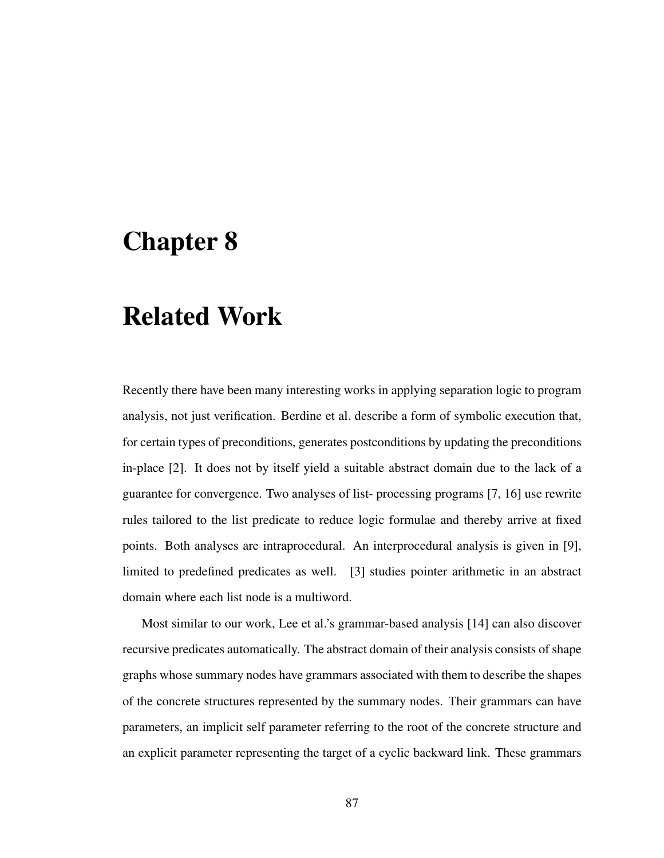# Chapter 8

# Related Work

Recently there have been many interesting works in applying separation logic to program analysis, not just verification. Berdine et al. describe a form of symbolic execution that, for certain types of preconditions, generates postconditions by updating the preconditions in-place [2]. It does not by itself yield a suitable abstract domain due to the lack of a guarantee for convergence. Two analyses of list- processing programs [7, 16] use rewrite rules tailored to the list predicate to reduce logic formulae and thereby arrive at fixed points. Both analyses are intraprocedural. An interprocedural analysis is given in [9], limited to predefined predicates as well. [3] studies pointer arithmetic in an abstract domain where each list node is a multiword.

Most similar to our work, Lee et al.'s grammar-based analysis [14] can also discover recursive predicates automatically. The abstract domain of their analysis consists of shape graphs whose summary nodes have grammars associated with them to describe the shapes of the concrete structures represented by the summary nodes. Their grammars can have parameters, an implicit self parameter referring to the root of the concrete structure and an explicit parameter representing the target of a cyclic backward link. These grammars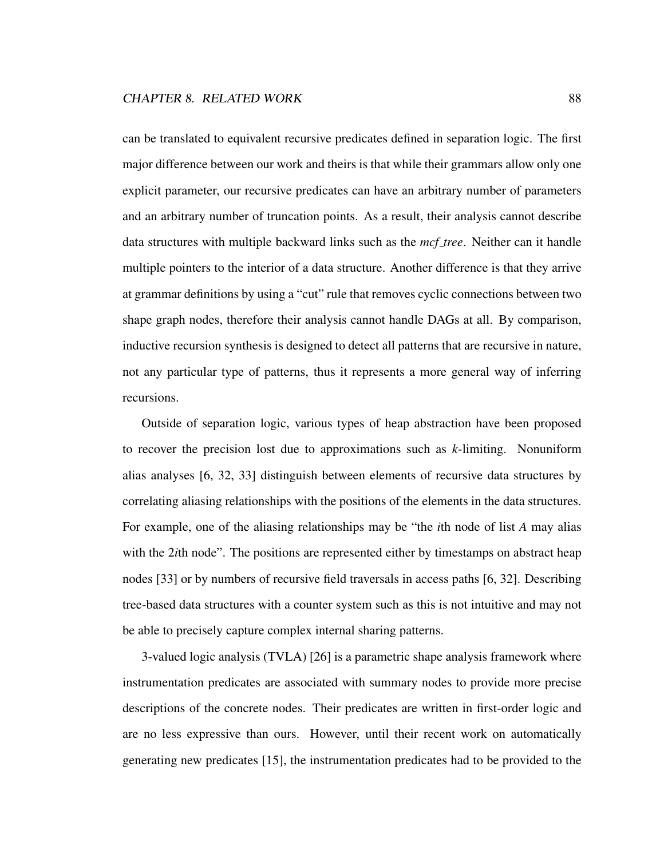can be translated to equivalent recursive predicates defined in separation logic. The first major difference between our work and theirs is that while their grammars allow only one explicit parameter, our recursive predicates can have an arbitrary number of parameters and an arbitrary number of truncation points. As a result, their analysis cannot describe data structures with multiple backward links such as the *mcf tree*. Neither can it handle multiple pointers to the interior of a data structure. Another difference is that they arrive at grammar definitions by using a "cut" rule that removes cyclic connections between two shape graph nodes, therefore their analysis cannot handle DAGs at all. By comparison, inductive recursion synthesis is designed to detect all patterns that are recursive in nature, not any particular type of patterns, thus it represents a more general way of inferring recursions.

Outside of separation logic, various types of heap abstraction have been proposed to recover the precision lost due to approximations such as *k*-limiting. Nonuniform alias analyses [6, 32, 33] distinguish between elements of recursive data structures by correlating aliasing relationships with the positions of the elements in the data structures. For example, one of the aliasing relationships may be "the *i*th node of list *A* may alias with the 2*i*th node". The positions are represented either by timestamps on abstract heap nodes [33] or by numbers of recursive field traversals in access paths [6, 32]. Describing tree-based data structures with a counter system such as this is not intuitive and may not be able to precisely capture complex internal sharing patterns.

3-valued logic analysis (TVLA) [26] is a parametric shape analysis framework where instrumentation predicates are associated with summary nodes to provide more precise descriptions of the concrete nodes. Their predicates are written in first-order logic and are no less expressive than ours. However, until their recent work on automatically generating new predicates [15], the instrumentation predicates had to be provided to the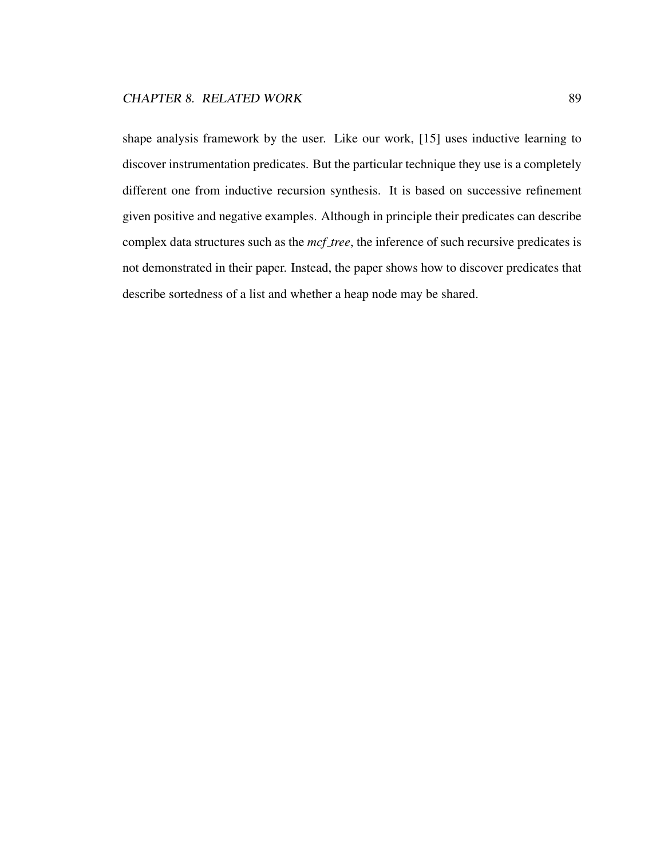shape analysis framework by the user. Like our work, [15] uses inductive learning to discover instrumentation predicates. But the particular technique they use is a completely different one from inductive recursion synthesis. It is based on successive refinement given positive and negative examples. Although in principle their predicates can describe complex data structures such as the *mcf tree*, the inference of such recursive predicates is not demonstrated in their paper. Instead, the paper shows how to discover predicates that describe sortedness of a list and whether a heap node may be shared.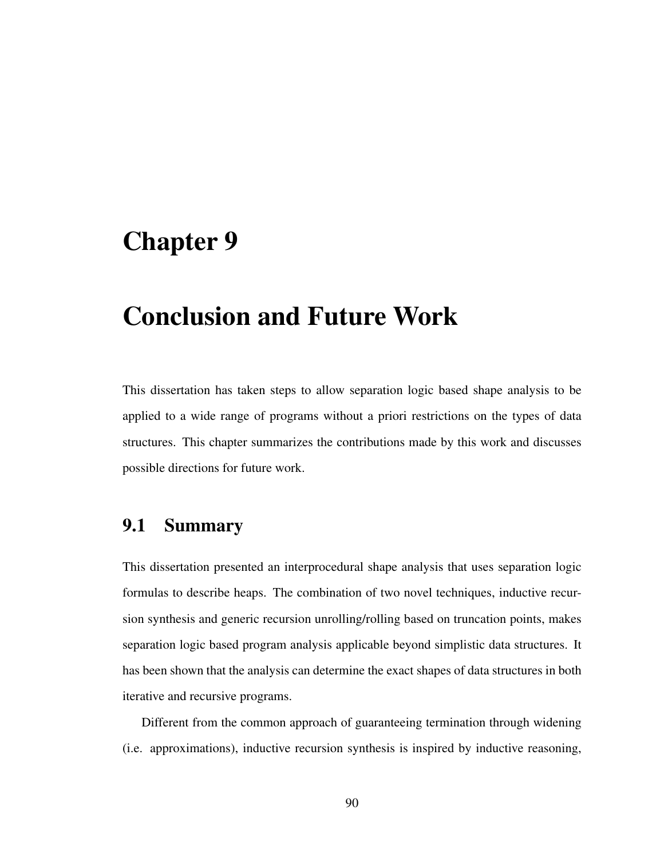### Chapter 9

# Conclusion and Future Work

This dissertation has taken steps to allow separation logic based shape analysis to be applied to a wide range of programs without a priori restrictions on the types of data structures. This chapter summarizes the contributions made by this work and discusses possible directions for future work.

#### 9.1 Summary

This dissertation presented an interprocedural shape analysis that uses separation logic formulas to describe heaps. The combination of two novel techniques, inductive recursion synthesis and generic recursion unrolling/rolling based on truncation points, makes separation logic based program analysis applicable beyond simplistic data structures. It has been shown that the analysis can determine the exact shapes of data structures in both iterative and recursive programs.

Different from the common approach of guaranteeing termination through widening (i.e. approximations), inductive recursion synthesis is inspired by inductive reasoning,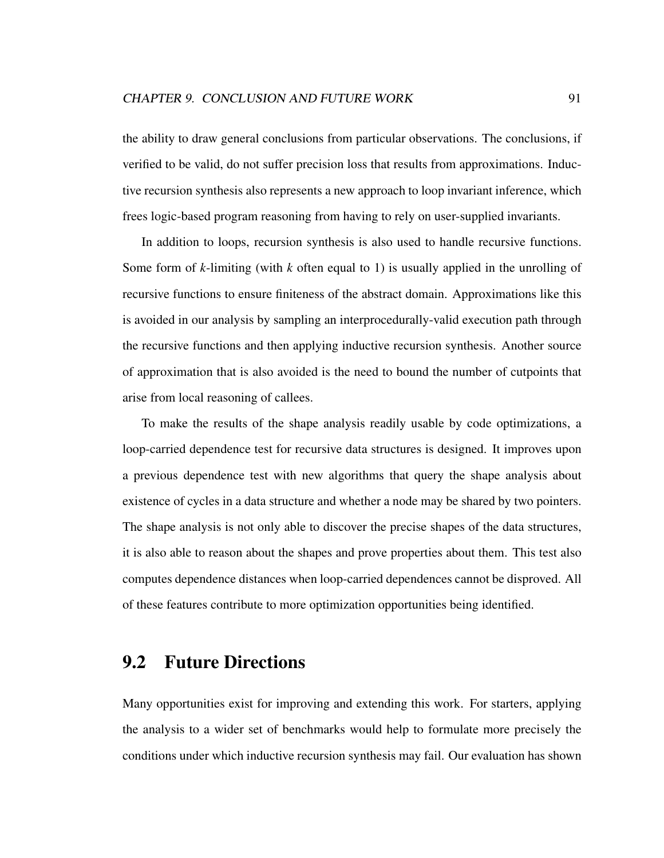the ability to draw general conclusions from particular observations. The conclusions, if verified to be valid, do not suffer precision loss that results from approximations. Inductive recursion synthesis also represents a new approach to loop invariant inference, which frees logic-based program reasoning from having to rely on user-supplied invariants.

In addition to loops, recursion synthesis is also used to handle recursive functions. Some form of *k*-limiting (with *k* often equal to 1) is usually applied in the unrolling of recursive functions to ensure finiteness of the abstract domain. Approximations like this is avoided in our analysis by sampling an interprocedurally-valid execution path through the recursive functions and then applying inductive recursion synthesis. Another source of approximation that is also avoided is the need to bound the number of cutpoints that arise from local reasoning of callees.

To make the results of the shape analysis readily usable by code optimizations, a loop-carried dependence test for recursive data structures is designed. It improves upon a previous dependence test with new algorithms that query the shape analysis about existence of cycles in a data structure and whether a node may be shared by two pointers. The shape analysis is not only able to discover the precise shapes of the data structures, it is also able to reason about the shapes and prove properties about them. This test also computes dependence distances when loop-carried dependences cannot be disproved. All of these features contribute to more optimization opportunities being identified.

#### 9.2 Future Directions

Many opportunities exist for improving and extending this work. For starters, applying the analysis to a wider set of benchmarks would help to formulate more precisely the conditions under which inductive recursion synthesis may fail. Our evaluation has shown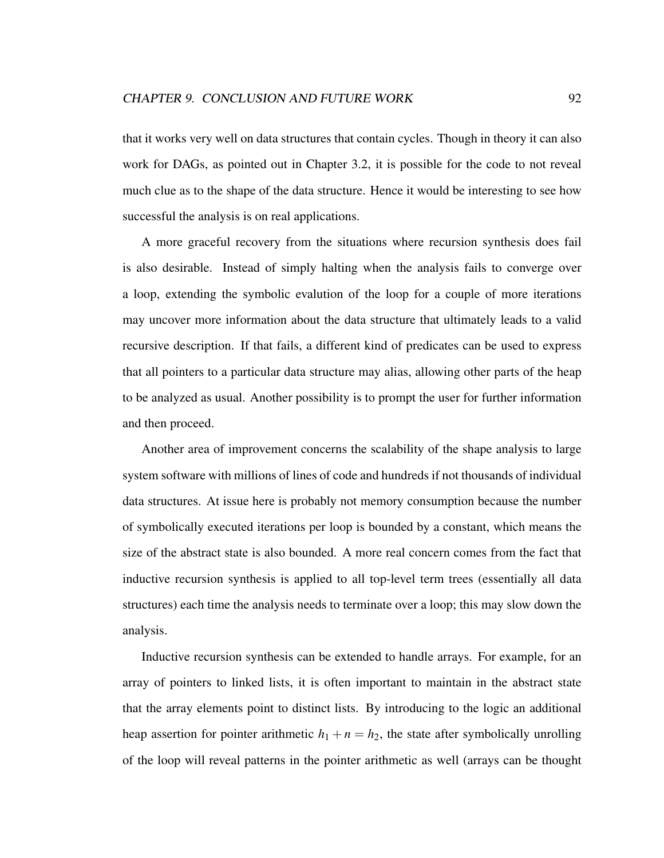that it works very well on data structures that contain cycles. Though in theory it can also work for DAGs, as pointed out in Chapter 3.2, it is possible for the code to not reveal much clue as to the shape of the data structure. Hence it would be interesting to see how successful the analysis is on real applications.

A more graceful recovery from the situations where recursion synthesis does fail is also desirable. Instead of simply halting when the analysis fails to converge over a loop, extending the symbolic evalution of the loop for a couple of more iterations may uncover more information about the data structure that ultimately leads to a valid recursive description. If that fails, a different kind of predicates can be used to express that all pointers to a particular data structure may alias, allowing other parts of the heap to be analyzed as usual. Another possibility is to prompt the user for further information and then proceed.

Another area of improvement concerns the scalability of the shape analysis to large system software with millions of lines of code and hundreds if not thousands of individual data structures. At issue here is probably not memory consumption because the number of symbolically executed iterations per loop is bounded by a constant, which means the size of the abstract state is also bounded. A more real concern comes from the fact that inductive recursion synthesis is applied to all top-level term trees (essentially all data structures) each time the analysis needs to terminate over a loop; this may slow down the analysis.

Inductive recursion synthesis can be extended to handle arrays. For example, for an array of pointers to linked lists, it is often important to maintain in the abstract state that the array elements point to distinct lists. By introducing to the logic an additional heap assertion for pointer arithmetic  $h_1 + n = h_2$ , the state after symbolically unrolling of the loop will reveal patterns in the pointer arithmetic as well (arrays can be thought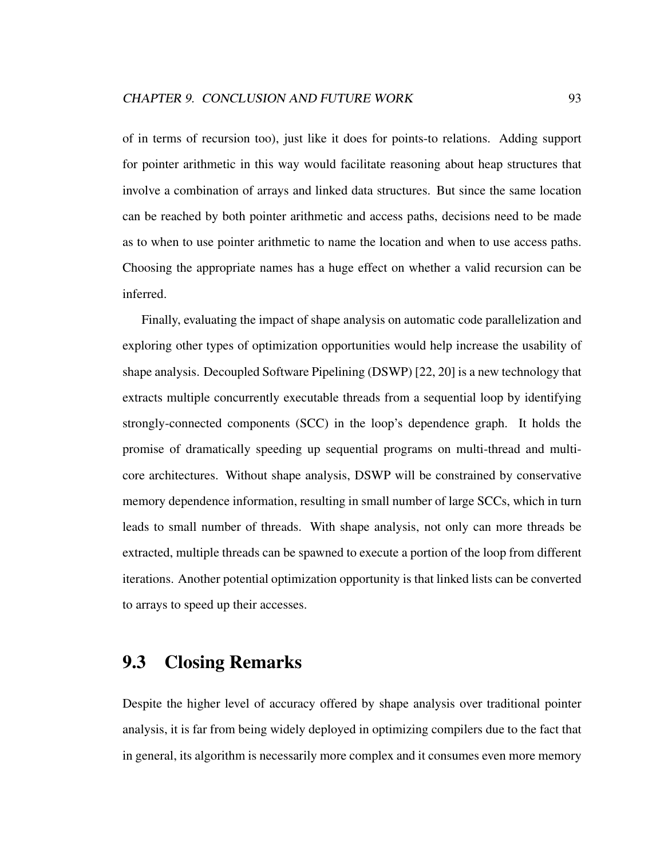of in terms of recursion too), just like it does for points-to relations. Adding support for pointer arithmetic in this way would facilitate reasoning about heap structures that involve a combination of arrays and linked data structures. But since the same location can be reached by both pointer arithmetic and access paths, decisions need to be made as to when to use pointer arithmetic to name the location and when to use access paths. Choosing the appropriate names has a huge effect on whether a valid recursion can be inferred.

Finally, evaluating the impact of shape analysis on automatic code parallelization and exploring other types of optimization opportunities would help increase the usability of shape analysis. Decoupled Software Pipelining (DSWP) [22, 20] is a new technology that extracts multiple concurrently executable threads from a sequential loop by identifying strongly-connected components (SCC) in the loop's dependence graph. It holds the promise of dramatically speeding up sequential programs on multi-thread and multicore architectures. Without shape analysis, DSWP will be constrained by conservative memory dependence information, resulting in small number of large SCCs, which in turn leads to small number of threads. With shape analysis, not only can more threads be extracted, multiple threads can be spawned to execute a portion of the loop from different iterations. Another potential optimization opportunity is that linked lists can be converted to arrays to speed up their accesses.

#### 9.3 Closing Remarks

Despite the higher level of accuracy offered by shape analysis over traditional pointer analysis, it is far from being widely deployed in optimizing compilers due to the fact that in general, its algorithm is necessarily more complex and it consumes even more memory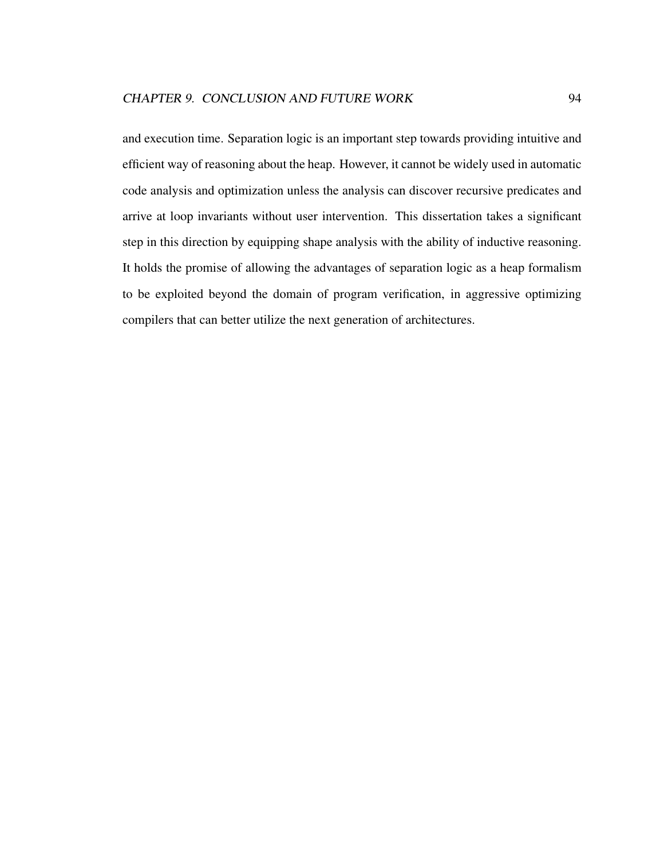and execution time. Separation logic is an important step towards providing intuitive and efficient way of reasoning about the heap. However, it cannot be widely used in automatic code analysis and optimization unless the analysis can discover recursive predicates and arrive at loop invariants without user intervention. This dissertation takes a significant step in this direction by equipping shape analysis with the ability of inductive reasoning. It holds the promise of allowing the advantages of separation logic as a heap formalism to be exploited beyond the domain of program verification, in aggressive optimizing compilers that can better utilize the next generation of architectures.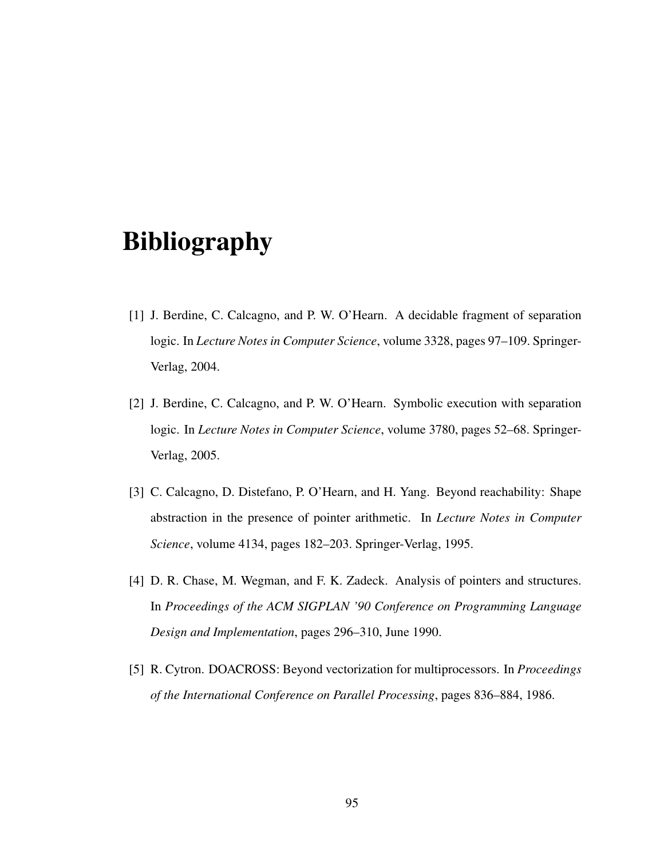# Bibliography

- [1] J. Berdine, C. Calcagno, and P. W. O'Hearn. A decidable fragment of separation logic. In *Lecture Notes in Computer Science*, volume 3328, pages 97–109. Springer-Verlag, 2004.
- [2] J. Berdine, C. Calcagno, and P. W. O'Hearn. Symbolic execution with separation logic. In *Lecture Notes in Computer Science*, volume 3780, pages 52–68. Springer-Verlag, 2005.
- [3] C. Calcagno, D. Distefano, P. O'Hearn, and H. Yang. Beyond reachability: Shape abstraction in the presence of pointer arithmetic. In *Lecture Notes in Computer Science*, volume 4134, pages 182–203. Springer-Verlag, 1995.
- [4] D. R. Chase, M. Wegman, and F. K. Zadeck. Analysis of pointers and structures. In *Proceedings of the ACM SIGPLAN '90 Conference on Programming Language Design and Implementation*, pages 296–310, June 1990.
- [5] R. Cytron. DOACROSS: Beyond vectorization for multiprocessors. In *Proceedings of the International Conference on Parallel Processing*, pages 836–884, 1986.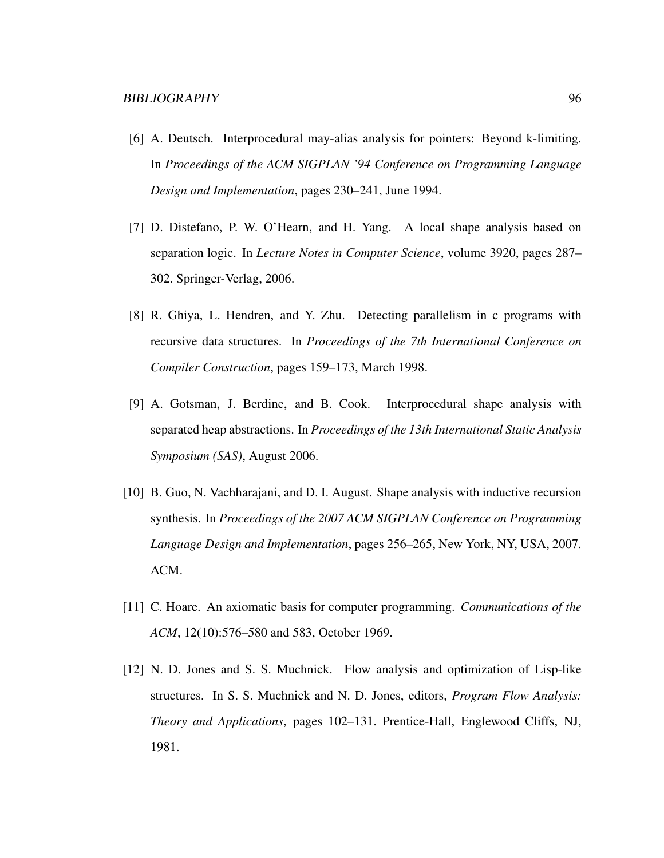- [6] A. Deutsch. Interprocedural may-alias analysis for pointers: Beyond k-limiting. In *Proceedings of the ACM SIGPLAN '94 Conference on Programming Language Design and Implementation*, pages 230–241, June 1994.
- [7] D. Distefano, P. W. O'Hearn, and H. Yang. A local shape analysis based on separation logic. In *Lecture Notes in Computer Science*, volume 3920, pages 287– 302. Springer-Verlag, 2006.
- [8] R. Ghiya, L. Hendren, and Y. Zhu. Detecting parallelism in c programs with recursive data structures. In *Proceedings of the 7th International Conference on Compiler Construction*, pages 159–173, March 1998.
- [9] A. Gotsman, J. Berdine, and B. Cook. Interprocedural shape analysis with separated heap abstractions. In *Proceedings of the 13th International Static Analysis Symposium (SAS)*, August 2006.
- [10] B. Guo, N. Vachharajani, and D. I. August. Shape analysis with inductive recursion synthesis. In *Proceedings of the 2007 ACM SIGPLAN Conference on Programming Language Design and Implementation*, pages 256–265, New York, NY, USA, 2007. ACM.
- [11] C. Hoare. An axiomatic basis for computer programming. *Communications of the ACM*, 12(10):576–580 and 583, October 1969.
- [12] N. D. Jones and S. S. Muchnick. Flow analysis and optimization of Lisp-like structures. In S. S. Muchnick and N. D. Jones, editors, *Program Flow Analysis: Theory and Applications*, pages 102–131. Prentice-Hall, Englewood Cliffs, NJ, 1981.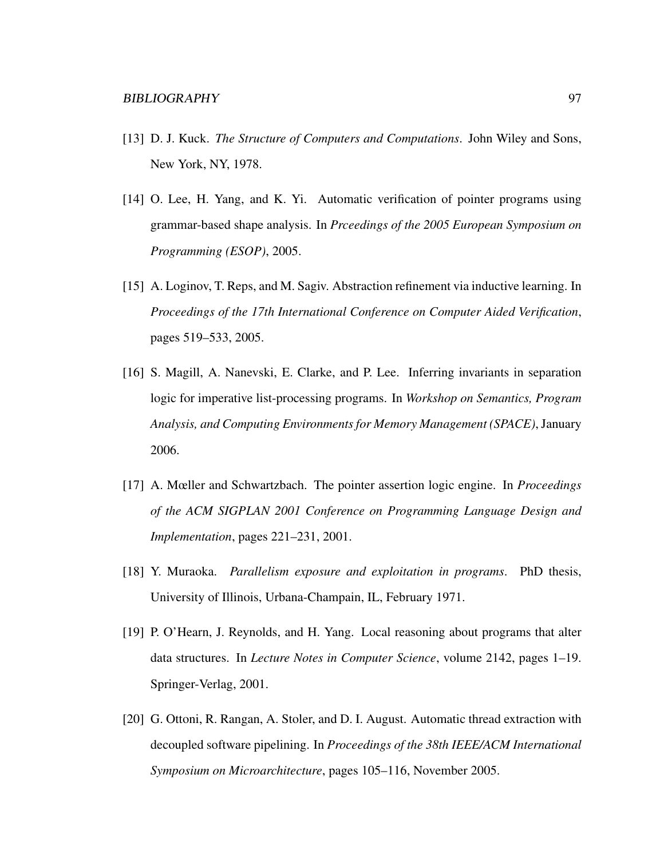- [13] D. J. Kuck. *The Structure of Computers and Computations*. John Wiley and Sons, New York, NY, 1978.
- [14] O. Lee, H. Yang, and K. Yi. Automatic verification of pointer programs using grammar-based shape analysis. In *Prceedings of the 2005 European Symposium on Programming (ESOP)*, 2005.
- [15] A. Loginov, T. Reps, and M. Sagiv. Abstraction refinement via inductive learning. In *Proceedings of the 17th International Conference on Computer Aided Verification*, pages 519–533, 2005.
- [16] S. Magill, A. Nanevski, E. Clarke, and P. Lee. Inferring invariants in separation logic for imperative list-processing programs. In *Workshop on Semantics, Program Analysis, and Computing Environments for Memory Management (SPACE)*, January 2006.
- [17] A. Mœller and Schwartzbach. The pointer assertion logic engine. In *Proceedings of the ACM SIGPLAN 2001 Conference on Programming Language Design and Implementation*, pages 221–231, 2001.
- [18] Y. Muraoka. *Parallelism exposure and exploitation in programs*. PhD thesis, University of Illinois, Urbana-Champain, IL, February 1971.
- [19] P. O'Hearn, J. Reynolds, and H. Yang. Local reasoning about programs that alter data structures. In *Lecture Notes in Computer Science*, volume 2142, pages 1–19. Springer-Verlag, 2001.
- [20] G. Ottoni, R. Rangan, A. Stoler, and D. I. August. Automatic thread extraction with decoupled software pipelining. In *Proceedings of the 38th IEEE/ACM International Symposium on Microarchitecture*, pages 105–116, November 2005.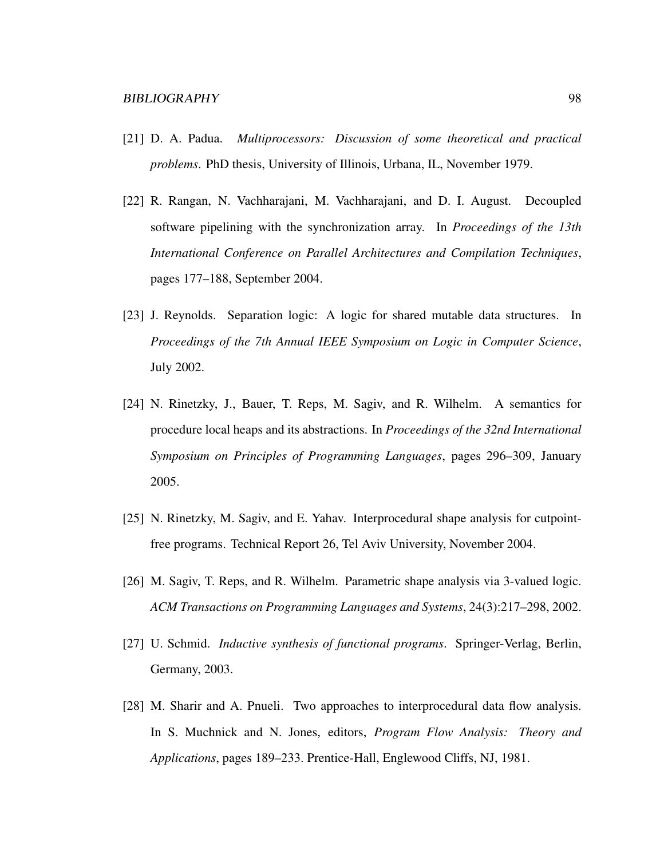- [21] D. A. Padua. *Multiprocessors: Discussion of some theoretical and practical problems*. PhD thesis, University of Illinois, Urbana, IL, November 1979.
- [22] R. Rangan, N. Vachharajani, M. Vachharajani, and D. I. August. Decoupled software pipelining with the synchronization array. In *Proceedings of the 13th International Conference on Parallel Architectures and Compilation Techniques*, pages 177–188, September 2004.
- [23] J. Reynolds. Separation logic: A logic for shared mutable data structures. In *Proceedings of the 7th Annual IEEE Symposium on Logic in Computer Science*, July 2002.
- [24] N. Rinetzky, J., Bauer, T. Reps, M. Sagiv, and R. Wilhelm. A semantics for procedure local heaps and its abstractions. In *Proceedings of the 32nd International Symposium on Principles of Programming Languages*, pages 296–309, January 2005.
- [25] N. Rinetzky, M. Sagiv, and E. Yahav. Interprocedural shape analysis for cutpointfree programs. Technical Report 26, Tel Aviv University, November 2004.
- [26] M. Sagiv, T. Reps, and R. Wilhelm. Parametric shape analysis via 3-valued logic. *ACM Transactions on Programming Languages and Systems*, 24(3):217–298, 2002.
- [27] U. Schmid. *Inductive synthesis of functional programs*. Springer-Verlag, Berlin, Germany, 2003.
- [28] M. Sharir and A. Pnueli. Two approaches to interprocedural data flow analysis. In S. Muchnick and N. Jones, editors, *Program Flow Analysis: Theory and Applications*, pages 189–233. Prentice-Hall, Englewood Cliffs, NJ, 1981.